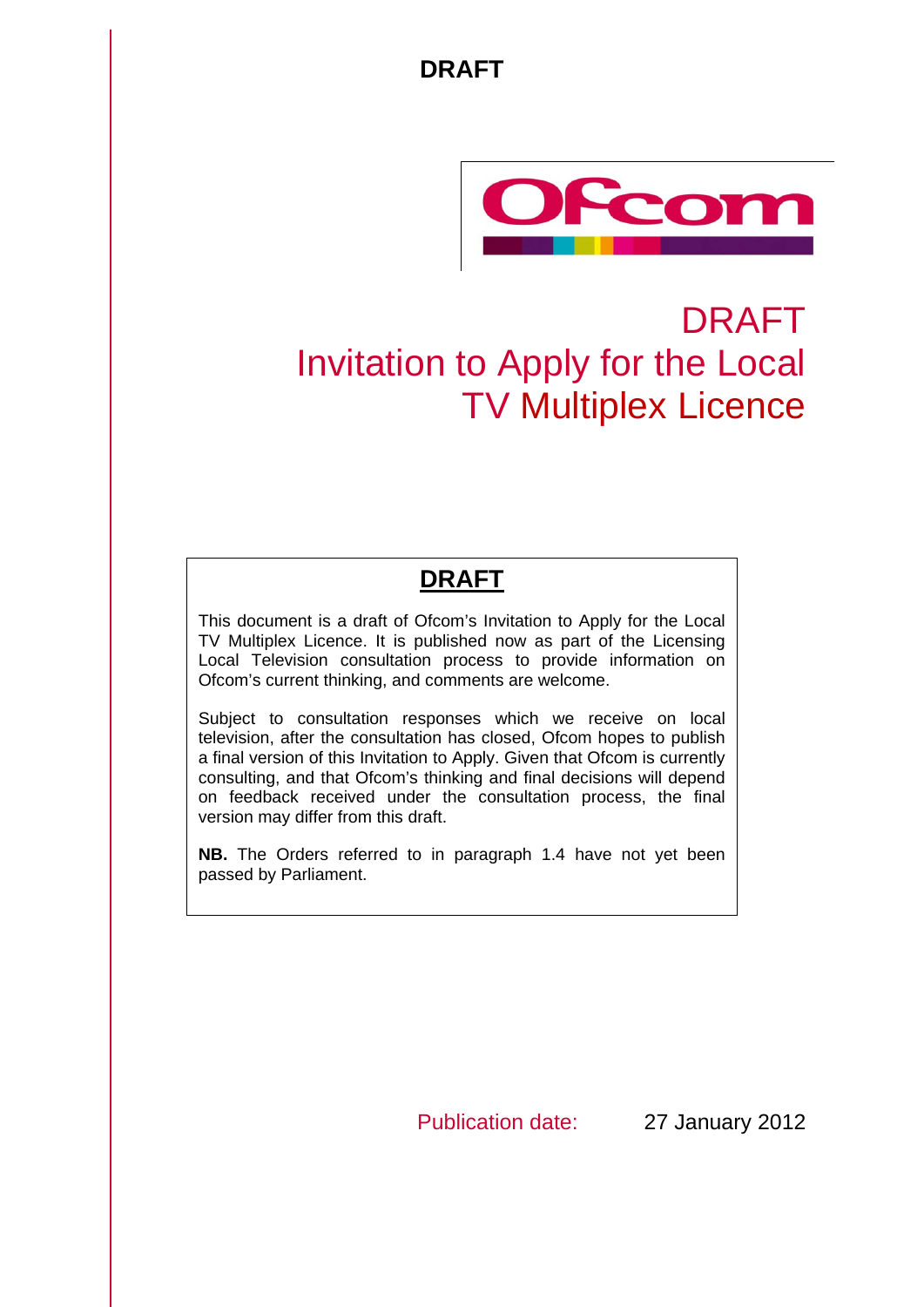

# DRAFT Invitation to Apply for the Local TV Multiplex Licence

# **DRAFT**

This document is a draft of Ofcom's Invitation to Apply for the Local TV Multiplex Licence. It is published now as part of the Licensing Local Television consultation process to provide information on Ofcom's current thinking, and comments are welcome.

Subject to consultation responses which we receive on local television, after the consultation has closed, Ofcom hopes to publish a final version of this Invitation to Apply. Given that Ofcom is currently consulting, and that Ofcom's thinking and final decisions will depend on feedback received under the consultation process, the final version may differ from this draft.

**NB.** The Orders referred to in paragraph 1.4 have not yet been passed by Parliament.

Publication date: 27 January 2012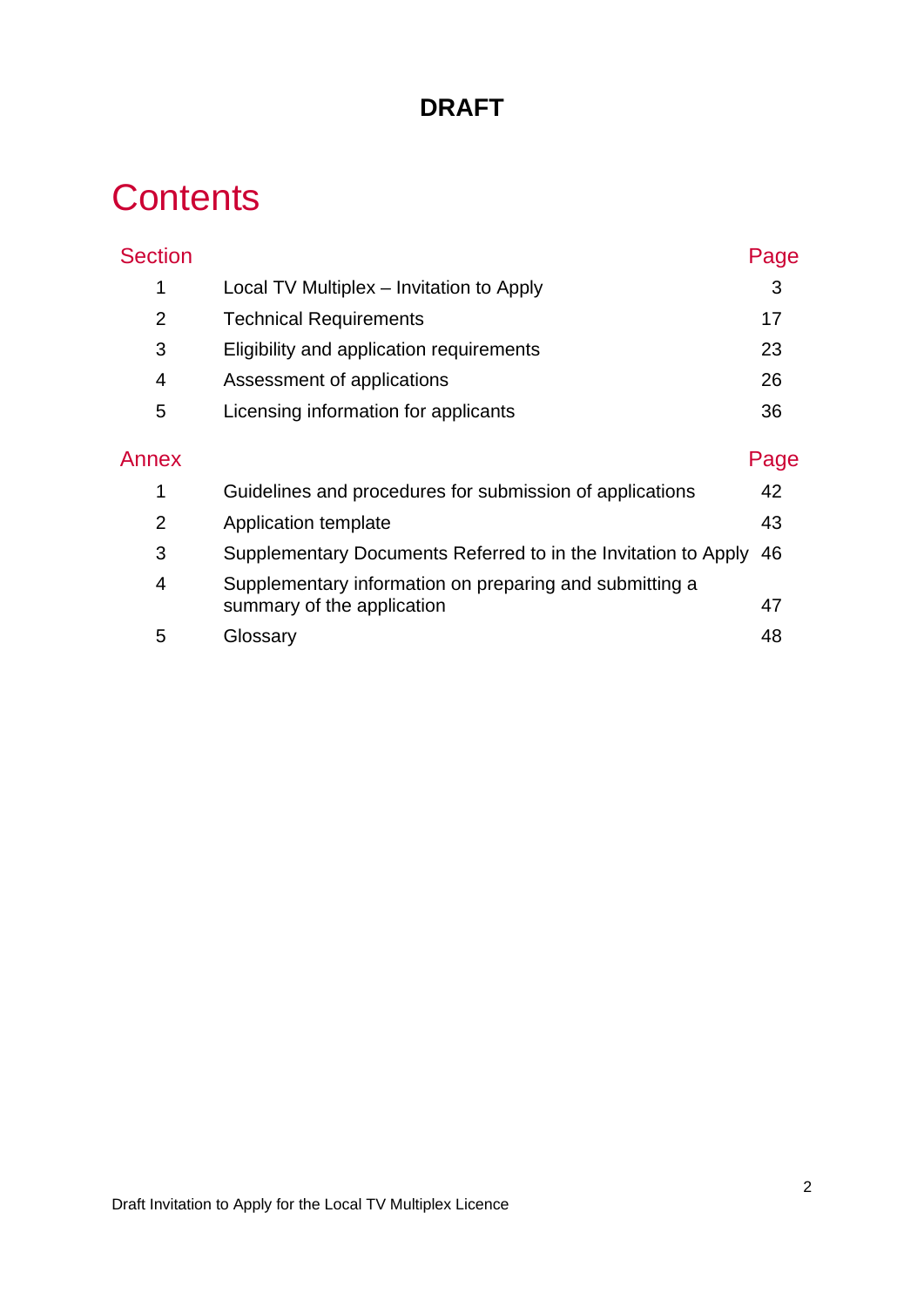# **Contents**

| <b>Section</b> |                                                                                       | Page |
|----------------|---------------------------------------------------------------------------------------|------|
| 1              | Local TV Multiplex – Invitation to Apply                                              | 3    |
| $\overline{2}$ | <b>Technical Requirements</b>                                                         | 17   |
| 3              | Eligibility and application requirements                                              | 23   |
| 4              | Assessment of applications                                                            | 26   |
| 5              | Licensing information for applicants                                                  | 36   |
| Annex          |                                                                                       | Page |
| 1              | Guidelines and procedures for submission of applications                              | 42   |
| $\overline{2}$ | Application template                                                                  | 43   |
| 3              | Supplementary Documents Referred to in the Invitation to Apply                        | 46   |
| 4              | Supplementary information on preparing and submitting a<br>summary of the application | 47   |
| 5              | Glossary                                                                              | 48   |
|                |                                                                                       |      |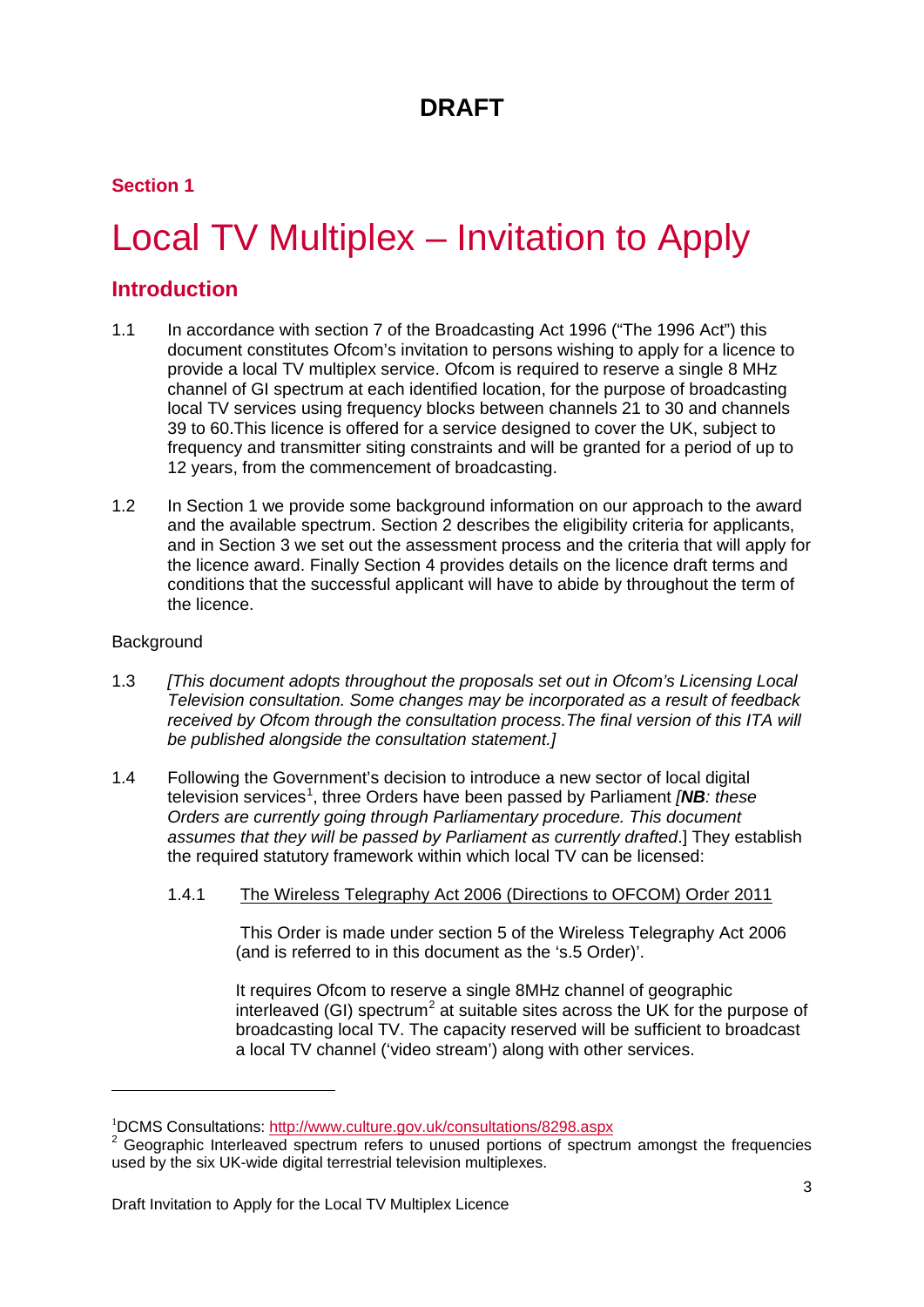### **Section 1**

# <span id="page-3-0"></span>Local TV Multiplex – Invitation to Apply

### **Introduction**

- 1.1 In accordance with section 7 of the Broadcasting Act 1996 ("The 1996 Act") this document constitutes Ofcom's invitation to persons wishing to apply for a licence to provide a local TV multiplex service. Ofcom is required to reserve a single 8 MHz channel of GI spectrum at each identified location, for the purpose of broadcasting local TV services using frequency blocks between channels 21 to 30 and channels 39 to 60.This licence is offered for a service designed to cover the UK, subject to frequency and transmitter siting constraints and will be granted for a period of up to 12 years, from the commencement of broadcasting.
- 1.2 In Section 1 we provide some background information on our approach to the award and the available spectrum. Section 2 describes the eligibility criteria for applicants, and in Section 3 we set out the assessment process and the criteria that will apply for the licence award. Finally Section 4 provides details on the licence draft terms and conditions that the successful applicant will have to abide by throughout the term of the licence.

#### **Background**

-

- 1.3 *[This document adopts throughout the proposals set out in Ofcom's Licensing Local Television consultation. Some changes may be incorporated as a result of feedback received by Ofcom through the consultation process.The final version of this ITA will be published alongside the consultation statement.]*
- 1.4 Following the Government's decision to introduce a new sector of local digital television services<sup>[1](#page-3-1)</sup>, three Orders have been passed by Parliament *[NB: these Orders are currently going through Parliamentary procedure. This document assumes that they will be passed by Parliament as currently drafted*.] They establish the required statutory framework within which local TV can be licensed:
	- 1.4.1 The Wireless Telegraphy Act 2006 (Directions to OFCOM) Order 2011

This Order is made under section 5 of the Wireless Telegraphy Act 2006 (and is referred to in this document as the 's.5 Order)'.

It requires Ofcom to reserve a single 8MHz channel of geographic interleaved (GI) spectrum<sup>[2](#page-3-2)</sup> at suitable sites across the UK for the purpose of broadcasting local TV. The capacity reserved will be sufficient to broadcast a local TV channel ('video stream') along with other services.

<sup>1</sup> DCMS Consultations:

<span id="page-3-2"></span><span id="page-3-1"></span><sup>&</sup>lt;sup>2</sup> Geographic Interleaved spectrum refers to unused portions of spectrum amongst the frequencies used by the six UK-wide digital terrestrial television multiplexes.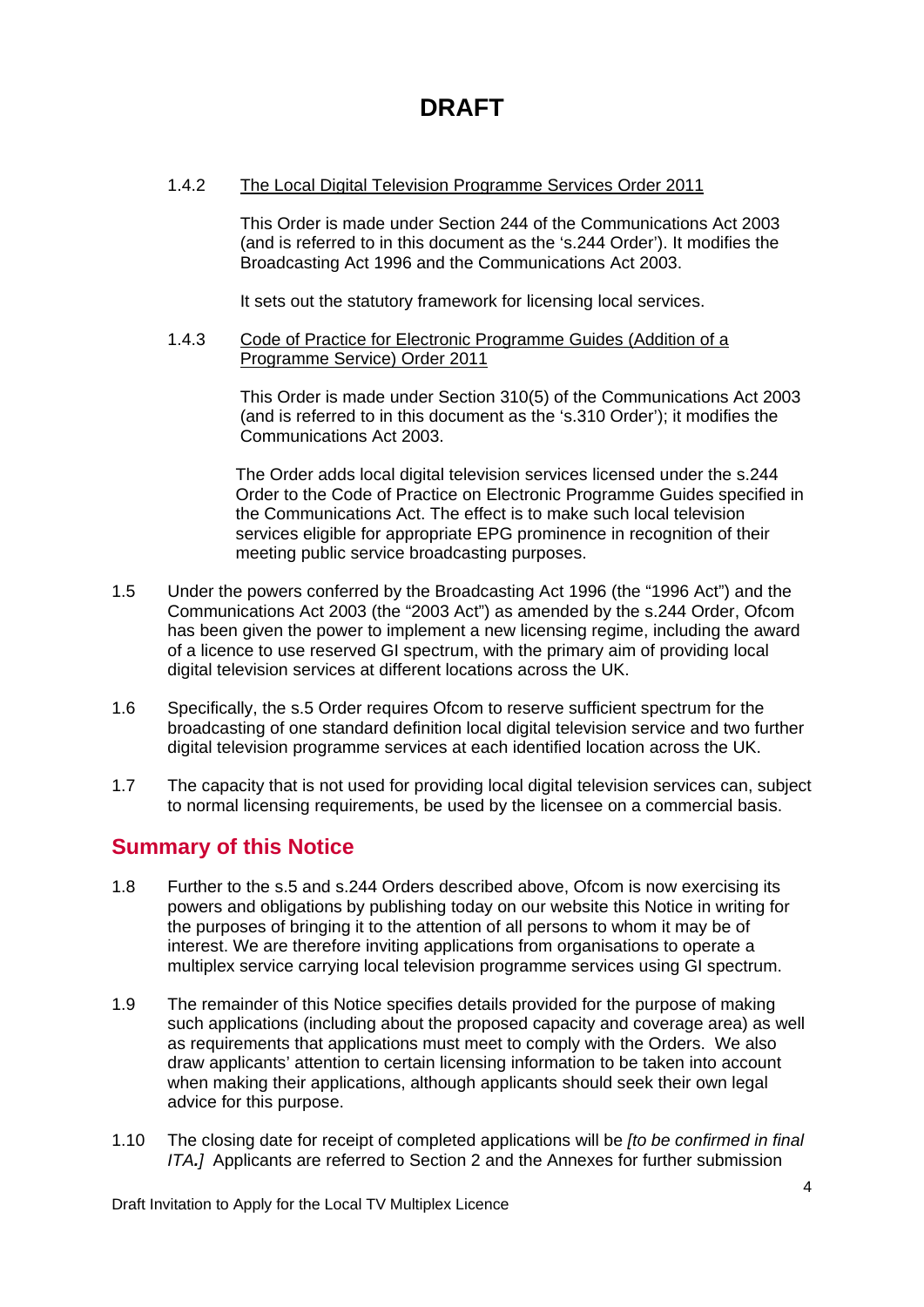#### 1.4.2 The Local Digital Television Programme Services Order 2011

This Order is made under Section 244 of the Communications Act 2003 (and is referred to in this document as the 's.244 Order'). It modifies the Broadcasting Act 1996 and the Communications Act 2003.

It sets out the statutory framework for licensing local services.

#### 1.4.3 Code of Practice for Electronic Programme Guides (Addition of a Programme Service) Order 2011

This Order is made under Section 310(5) of the Communications Act 2003 (and is referred to in this document as the 's.310 Order'); it modifies the Communications Act 2003.

The Order adds local digital television services licensed under the s.244 Order to the Code of Practice on Electronic Programme Guides specified in the Communications Act. The effect is to make such local television services eligible for appropriate EPG prominence in recognition of their meeting public service broadcasting purposes.

- 1.5 Under the powers conferred by the Broadcasting Act 1996 (the "1996 Act") and the Communications Act 2003 (the "2003 Act") as amended by the s.244 Order, Ofcom has been given the power to implement a new licensing regime, including the award of a licence to use reserved GI spectrum, with the primary aim of providing local digital television services at different locations across the UK.
- 1.6 Specifically, the s.5 Order requires Ofcom to reserve sufficient spectrum for the broadcasting of one standard definition local digital television service and two further digital television programme services at each identified location across the UK.
- 1.7 The capacity that is not used for providing local digital television services can, subject to normal licensing requirements, be used by the licensee on a commercial basis.

### **Summary of this Notice**

- 1.8 Further to the s.5 and s.244 Orders described above, Ofcom is now exercising its powers and obligations by publishing today on our website this Notice in writing for the purposes of bringing it to the attention of all persons to whom it may be of interest. We are therefore inviting applications from organisations to operate a multiplex service carrying local television programme services using GI spectrum.
- 1.9 The remainder of this Notice specifies details provided for the purpose of making such applications (including about the proposed capacity and coverage area) as well as requirements that applications must meet to comply with the Orders. We also draw applicants' attention to certain licensing information to be taken into account when making their applications, although applicants should seek their own legal advice for this purpose.
- 1.10 The closing date for receipt of completed applications will be *[to be confirmed in final ITA.]* Applicants are referred to Section 2 and the Annexes for further submission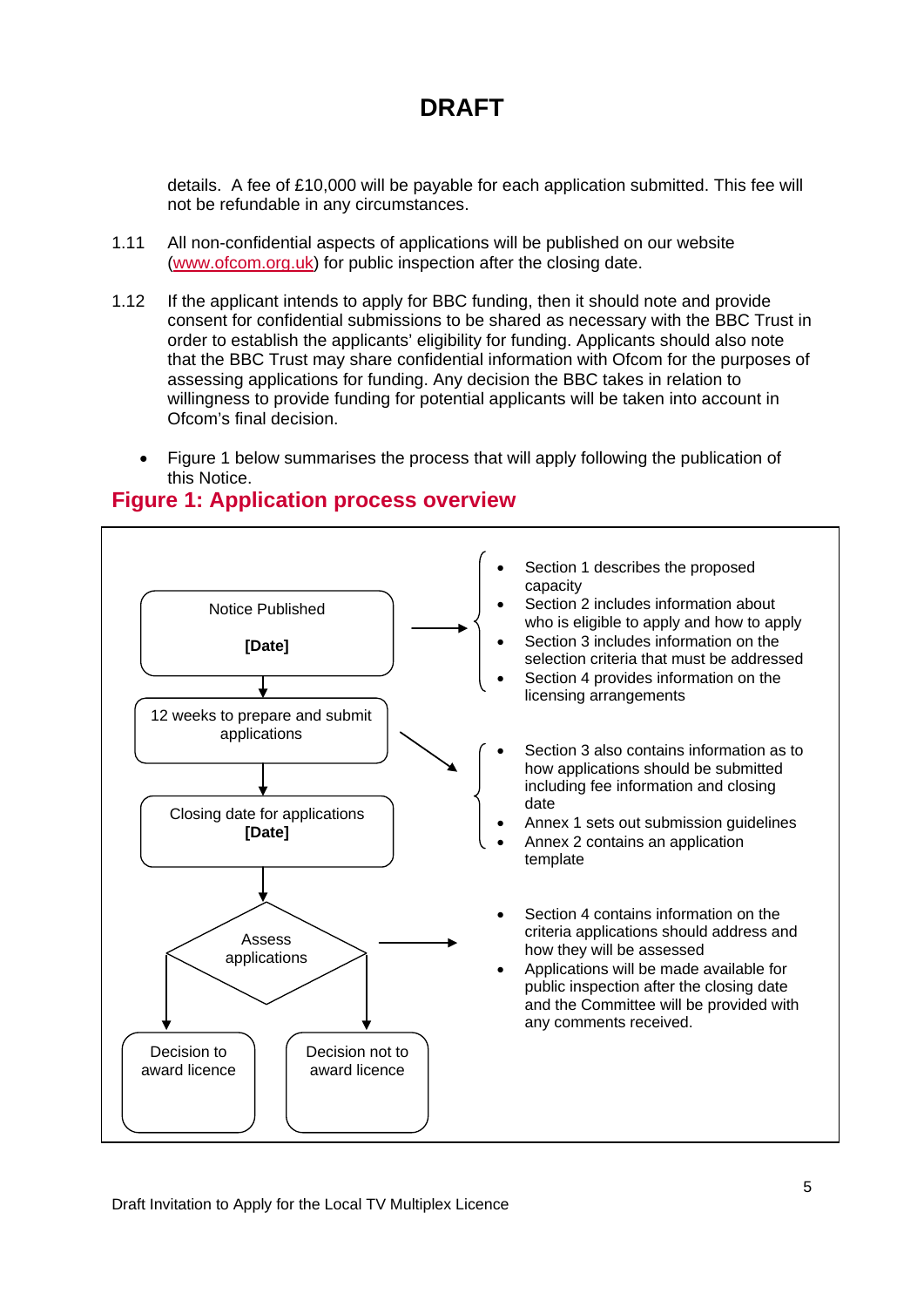details. A fee of £10,000 will be payable for each application submitted. This fee will not be refundable in any circumstances.

- 1.11 All non-confidential aspects of applications will be published on our website [\(www.ofcom.org.uk\)](http://www.ofcom.org.uk/) for public inspection after the closing date.
- 1.12 If the applicant intends to apply for BBC funding, then it should note and provide consent for confidential submissions to be shared as necessary with the BBC Trust in order to establish the applicants' eligibility for funding. Applicants should also note that the BBC Trust may share confidential information with Ofcom for the purposes of assessing applications for funding. Any decision the BBC takes in relation to willingness to provide funding for potential applicants will be taken into account in Ofcom's final decision.
	- Figure 1 below summarises the process that will apply following the publication of this Notice.

### **Figure 1: Application process overview**

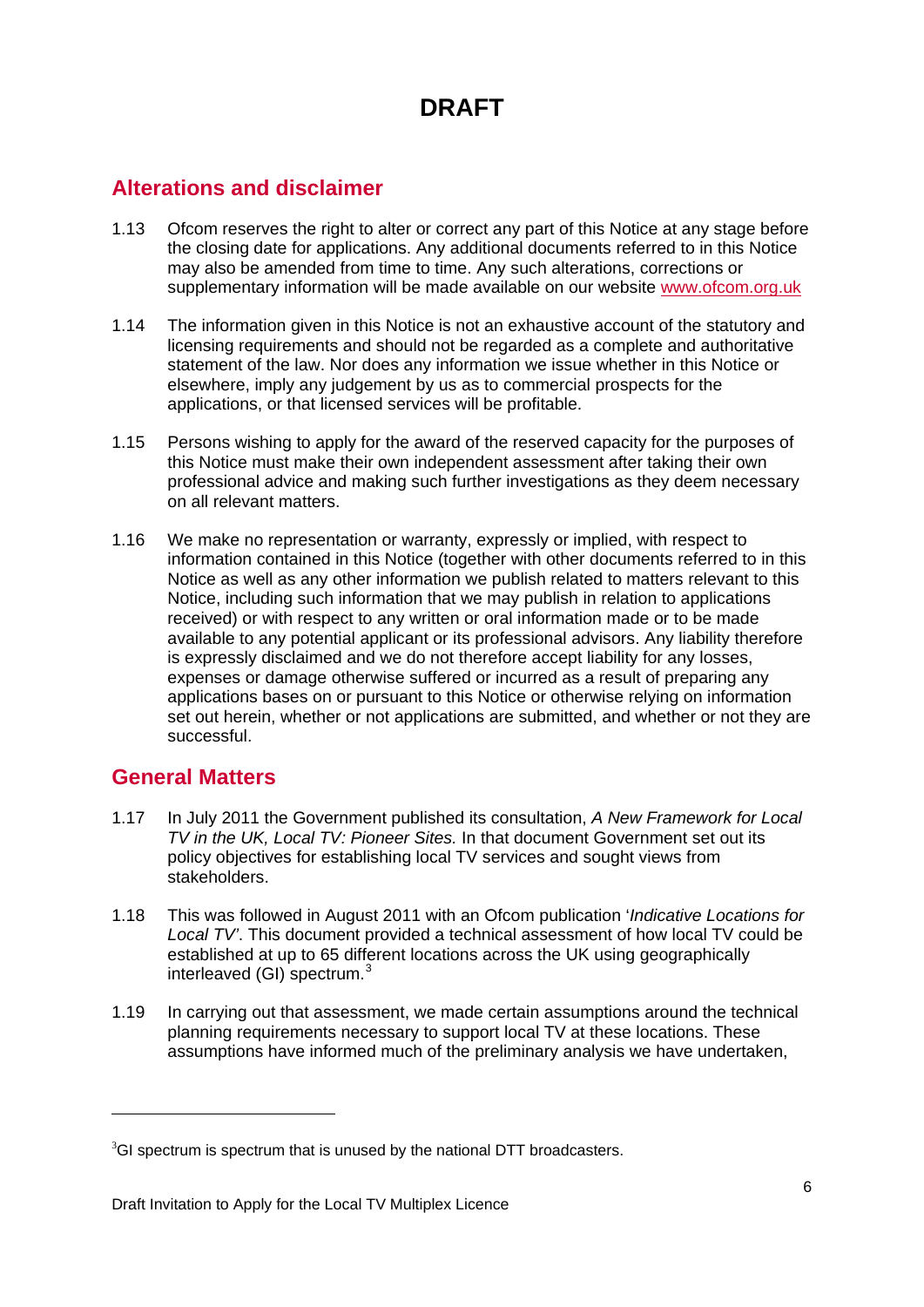### **Alterations and disclaimer**

- 1.13 Ofcom reserves the right to alter or correct any part of this Notice at any stage before the closing date for applications. Any additional documents referred to in this Notice may also be amended from time to time. Any such alterations, corrections or supplementary information will be made available on our website [www.ofcom.org.uk](http://www.ofcom.org.uk/)
- 1.14 The information given in this Notice is not an exhaustive account of the statutory and licensing requirements and should not be regarded as a complete and authoritative statement of the law. Nor does any information we issue whether in this Notice or elsewhere, imply any judgement by us as to commercial prospects for the applications, or that licensed services will be profitable.
- 1.15 Persons wishing to apply for the award of the reserved capacity for the purposes of this Notice must make their own independent assessment after taking their own professional advice and making such further investigations as they deem necessary on all relevant matters.
- 1.16 We make no representation or warranty, expressly or implied, with respect to information contained in this Notice (together with other documents referred to in this Notice as well as any other information we publish related to matters relevant to this Notice, including such information that we may publish in relation to applications received) or with respect to any written or oral information made or to be made available to any potential applicant or its professional advisors. Any liability therefore is expressly disclaimed and we do not therefore accept liability for any losses, expenses or damage otherwise suffered or incurred as a result of preparing any applications bases on or pursuant to this Notice or otherwise relying on information set out herein, whether or not applications are submitted, and whether or not they are successful.

### **General Matters**

<u>.</u>

- 1.17 In July 2011 the Government published its consultation, *A New Framework for Local TV in the UK, Local TV: Pioneer Sites.* In that document Government set out its policy objectives for establishing local TV services and sought views from stakeholders.
- 1.18 This was followed in August 2011 with an Ofcom publication '*Indicative Locations for Local TV'*. This document provided a technical assessment of how local TV could be established at up to 65 different locations across the UK using geographically interleaved (GI) spectrum.<sup>[3](#page-6-0)</sup>
- 1.19 In carrying out that assessment, we made certain assumptions around the technical planning requirements necessary to support local TV at these locations. These assumptions have informed much of the preliminary analysis we have undertaken,

<span id="page-6-0"></span> $3$ GI spectrum is spectrum that is unused by the national DTT broadcasters.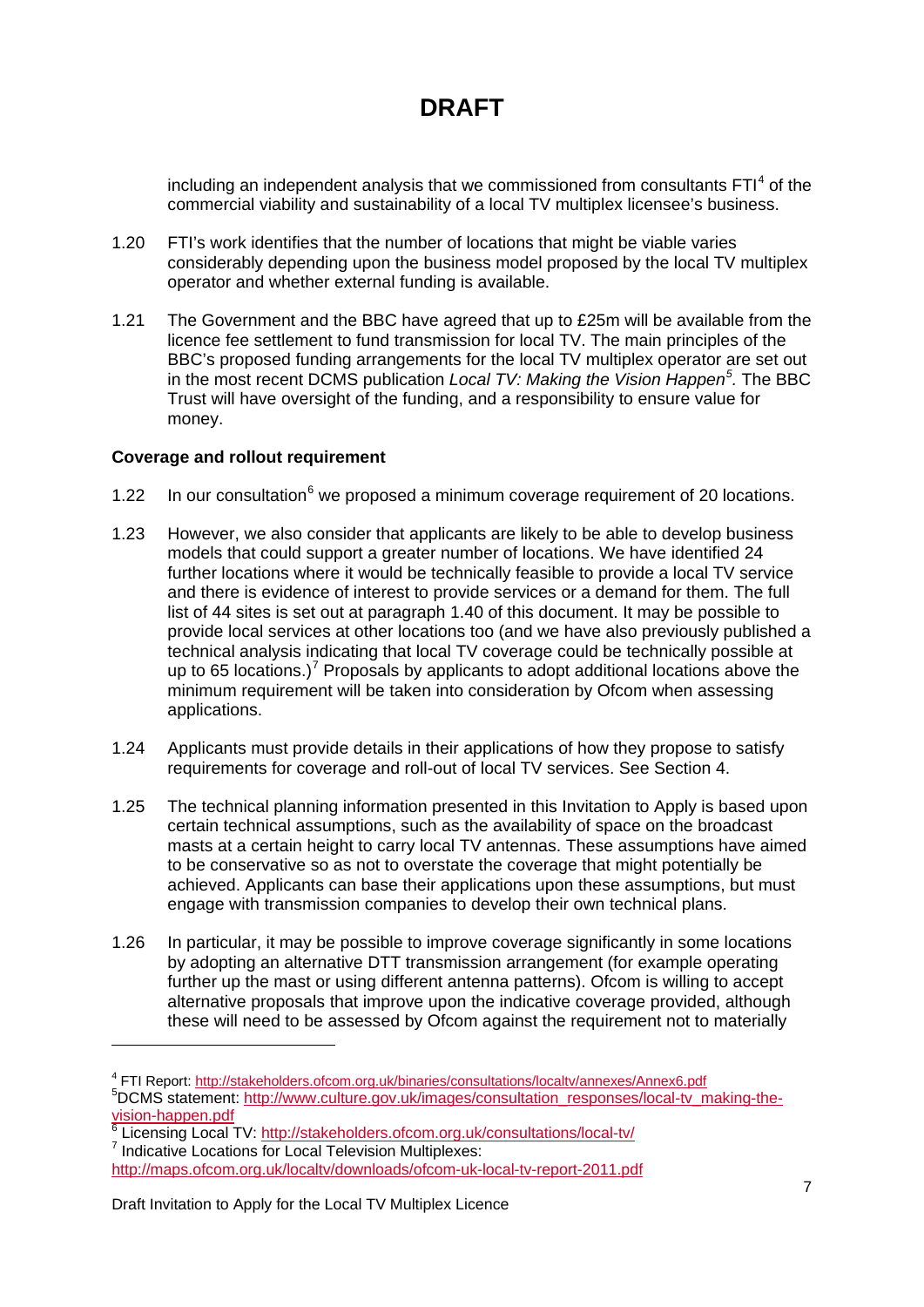including an independent analysis that we commissioned from consultants  $FTI<sup>4</sup>$  $FTI<sup>4</sup>$  $FTI<sup>4</sup>$  of the commercial viability and sustainability of a local TV multiplex licensee's business.

- 1.20 FTI's work identifies that the number of locations that might be viable varies considerably depending upon the business model proposed by the local TV multiplex operator and whether external funding is available.
- 1.21 The Government and the BBC have agreed that up to £25m will be available from the licence fee settlement to fund transmission for local TV. The main principles of the BBC's proposed funding arrangements for the local TV multiplex operator are set out in the most recent DCMS publication *Local TV: Making the Vision Happen[5](#page-7-1) .* The BBC Trust will have oversight of the funding, and a responsibility to ensure value for money.

#### **Coverage and rollout requirement**

- 1.22 In our consultation $6$  we proposed a minimum coverage requirement of 20 locations.
- 1.23 However, we also consider that applicants are likely to be able to develop business models that could support a greater number of locations. We have identified 24 further locations where it would be technically feasible to provide a local TV service and there is evidence of interest to provide services or a demand for them. The full list of 44 sites is set out at paragraph 1.40 of this document. It may be possible to provide local services at other locations too (and we have also previously published a technical analysis indicating that local TV coverage could be technically possible at up to 65 locations.)<sup>[7](#page-7-3)</sup> Proposals by applicants to adopt additional locations above the minimum requirement will be taken into consideration by Ofcom when assessing applications.
- 1.24 Applicants must provide details in their applications of how they propose to satisfy requirements for coverage and roll-out of local TV services. See Section 4.
- 1.25 The technical planning information presented in this Invitation to Apply is based upon certain technical assumptions, such as the availability of space on the broadcast masts at a certain height to carry local TV antennas. These assumptions have aimed to be conservative so as not to overstate the coverage that might potentially be achieved. Applicants can base their applications upon these assumptions, but must engage with transmission companies to develop their own technical plans.
- 1.26 In particular, it may be possible to improve coverage significantly in some locations by adopting an alternative DTT transmission arrangement (for example operating further up the mast or using different antenna patterns). Ofcom is willing to accept alternative proposals that improve upon the indicative coverage provided, although these will need to be assessed by Ofcom against the requirement not to materially

<span id="page-7-3"></span><span id="page-7-2"></span><span id="page-7-1"></span>[vision-happen.pdf](http://www.culture.gov.uk/images/consultation_responses/local-tv_making-the-vision-happen.pdf)<br>
<sup>6</sup> Licensing Local TV: <u>http://stakeholders.ofcom.org.uk/consultations/local-tv/</u><br>
<sup>7</sup> Indicative Locations for Local Television Multiplexes: <http://maps.ofcom.org.uk/localtv/downloads/ofcom-uk-local-tv-report-2011.pdf>

<u>.</u>

<span id="page-7-0"></span><sup>4</sup> FTI Report:<http://stakeholders.ofcom.org.uk/binaries/consultations/localtv/annexes/Annex6.pdf> <sup>5</sup> <sup>5</sup>DCMS statement: [http://www.culture.gov.uk/images/consultation\\_responses/local-tv\\_making-the-](http://www.culture.gov.uk/images/consultation_responses/local-tv_making-the-vision-happen.pdf)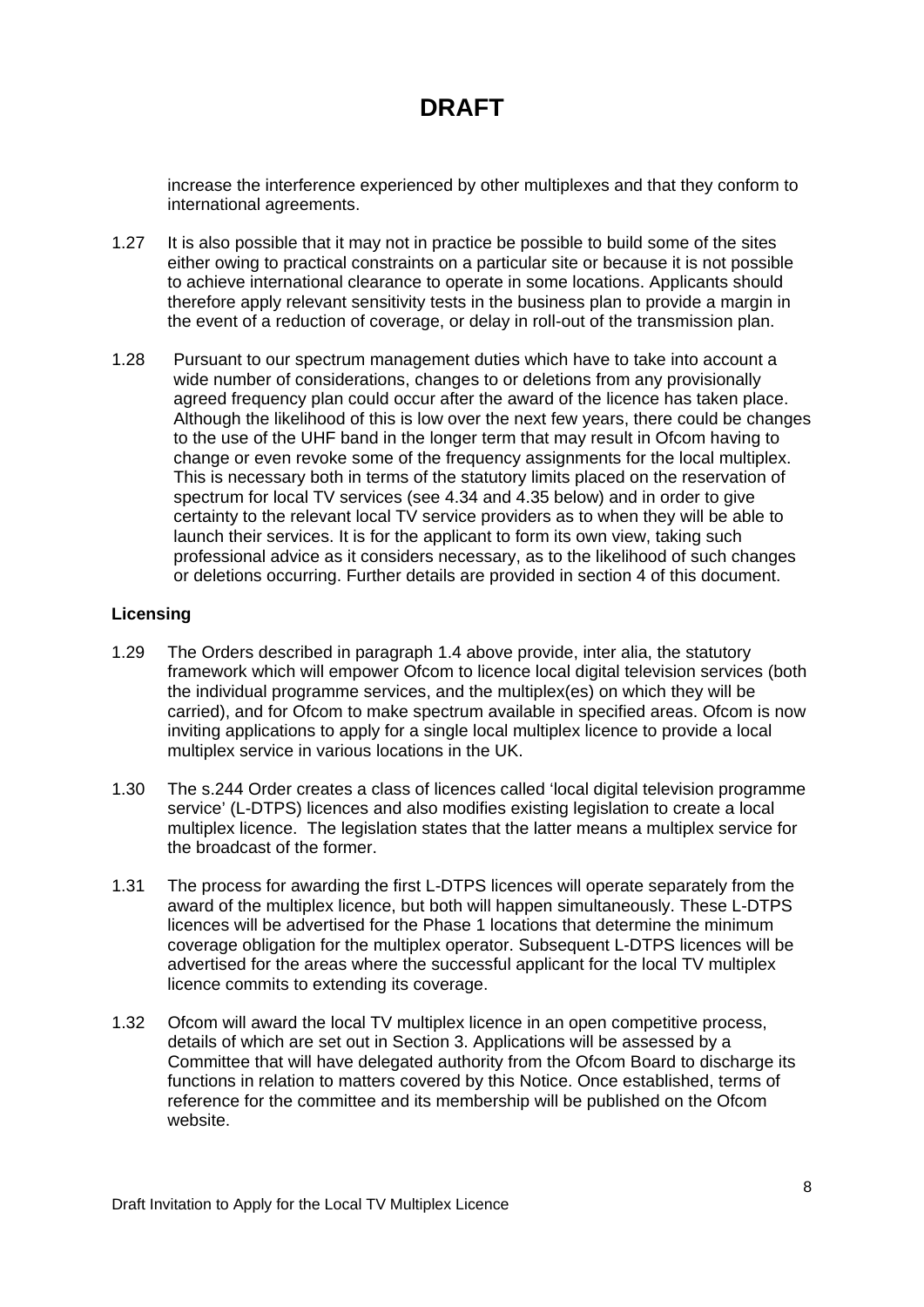increase the interference experienced by other multiplexes and that they conform to international agreements.

- 1.27 It is also possible that it may not in practice be possible to build some of the sites either owing to practical constraints on a particular site or because it is not possible to achieve international clearance to operate in some locations. Applicants should therefore apply relevant sensitivity tests in the business plan to provide a margin in the event of a reduction of coverage, or delay in roll-out of the transmission plan.
- 1.28 Pursuant to our spectrum management duties which have to take into account a wide number of considerations, changes to or deletions from any provisionally agreed frequency plan could occur after the award of the licence has taken place. Although the likelihood of this is low over the next few years, there could be changes to the use of the UHF band in the longer term that may result in Ofcom having to change or even revoke some of the frequency assignments for the local multiplex. This is necessary both in terms of the statutory limits placed on the reservation of spectrum for local TV services (see 4.34 and 4.35 below) and in order to give certainty to the relevant local TV service providers as to when they will be able to launch their services. It is for the applicant to form its own view, taking such professional advice as it considers necessary, as to the likelihood of such changes or deletions occurring. Further details are provided in section 4 of this document.

#### **Licensing**

- 1.29 The Orders described in paragraph 1.4 above provide, inter alia, the statutory framework which will empower Ofcom to licence local digital television services (both the individual programme services, and the multiplex(es) on which they will be carried), and for Ofcom to make spectrum available in specified areas. Ofcom is now inviting applications to apply for a single local multiplex licence to provide a local multiplex service in various locations in the UK.
- 1.30 The s.244 Order creates a class of licences called 'local digital television programme service' (L-DTPS) licences and also modifies existing legislation to create a local multiplex licence. The legislation states that the latter means a multiplex service for the broadcast of the former.
- 1.31 The process for awarding the first L-DTPS licences will operate separately from the award of the multiplex licence, but both will happen simultaneously. These L-DTPS licences will be advertised for the Phase 1 locations that determine the minimum coverage obligation for the multiplex operator. Subsequent L-DTPS licences will be advertised for the areas where the successful applicant for the local TV multiplex licence commits to extending its coverage.
- 1.32 Ofcom will award the local TV multiplex licence in an open competitive process, details of which are set out in Section 3. Applications will be assessed by a Committee that will have delegated authority from the Ofcom Board to discharge its functions in relation to matters covered by this Notice. Once established, terms of reference for the committee and its membership will be published on the Ofcom website.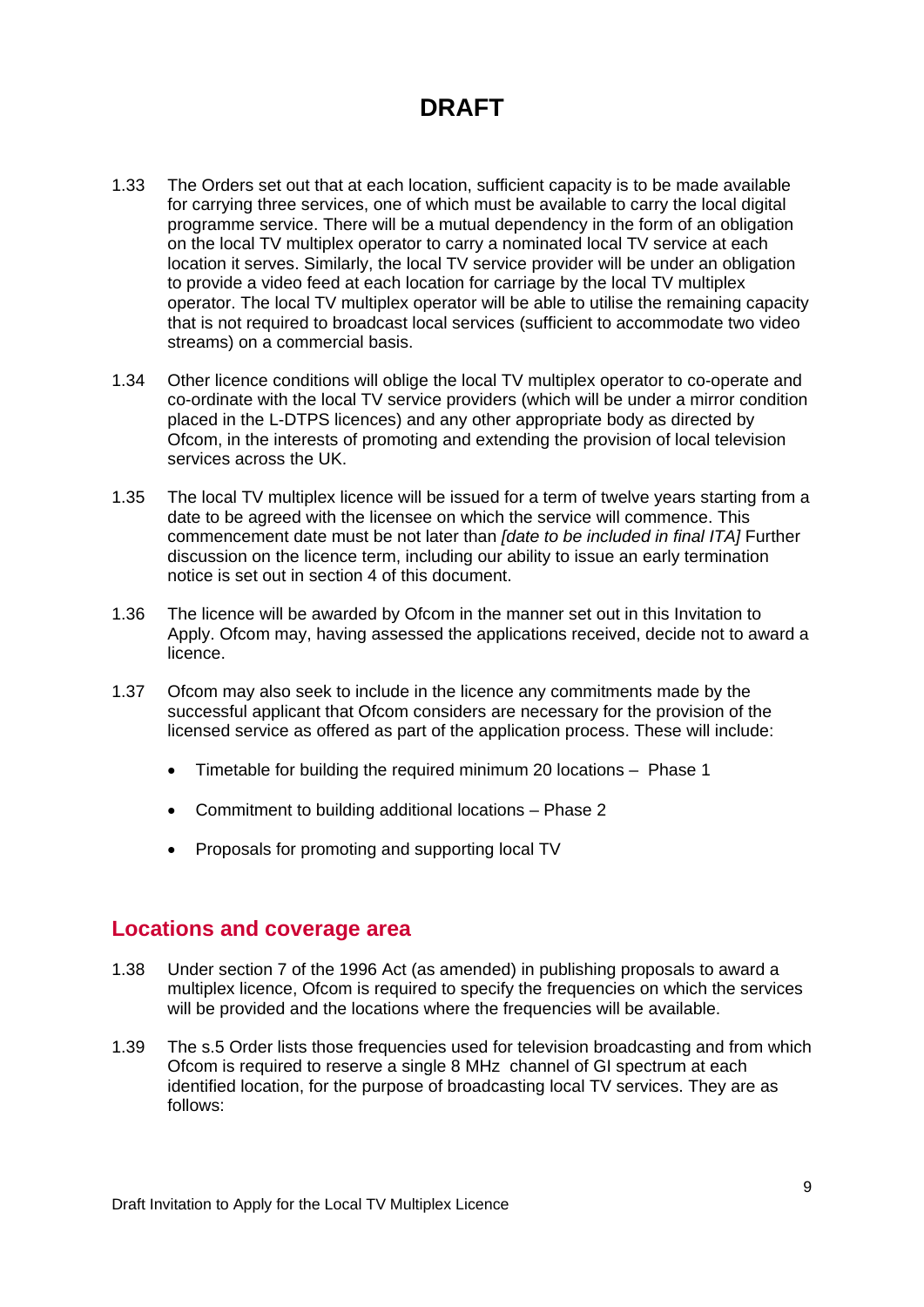- 1.33 The Orders set out that at each location, sufficient capacity is to be made available for carrying three services, one of which must be available to carry the local digital programme service. There will be a mutual dependency in the form of an obligation on the local TV multiplex operator to carry a nominated local TV service at each location it serves. Similarly, the local TV service provider will be under an obligation to provide a video feed at each location for carriage by the local TV multiplex operator. The local TV multiplex operator will be able to utilise the remaining capacity that is not required to broadcast local services (sufficient to accommodate two video streams) on a commercial basis.
- 1.34 Other licence conditions will oblige the local TV multiplex operator to co-operate and co-ordinate with the local TV service providers (which will be under a mirror condition placed in the L-DTPS licences) and any other appropriate body as directed by Ofcom, in the interests of promoting and extending the provision of local television services across the UK.
- 1.35 The local TV multiplex licence will be issued for a term of twelve years starting from a date to be agreed with the licensee on which the service will commence. This commencement date must be not later than *[date to be included in final ITA]* Further discussion on the licence term, including our ability to issue an early termination notice is set out in section 4 of this document.
- 1.36 The licence will be awarded by Ofcom in the manner set out in this Invitation to Apply. Ofcom may, having assessed the applications received, decide not to award a licence.
- 1.37 Ofcom may also seek to include in the licence any commitments made by the successful applicant that Ofcom considers are necessary for the provision of the licensed service as offered as part of the application process. These will include:
	- Timetable for building the required minimum 20 locations Phase 1
	- Commitment to building additional locations Phase 2
	- Proposals for promoting and supporting local TV

#### **Locations and coverage area**

- 1.38 Under section 7 of the 1996 Act (as amended) in publishing proposals to award a multiplex licence, Ofcom is required to specify the frequencies on which the services will be provided and the locations where the frequencies will be available.
- 1.39 The s.5 Order lists those frequencies used for television broadcasting and from which Ofcom is required to reserve a single 8 MHz channel of GI spectrum at each identified location, for the purpose of broadcasting local TV services. They are as follows: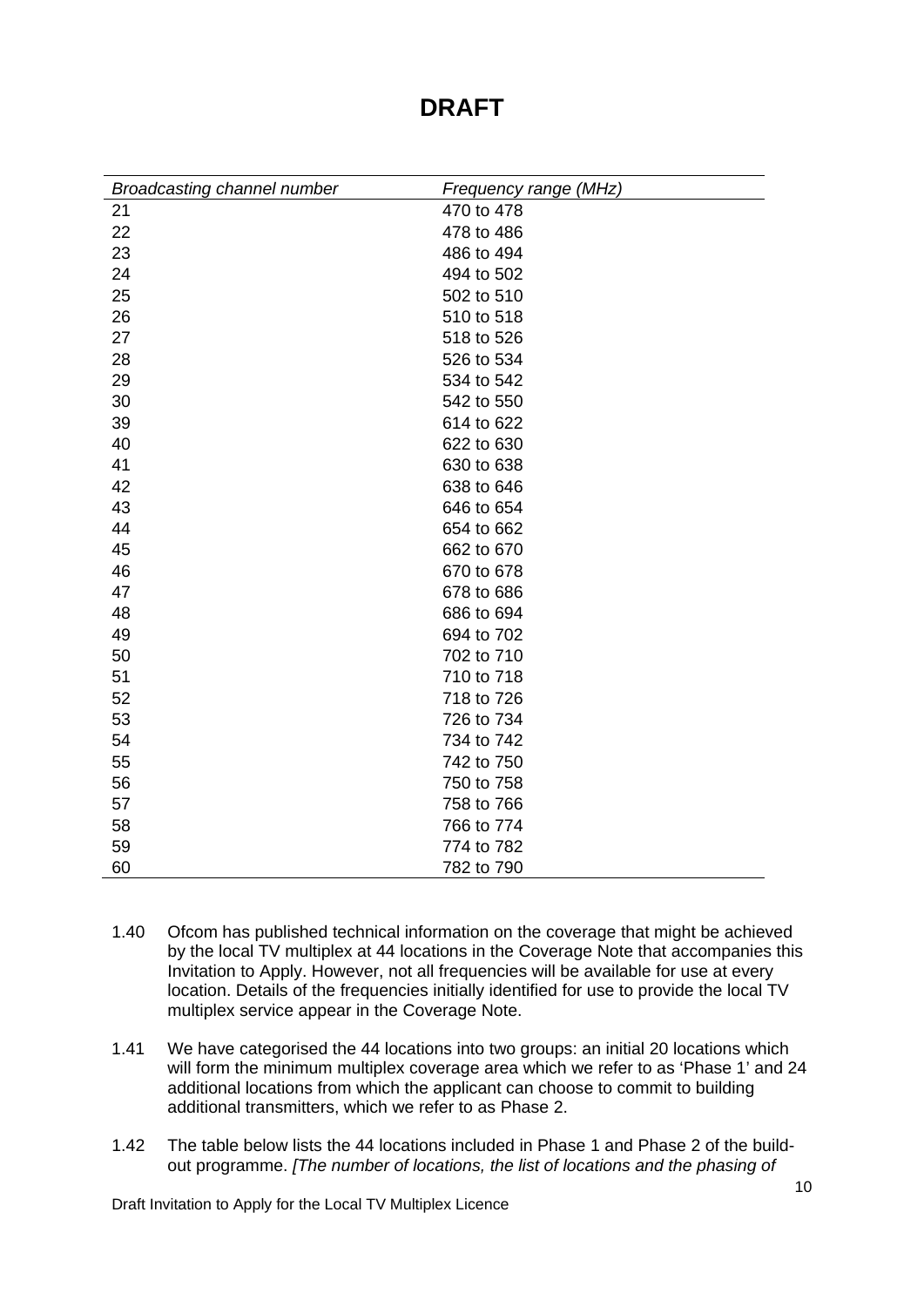| <b>Broadcasting channel number</b> | Frequency range (MHz) |
|------------------------------------|-----------------------|
| 21                                 | 470 to 478            |
| 22                                 | 478 to 486            |
| 23                                 | 486 to 494            |
| 24                                 | 494 to 502            |
| 25                                 | 502 to 510            |
| 26                                 | 510 to 518            |
| 27                                 | 518 to 526            |
| 28                                 | 526 to 534            |
| 29                                 | 534 to 542            |
| 30                                 | 542 to 550            |
| 39                                 | 614 to 622            |
| 40                                 | 622 to 630            |
| 41                                 | 630 to 638            |
| 42                                 | 638 to 646            |
| 43                                 | 646 to 654            |
| 44                                 | 654 to 662            |
| 45                                 | 662 to 670            |
| 46                                 | 670 to 678            |
| 47                                 | 678 to 686            |
| 48                                 | 686 to 694            |
| 49                                 | 694 to 702            |
| 50                                 | 702 to 710            |
| 51                                 | 710 to 718            |
| 52                                 | 718 to 726            |
| 53                                 | 726 to 734            |
| 54                                 | 734 to 742            |
| 55                                 | 742 to 750            |
| 56                                 | 750 to 758            |
| 57                                 | 758 to 766            |
| 58                                 | 766 to 774            |
| 59                                 | 774 to 782            |
| 60                                 | 782 to 790            |

- 1.40 Ofcom has published technical information on the coverage that might be achieved by the local TV multiplex at 44 locations in the Coverage Note that accompanies this Invitation to Apply. However, not all frequencies will be available for use at every location. Details of the frequencies initially identified for use to provide the local TV multiplex service appear in the Coverage Note.
- 1.41 We have categorised the 44 locations into two groups: an initial 20 locations which will form the minimum multiplex coverage area which we refer to as 'Phase 1' and 24 additional locations from which the applicant can choose to commit to building additional transmitters, which we refer to as Phase 2.
- 1.42 The table below lists the 44 locations included in Phase 1 and Phase 2 of the buildout programme. *[The number of locations, the list of locations and the phasing of*

Draft Invitation to Apply for the Local TV Multiplex Licence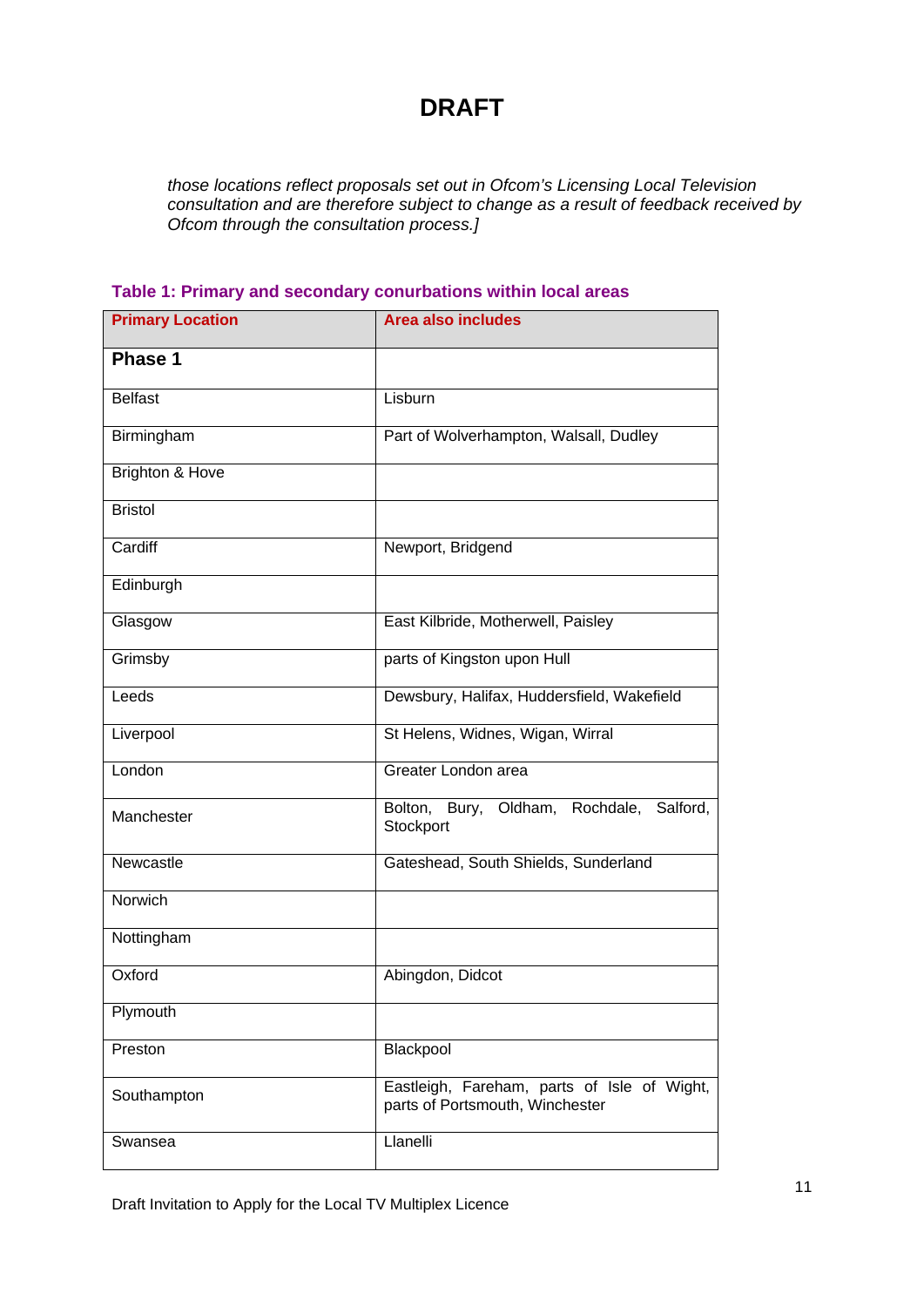*those locations reflect proposals set out in Ofcom's Licensing Local Television consultation and are therefore subject to change as a result of feedback received by Ofcom through the consultation process.]*

| <b>Primary Location</b>    | <b>Area also includes</b>                                                      |
|----------------------------|--------------------------------------------------------------------------------|
| Phase 1                    |                                                                                |
| <b>Belfast</b>             | Lisburn                                                                        |
| Birmingham                 | Part of Wolverhampton, Walsall, Dudley                                         |
| <b>Brighton &amp; Hove</b> |                                                                                |
| <b>Bristol</b>             |                                                                                |
| Cardiff                    | Newport, Bridgend                                                              |
| Edinburgh                  |                                                                                |
| Glasgow                    | East Kilbride, Motherwell, Paisley                                             |
| Grimsby                    | parts of Kingston upon Hull                                                    |
| Leeds                      | Dewsbury, Halifax, Huddersfield, Wakefield                                     |
| Liverpool                  | St Helens, Widnes, Wigan, Wirral                                               |
| London                     | Greater London area                                                            |
| Manchester                 | Bolton, Bury, Oldham, Rochdale,<br>Salford,<br>Stockport                       |
| Newcastle                  | Gateshead, South Shields, Sunderland                                           |
| Norwich                    |                                                                                |
| Nottingham                 |                                                                                |
| Oxford                     | Abingdon, Didcot                                                               |
| Plymouth                   |                                                                                |
| Preston                    | Blackpool                                                                      |
| Southampton                | Eastleigh, Fareham, parts of Isle of Wight,<br>parts of Portsmouth, Winchester |
| Swansea                    | Llanelli                                                                       |

#### **Table 1: Primary and secondary conurbations within local areas**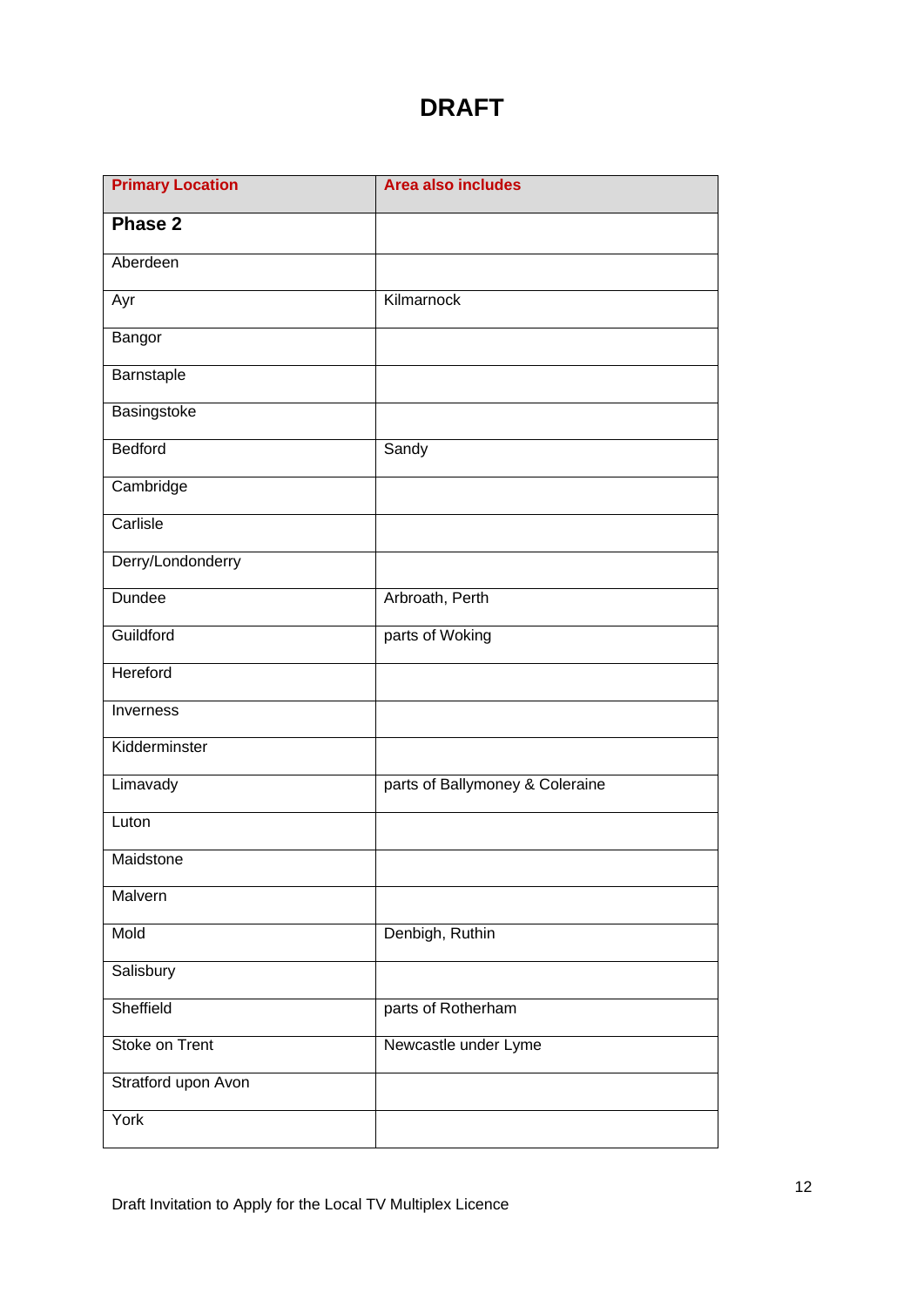| <b>Primary Location</b> | <b>Area also includes</b>       |
|-------------------------|---------------------------------|
| Phase 2                 |                                 |
| Aberdeen                |                                 |
| Ayr                     | Kilmarnock                      |
| Bangor                  |                                 |
| Barnstaple              |                                 |
| Basingstoke             |                                 |
| Bedford                 | Sandy                           |
| Cambridge               |                                 |
| Carlisle                |                                 |
| Derry/Londonderry       |                                 |
| <b>Dundee</b>           | Arbroath, Perth                 |
| Guildford               | parts of Woking                 |
| Hereford                |                                 |
| Inverness               |                                 |
| Kidderminster           |                                 |
| Limavady                | parts of Ballymoney & Coleraine |
| Luton                   |                                 |
| Maidstone               |                                 |
| Malvern                 |                                 |
| Mold                    | Denbigh, Ruthin                 |
| Salisbury               |                                 |
| Sheffield               | parts of Rotherham              |
| Stoke on Trent          | Newcastle under Lyme            |
| Stratford upon Avon     |                                 |
| York                    |                                 |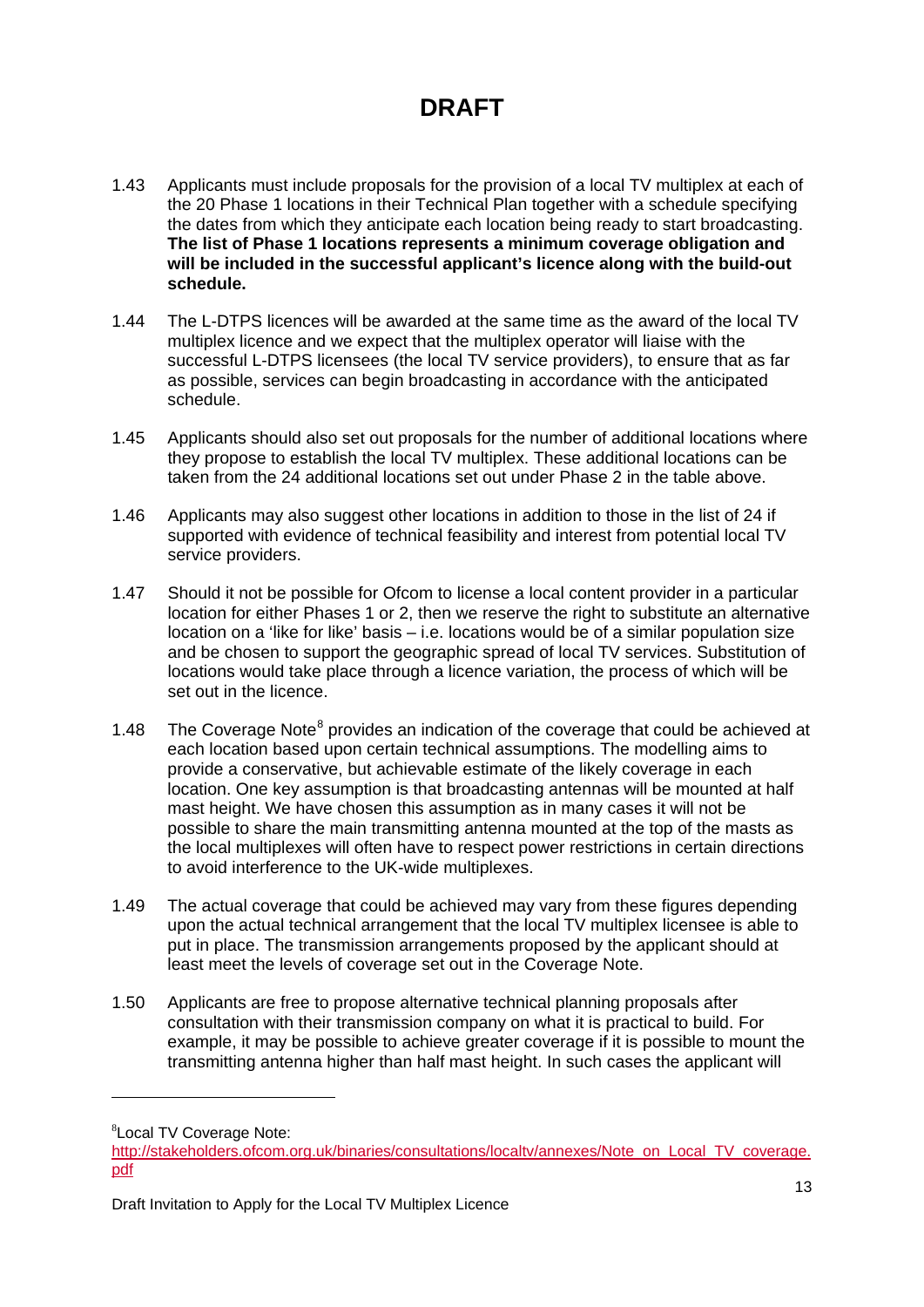- 1.43 Applicants must include proposals for the provision of a local TV multiplex at each of the 20 Phase 1 locations in their Technical Plan together with a schedule specifying the dates from which they anticipate each location being ready to start broadcasting. **The list of Phase 1 locations represents a minimum coverage obligation and will be included in the successful applicant's licence along with the build-out schedule.**
- 1.44 The L-DTPS licences will be awarded at the same time as the award of the local TV multiplex licence and we expect that the multiplex operator will liaise with the successful L-DTPS licensees (the local TV service providers), to ensure that as far as possible, services can begin broadcasting in accordance with the anticipated schedule.
- 1.45 Applicants should also set out proposals for the number of additional locations where they propose to establish the local TV multiplex. These additional locations can be taken from the 24 additional locations set out under Phase 2 in the table above.
- 1.46 Applicants may also suggest other locations in addition to those in the list of 24 if supported with evidence of technical feasibility and interest from potential local TV service providers.
- 1.47 Should it not be possible for Ofcom to license a local content provider in a particular location for either Phases 1 or 2, then we reserve the right to substitute an alternative location on a 'like for like' basis – i.e. locations would be of a similar population size and be chosen to support the geographic spread of local TV services. Substitution of locations would take place through a licence variation, the process of which will be set out in the licence.
- 1.4[8](#page-13-0) The Coverage Note<sup>8</sup> provides an indication of the coverage that could be achieved at each location based upon certain technical assumptions. The modelling aims to provide a conservative, but achievable estimate of the likely coverage in each location. One key assumption is that broadcasting antennas will be mounted at half mast height. We have chosen this assumption as in many cases it will not be possible to share the main transmitting antenna mounted at the top of the masts as the local multiplexes will often have to respect power restrictions in certain directions to avoid interference to the UK-wide multiplexes.
- 1.49 The actual coverage that could be achieved may vary from these figures depending upon the actual technical arrangement that the local TV multiplex licensee is able to put in place. The transmission arrangements proposed by the applicant should at least meet the levels of coverage set out in the Coverage Note.
- 1.50 Applicants are free to propose alternative technical planning proposals after consultation with their transmission company on what it is practical to build. For example, it may be possible to achieve greater coverage if it is possible to mount the transmitting antenna higher than half mast height. In such cases the applicant will

-

<span id="page-13-0"></span><sup>8</sup> Local TV Coverage Note:

[http://stakeholders.ofcom.org.uk/binaries/consultations/localtv/annexes/Note\\_on\\_Local\\_TV\\_coverage.](http://stakeholders.ofcom.org.uk/binaries/consultations/localtv/annexes/Note_on_Local_TV_coverage.pdf) [pdf](http://stakeholders.ofcom.org.uk/binaries/consultations/localtv/annexes/Note_on_Local_TV_coverage.pdf)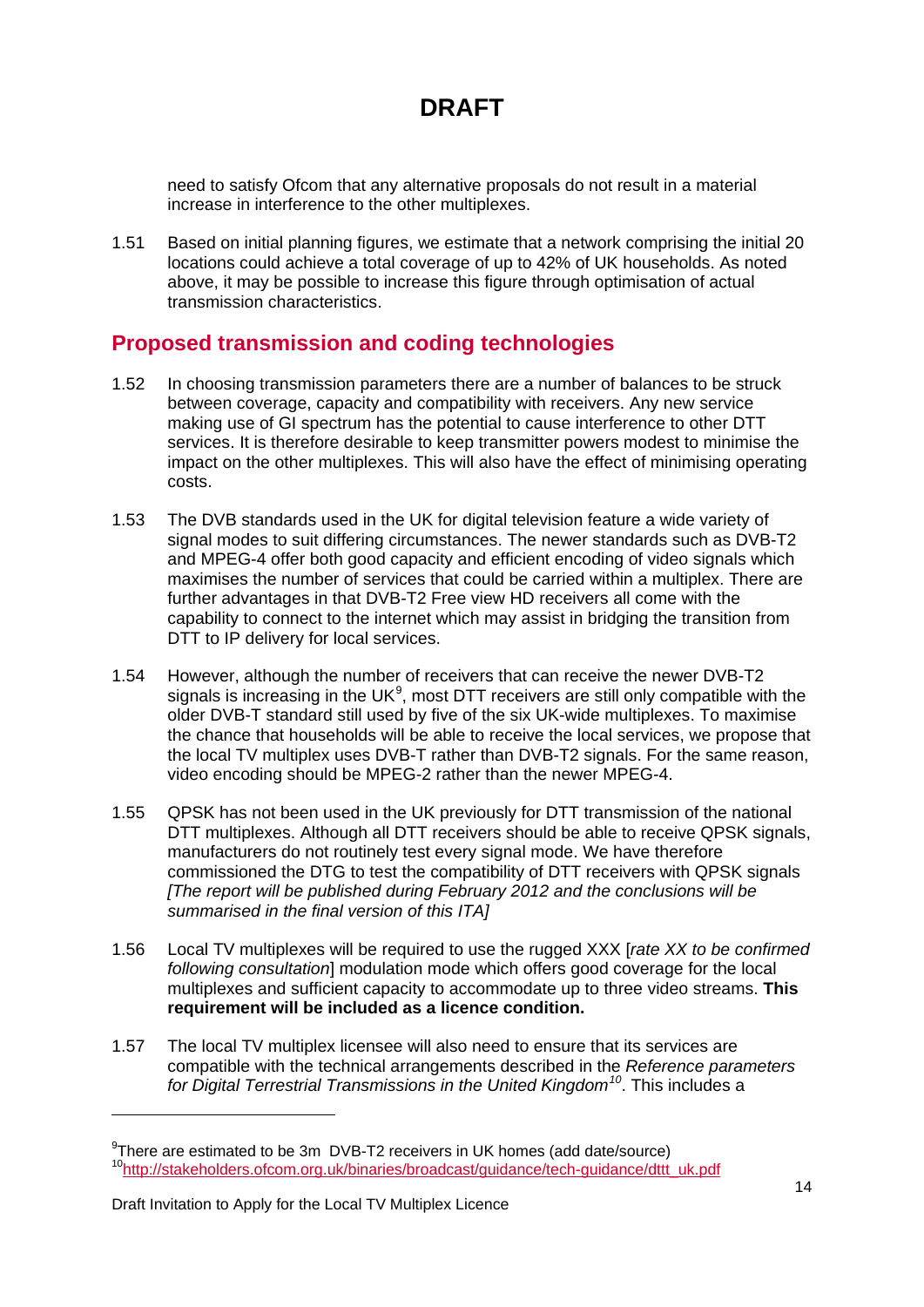need to satisfy Ofcom that any alternative proposals do not result in a material increase in interference to the other multiplexes.

1.51 Based on initial planning figures, we estimate that a network comprising the initial 20 locations could achieve a total coverage of up to 42% of UK households. As noted above, it may be possible to increase this figure through optimisation of actual transmission characteristics.

### **Proposed transmission and coding technologies**

- 1.52 In choosing transmission parameters there are a number of balances to be struck between coverage, capacity and compatibility with receivers. Any new service making use of GI spectrum has the potential to cause interference to other DTT services. It is therefore desirable to keep transmitter powers modest to minimise the impact on the other multiplexes. This will also have the effect of minimising operating costs.
- 1.53 The DVB standards used in the UK for digital television feature a wide variety of signal modes to suit differing circumstances. The newer standards such as DVB-T2 and MPEG-4 offer both good capacity and efficient encoding of video signals which maximises the number of services that could be carried within a multiplex. There are further advantages in that DVB-T2 Free view HD receivers all come with the capability to connect to the internet which may assist in bridging the transition from DTT to IP delivery for local services.
- 1.54 However, although the number of receivers that can receive the newer DVB-T2 signals is increasing in the UK $9$ , most DTT receivers are still only compatible with the older DVB-T standard still used by five of the six UK-wide multiplexes. To maximise the chance that households will be able to receive the local services, we propose that the local TV multiplex uses DVB-T rather than DVB-T2 signals. For the same reason, video encoding should be MPEG-2 rather than the newer MPEG-4.
- 1.55 QPSK has not been used in the UK previously for DTT transmission of the national DTT multiplexes. Although all DTT receivers should be able to receive QPSK signals. manufacturers do not routinely test every signal mode. We have therefore commissioned the DTG to test the compatibility of DTT receivers with QPSK signals *[The report will be published during February 2012 and the conclusions will be summarised in the final version of this ITA]*
- 1.56 Local TV multiplexes will be required to use the rugged XXX [*rate XX to be confirmed following consultation*] modulation mode which offers good coverage for the local multiplexes and sufficient capacity to accommodate up to three video streams. **This requirement will be included as a licence condition.**
- 1.57 The local TV multiplex licensee will also need to ensure that its services are compatible with the technical arrangements described in the *Reference parameters for Digital Terrestrial Transmissions in the United Kingdom[10](#page-14-1)* . This includes a

-

<span id="page-14-1"></span><span id="page-14-0"></span><sup>&</sup>lt;sup>9</sup>There are estimated to be 3m DVB-T2 receivers in UK homes (add date/source) [10http://stakeholders.ofcom.org.uk/binaries/broadcast/guidance/tech-guidance/dttt\\_uk.pdf](http://stakeholders.ofcom.org.uk/binaries/broadcast/guidance/tech-guidance/dttt_uk.pdf)

Draft Invitation to Apply for the Local TV Multiplex Licence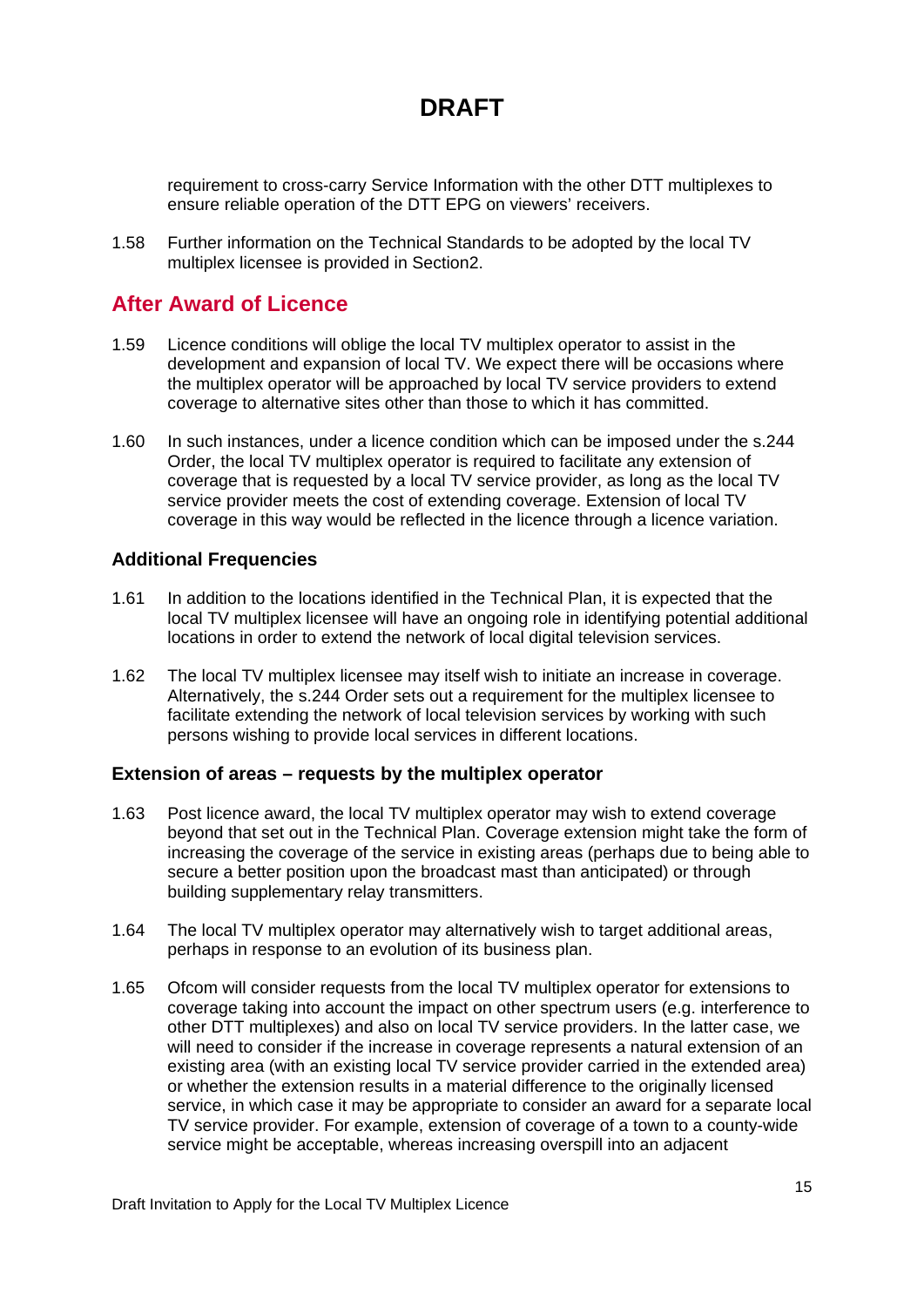requirement to cross-carry Service Information with the other DTT multiplexes to ensure reliable operation of the DTT EPG on viewers' receivers.

1.58 Further information on the Technical Standards to be adopted by the local TV multiplex licensee is provided in Section2.

### **After Award of Licence**

- 1.59 Licence conditions will oblige the local TV multiplex operator to assist in the development and expansion of local TV. We expect there will be occasions where the multiplex operator will be approached by local TV service providers to extend coverage to alternative sites other than those to which it has committed.
- 1.60 In such instances, under a licence condition which can be imposed under the s.244 Order, the local TV multiplex operator is required to facilitate any extension of coverage that is requested by a local TV service provider, as long as the local TV service provider meets the cost of extending coverage. Extension of local TV coverage in this way would be reflected in the licence through a licence variation.

#### **Additional Frequencies**

- 1.61 In addition to the locations identified in the Technical Plan, it is expected that the local TV multiplex licensee will have an ongoing role in identifying potential additional locations in order to extend the network of local digital television services.
- 1.62 The local TV multiplex licensee may itself wish to initiate an increase in coverage. Alternatively, the s.244 Order sets out a requirement for the multiplex licensee to facilitate extending the network of local television services by working with such persons wishing to provide local services in different locations.

#### **Extension of areas – requests by the multiplex operator**

- 1.63 Post licence award, the local TV multiplex operator may wish to extend coverage beyond that set out in the Technical Plan. Coverage extension might take the form of increasing the coverage of the service in existing areas (perhaps due to being able to secure a better position upon the broadcast mast than anticipated) or through building supplementary relay transmitters.
- 1.64 The local TV multiplex operator may alternatively wish to target additional areas, perhaps in response to an evolution of its business plan.
- 1.65 Ofcom will consider requests from the local TV multiplex operator for extensions to coverage taking into account the impact on other spectrum users (e.g. interference to other DTT multiplexes) and also on local TV service providers. In the latter case, we will need to consider if the increase in coverage represents a natural extension of an existing area (with an existing local TV service provider carried in the extended area) or whether the extension results in a material difference to the originally licensed service, in which case it may be appropriate to consider an award for a separate local TV service provider. For example, extension of coverage of a town to a county-wide service might be acceptable, whereas increasing overspill into an adjacent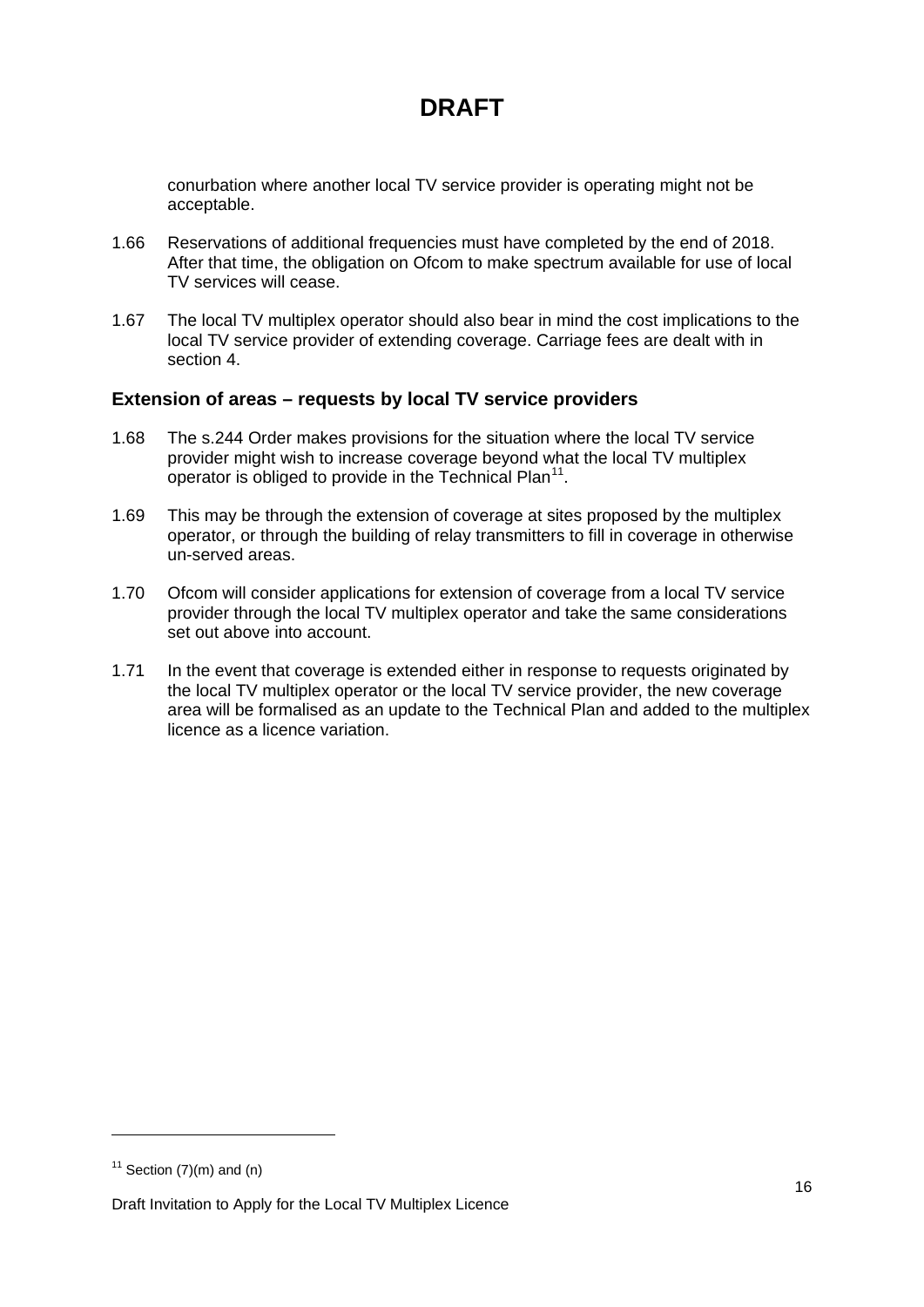conurbation where another local TV service provider is operating might not be acceptable.

- 1.66 Reservations of additional frequencies must have completed by the end of 2018. After that time, the obligation on Ofcom to make spectrum available for use of local TV services will cease.
- 1.67 The local TV multiplex operator should also bear in mind the cost implications to the local TV service provider of extending coverage. Carriage fees are dealt with in section 4.

#### **Extension of areas – requests by local TV service providers**

- 1.68 The s.244 Order makes provisions for the situation where the local TV service provider might wish to increase coverage beyond what the local TV multiplex operator is obliged to provide in the Technical Plan<sup>[11](#page-16-0)</sup>.
- 1.69 This may be through the extension of coverage at sites proposed by the multiplex operator, or through the building of relay transmitters to fill in coverage in otherwise un-served areas.
- 1.70 Ofcom will consider applications for extension of coverage from a local TV service provider through the local TV multiplex operator and take the same considerations set out above into account.
- 1.71 In the event that coverage is extended either in response to requests originated by the local TV multiplex operator or the local TV service provider, the new coverage area will be formalised as an update to the Technical Plan and added to the multiplex licence as a licence variation.

<u>.</u>

<span id="page-16-0"></span> $11$  Section (7)(m) and (n)

Draft Invitation to Apply for the Local TV Multiplex Licence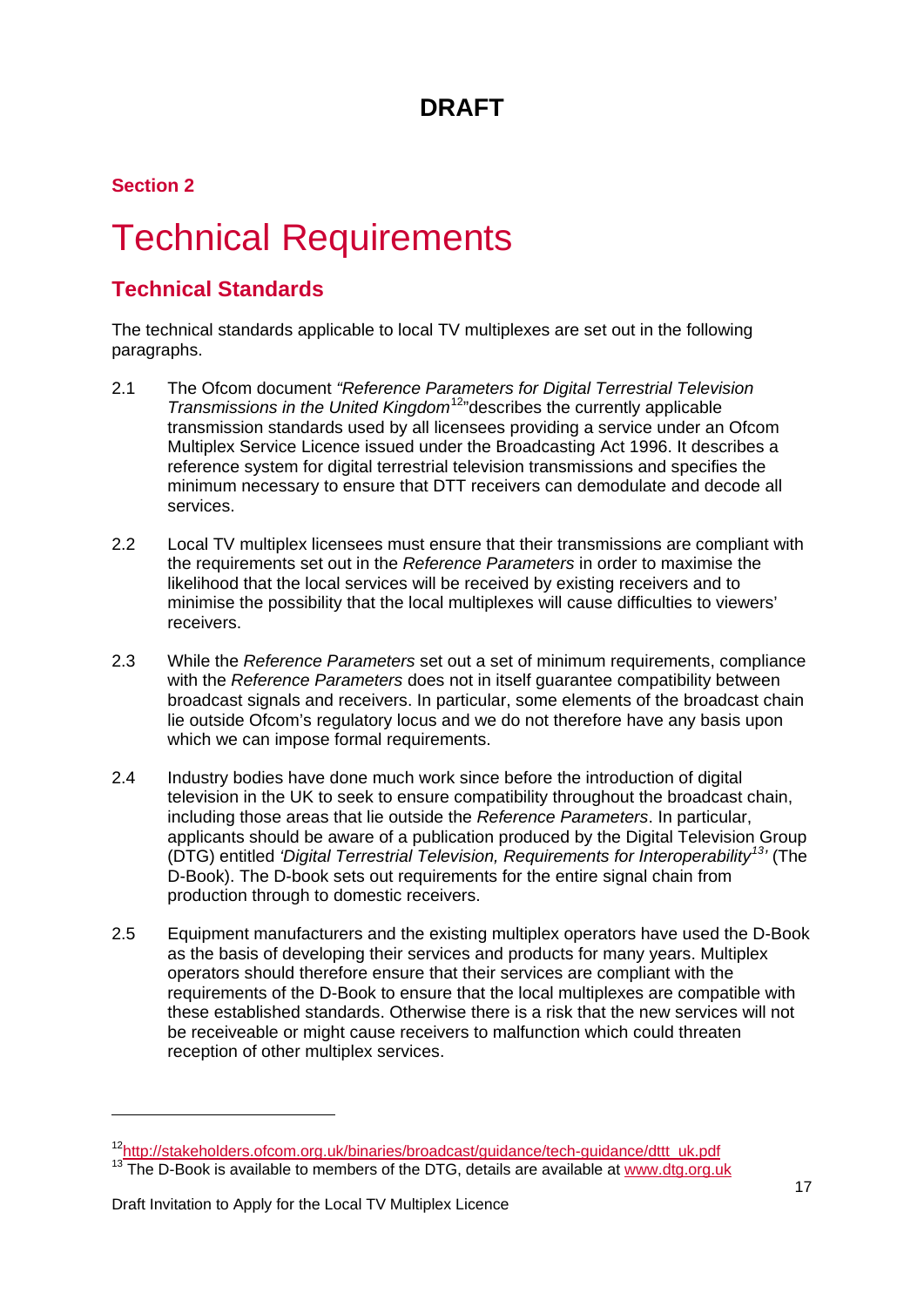**Section 2**

# <span id="page-17-0"></span>**Technical Requirements**

### **Technical Standards**

The technical standards applicable to local TV multiplexes are set out in the following paragraphs.

- 2.1 The Ofcom document *"Reference Parameters for Digital Terrestrial Television Transmissions in the United Kingdom*[12](#page-17-1) "describes the currently applicable transmission standards used by all licensees providing a service under an Ofcom Multiplex Service Licence issued under the Broadcasting Act 1996. It describes a reference system for digital terrestrial television transmissions and specifies the minimum necessary to ensure that DTT receivers can demodulate and decode all services.
- 2.2 Local TV multiplex licensees must ensure that their transmissions are compliant with the requirements set out in the *Reference Parameters* in order to maximise the likelihood that the local services will be received by existing receivers and to minimise the possibility that the local multiplexes will cause difficulties to viewers' receivers.
- 2.3 While the *Reference Parameters* set out a set of minimum requirements, compliance with the *Reference Parameters* does not in itself guarantee compatibility between broadcast signals and receivers. In particular, some elements of the broadcast chain lie outside Ofcom's regulatory locus and we do not therefore have any basis upon which we can impose formal requirements.
- 2.4 Industry bodies have done much work since before the introduction of digital television in the UK to seek to ensure compatibility throughout the broadcast chain, including those areas that lie outside the *Reference Parameters*. In particular, applicants should be aware of a publication produced by the Digital Television Group (DTG) entitled *'Digital Terrestrial Television, Requirements for Interoperability[13](#page-17-2) '* (The D-Book). The D-book sets out requirements for the entire signal chain from production through to domestic receivers.
- 2.5 Equipment manufacturers and the existing multiplex operators have used the D-Book as the basis of developing their services and products for many years. Multiplex operators should therefore ensure that their services are compliant with the requirements of the D-Book to ensure that the local multiplexes are compatible with these established standards. Otherwise there is a risk that the new services will not be receiveable or might cause receivers to malfunction which could threaten reception of other multiplex services.

-

<span id="page-17-2"></span><span id="page-17-1"></span><sup>&</sup>lt;sup>12</sup>http://stakeholders.ofcom.org.uk/binaries/broadcast/guidance/tech-guidance/dttt\_uk.pdf<br><sup>13</sup> The D-Book is available to members of the DTG, details are available at [www.dtg.org.uk](http://www.dtg.org.uk/)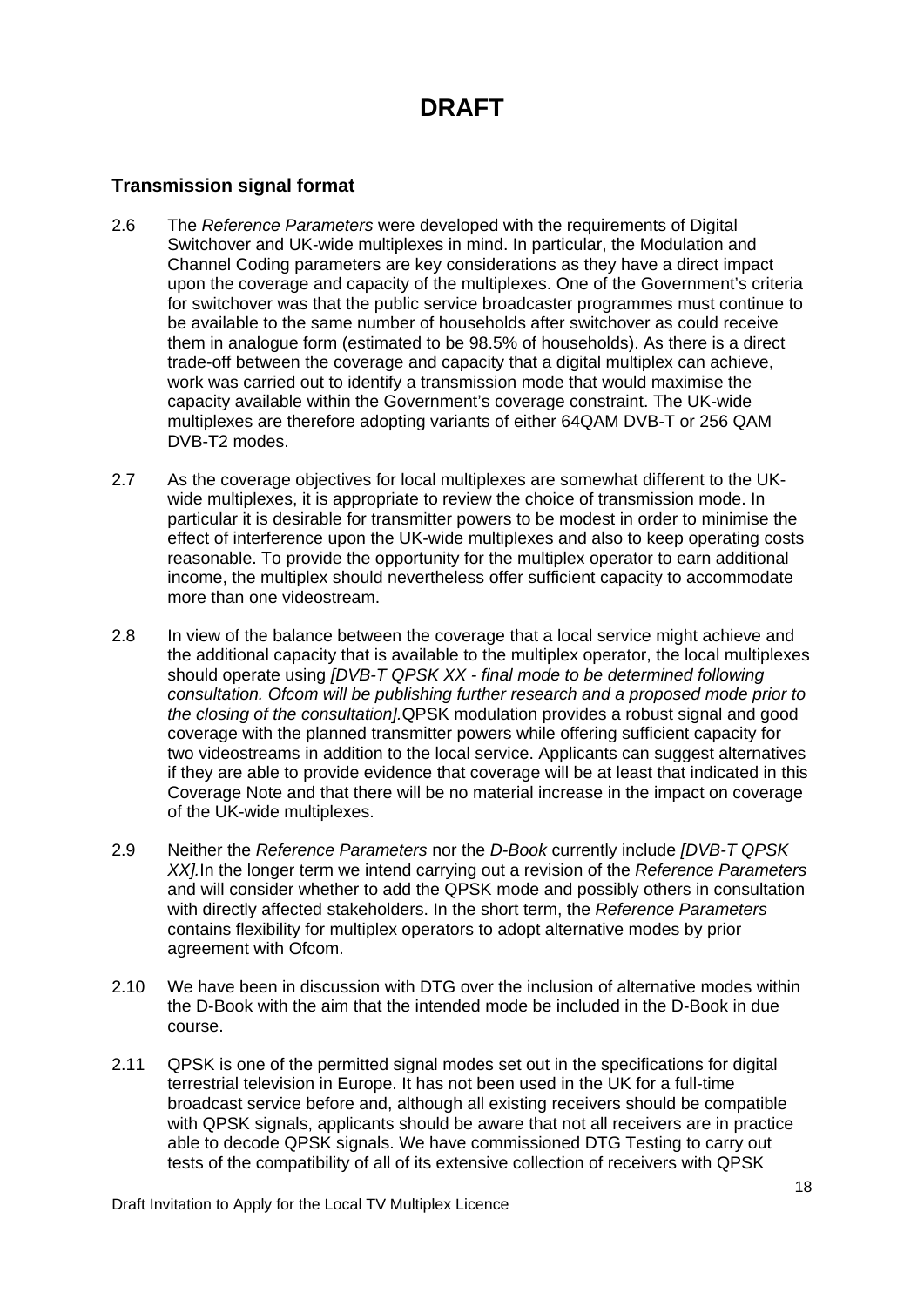#### **Transmission signal format**

- 2.6 The *Reference Parameters* were developed with the requirements of Digital Switchover and UK-wide multiplexes in mind. In particular, the Modulation and Channel Coding parameters are key considerations as they have a direct impact upon the coverage and capacity of the multiplexes. One of the Government's criteria for switchover was that the public service broadcaster programmes must continue to be available to the same number of households after switchover as could receive them in analogue form (estimated to be 98.5% of households). As there is a direct trade-off between the coverage and capacity that a digital multiplex can achieve, work was carried out to identify a transmission mode that would maximise the capacity available within the Government's coverage constraint. The UK-wide multiplexes are therefore adopting variants of either 64QAM DVB-T or 256 QAM DVB-T2 modes.
- 2.7 As the coverage objectives for local multiplexes are somewhat different to the UKwide multiplexes, it is appropriate to review the choice of transmission mode. In particular it is desirable for transmitter powers to be modest in order to minimise the effect of interference upon the UK-wide multiplexes and also to keep operating costs reasonable. To provide the opportunity for the multiplex operator to earn additional income, the multiplex should nevertheless offer sufficient capacity to accommodate more than one videostream.
- 2.8 In view of the balance between the coverage that a local service might achieve and the additional capacity that is available to the multiplex operator, the local multiplexes should operate using *[DVB-T QPSK XX - final mode to be determined following consultation. Ofcom will be publishing further research and a proposed mode prior to the closing of the consultation].*QPSK modulation provides a robust signal and good coverage with the planned transmitter powers while offering sufficient capacity for two videostreams in addition to the local service. Applicants can suggest alternatives if they are able to provide evidence that coverage will be at least that indicated in this Coverage Note and that there will be no material increase in the impact on coverage of the UK-wide multiplexes.
- 2.9 Neither the *Reference Parameters* nor the *D-Book* currently include *[DVB-T QPSK XX].*In the longer term we intend carrying out a revision of the *Reference Parameters* and will consider whether to add the QPSK mode and possibly others in consultation with directly affected stakeholders. In the short term, the *Reference Parameters* contains flexibility for multiplex operators to adopt alternative modes by prior agreement with Ofcom.
- 2.10 We have been in discussion with DTG over the inclusion of alternative modes within the D-Book with the aim that the intended mode be included in the D-Book in due course.
- 2.11 QPSK is one of the permitted signal modes set out in the specifications for digital terrestrial television in Europe. It has not been used in the UK for a full-time broadcast service before and, although all existing receivers should be compatible with QPSK signals, applicants should be aware that not all receivers are in practice able to decode QPSK signals. We have commissioned DTG Testing to carry out tests of the compatibility of all of its extensive collection of receivers with QPSK

Draft Invitation to Apply for the Local TV Multiplex Licence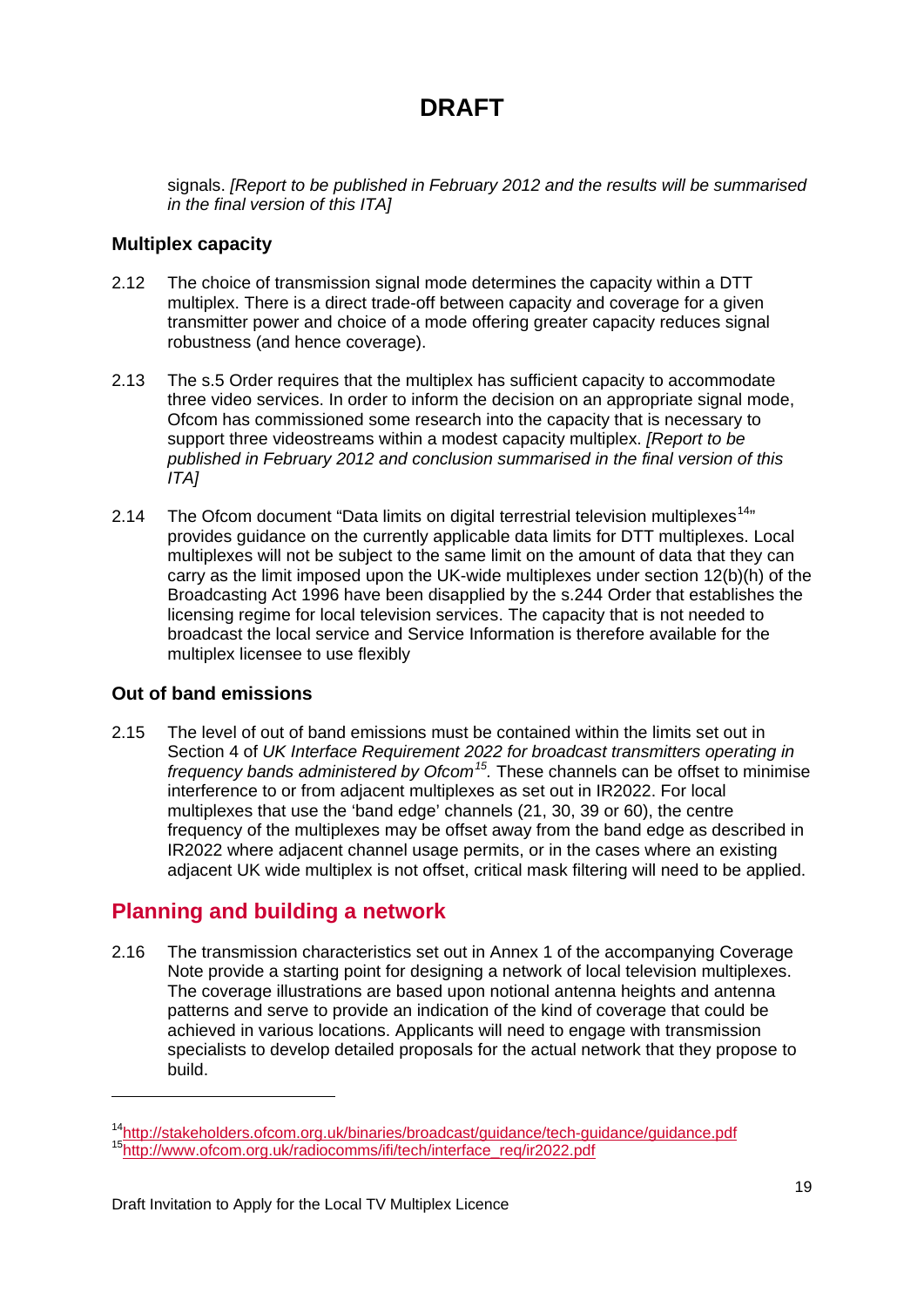signals. *[Report to be published in February 2012 and the results will be summarised in the final version of this ITA]*

#### **Multiplex capacity**

- 2.12 The choice of transmission signal mode determines the capacity within a DTT multiplex. There is a direct trade-off between capacity and coverage for a given transmitter power and choice of a mode offering greater capacity reduces signal robustness (and hence coverage).
- 2.13 The s.5 Order requires that the multiplex has sufficient capacity to accommodate three video services. In order to inform the decision on an appropriate signal mode, Ofcom has commissioned some research into the capacity that is necessary to support three videostreams within a modest capacity multiplex. *[Report to be published in February 2012 and conclusion summarised in the final version of this ITA]*
- 2.[14](#page-19-0) The Ofcom document "Data limits on digital terrestrial television multiplexes<sup>14</sup><sup>n</sup> provides guidance on the currently applicable data limits for DTT multiplexes. Local multiplexes will not be subject to the same limit on the amount of data that they can carry as the limit imposed upon the UK-wide multiplexes under section 12(b)(h) of the Broadcasting Act 1996 have been disapplied by the s.244 Order that establishes the licensing regime for local television services. The capacity that is not needed to broadcast the local service and Service Information is therefore available for the multiplex licensee to use flexibly

#### **Out of band emissions**

-

2.15 The level of out of band emissions must be contained within the limits set out in Section 4 of *UK Interface Requirement 2022 for broadcast transmitters operating in frequency bands administered by Ofcom[15](#page-19-0) .* These channels can be offset to minimise interference to or from adjacent multiplexes as set out in IR2022. For local multiplexes that use the 'band edge' channels (21, 30, 39 or 60), the centre frequency of the multiplexes may be offset away from the band edge as described in IR2022 where adjacent channel usage permits, or in the cases where an existing adjacent UK wide multiplex is not offset, critical mask filtering will need to be applied.

### **Planning and building a network**

2.16 The transmission characteristics set out in Annex 1 of the accompanying Coverage Note provide a starting point for designing a network of local television multiplexes. The coverage illustrations are based upon notional antenna heights and antenna patterns and serve to provide an indication of the kind of coverage that could be achieved in various locations. Applicants will need to engage with transmission specialists to develop detailed proposals for the actual network that they propose to build.

<span id="page-19-0"></span><sup>&</sup>lt;sup>14</sup>http://stakeholders.ofcom.org.uk/binaries/broadcast/guidance/tech-guidance/guidance.pdf<br><sup>15</sup>http://www.ofcom.org.uk/radiocomms/ifi/tech/interface\_req/ir2022.pdf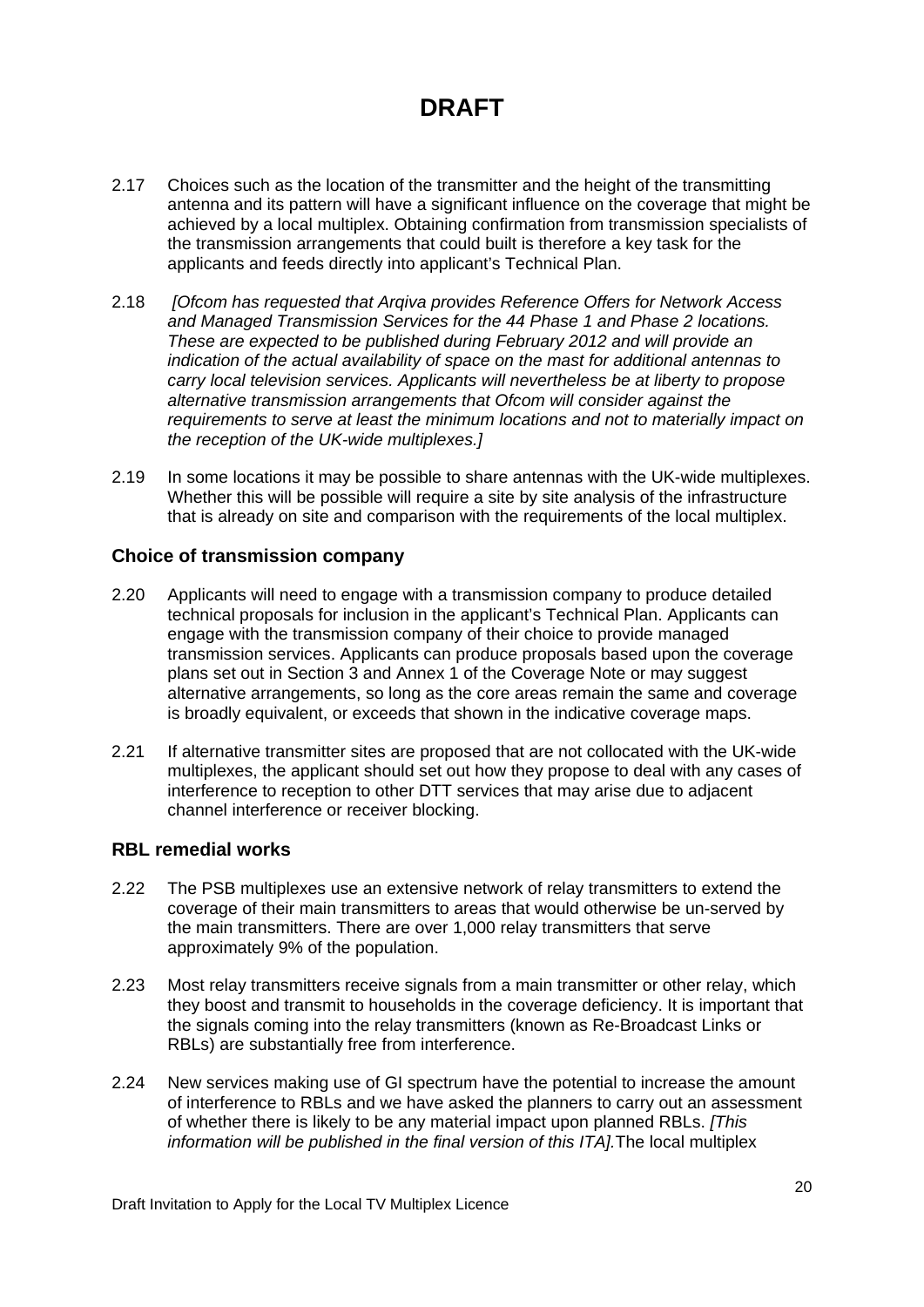- 2.17 Choices such as the location of the transmitter and the height of the transmitting antenna and its pattern will have a significant influence on the coverage that might be achieved by a local multiplex. Obtaining confirmation from transmission specialists of the transmission arrangements that could built is therefore a key task for the applicants and feeds directly into applicant's Technical Plan.
- 2.18 *[Ofcom has requested that Arqiva provides Reference Offers for Network Access and Managed Transmission Services for the 44 Phase 1 and Phase 2 locations. These are expected to be published during February 2012 and will provide an indication of the actual availability of space on the mast for additional antennas to carry local television services. Applicants will nevertheless be at liberty to propose alternative transmission arrangements that Ofcom will consider against the requirements to serve at least the minimum locations and not to materially impact on the reception of the UK-wide multiplexes.]*
- 2.19 In some locations it may be possible to share antennas with the UK-wide multiplexes. Whether this will be possible will require a site by site analysis of the infrastructure that is already on site and comparison with the requirements of the local multiplex.

#### **Choice of transmission company**

- 2.20 Applicants will need to engage with a transmission company to produce detailed technical proposals for inclusion in the applicant's Technical Plan. Applicants can engage with the transmission company of their choice to provide managed transmission services. Applicants can produce proposals based upon the coverage plans set out in Section 3 and Annex 1 of the Coverage Note or may suggest alternative arrangements, so long as the core areas remain the same and coverage is broadly equivalent, or exceeds that shown in the indicative coverage maps.
- 2.21 If alternative transmitter sites are proposed that are not collocated with the UK-wide multiplexes, the applicant should set out how they propose to deal with any cases of interference to reception to other DTT services that may arise due to adjacent channel interference or receiver blocking.

#### **RBL remedial works**

- 2.22 The PSB multiplexes use an extensive network of relay transmitters to extend the coverage of their main transmitters to areas that would otherwise be un-served by the main transmitters. There are over 1,000 relay transmitters that serve approximately 9% of the population.
- 2.23 Most relay transmitters receive signals from a main transmitter or other relay, which they boost and transmit to households in the coverage deficiency. It is important that the signals coming into the relay transmitters (known as Re-Broadcast Links or RBLs) are substantially free from interference.
- 2.24 New services making use of GI spectrum have the potential to increase the amount of interference to RBLs and we have asked the planners to carry out an assessment of whether there is likely to be any material impact upon planned RBLs. *[This information will be published in the final version of this ITA].*The local multiplex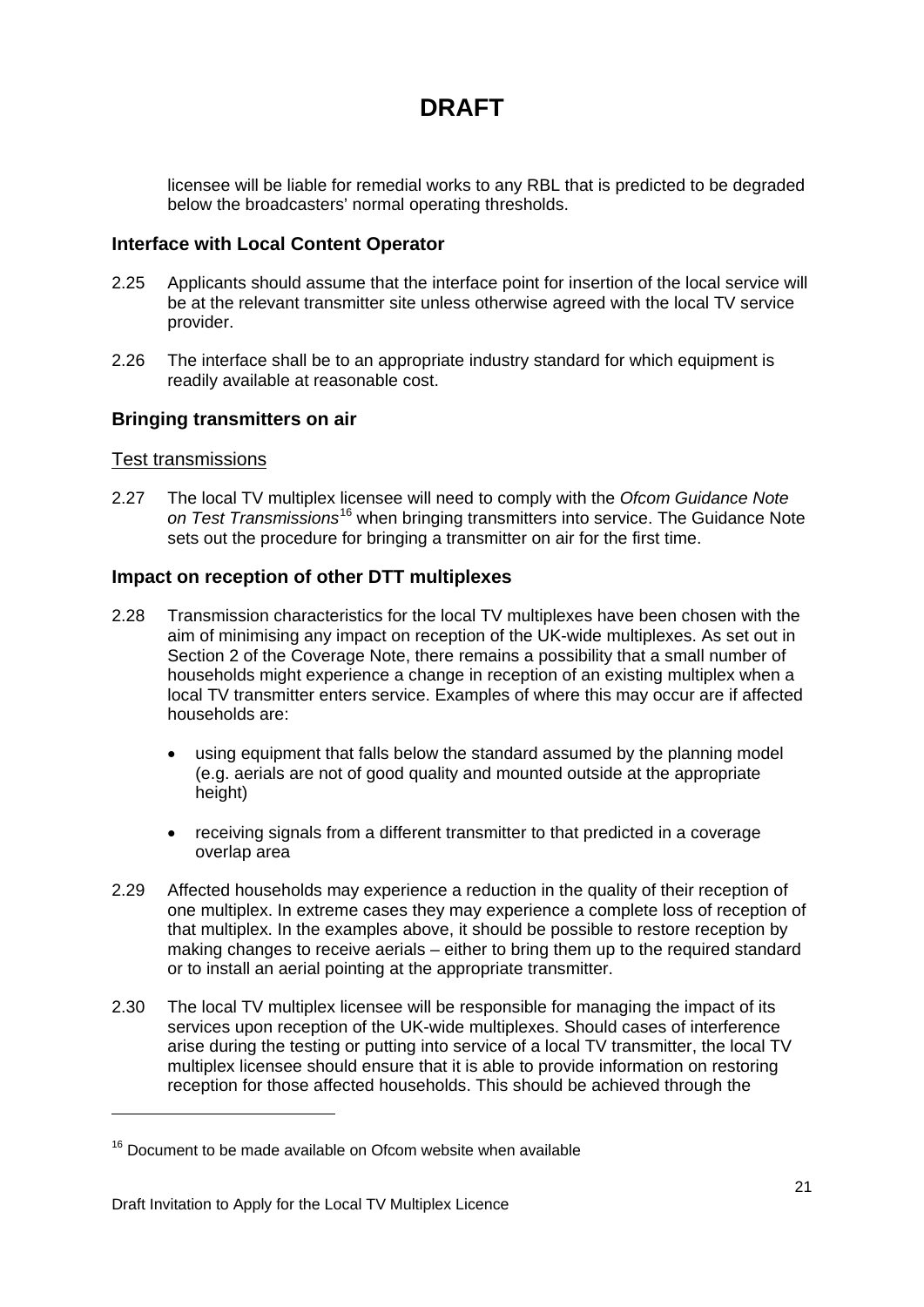licensee will be liable for remedial works to any RBL that is predicted to be degraded below the broadcasters' normal operating thresholds.

#### **Interface with Local Content Operator**

- 2.25 Applicants should assume that the interface point for insertion of the local service will be at the relevant transmitter site unless otherwise agreed with the local TV service provider.
- 2.26 The interface shall be to an appropriate industry standard for which equipment is readily available at reasonable cost.

#### **Bringing transmitters on air**

#### Test transmissions

<u>.</u>

2.27 The local TV multiplex licensee will need to comply with the *Ofcom Guidance Note*  on Test Transmissions<sup>[16](#page-21-0)</sup> when bringing transmitters into service. The Guidance Note sets out the procedure for bringing a transmitter on air for the first time.

#### **Impact on reception of other DTT multiplexes**

- 2.28 Transmission characteristics for the local TV multiplexes have been chosen with the aim of minimising any impact on reception of the UK-wide multiplexes. As set out in Section 2 of the Coverage Note, there remains a possibility that a small number of households might experience a change in reception of an existing multiplex when a local TV transmitter enters service. Examples of where this may occur are if affected households are:
	- using equipment that falls below the standard assumed by the planning model (e.g. aerials are not of good quality and mounted outside at the appropriate height)
	- receiving signals from a different transmitter to that predicted in a coverage overlap area
- 2.29 Affected households may experience a reduction in the quality of their reception of one multiplex. In extreme cases they may experience a complete loss of reception of that multiplex. In the examples above, it should be possible to restore reception by making changes to receive aerials – either to bring them up to the required standard or to install an aerial pointing at the appropriate transmitter.
- 2.30 The local TV multiplex licensee will be responsible for managing the impact of its services upon reception of the UK-wide multiplexes. Should cases of interference arise during the testing or putting into service of a local TV transmitter, the local TV multiplex licensee should ensure that it is able to provide information on restoring reception for those affected households. This should be achieved through the

<span id="page-21-0"></span> $16$  Document to be made available on Ofcom website when available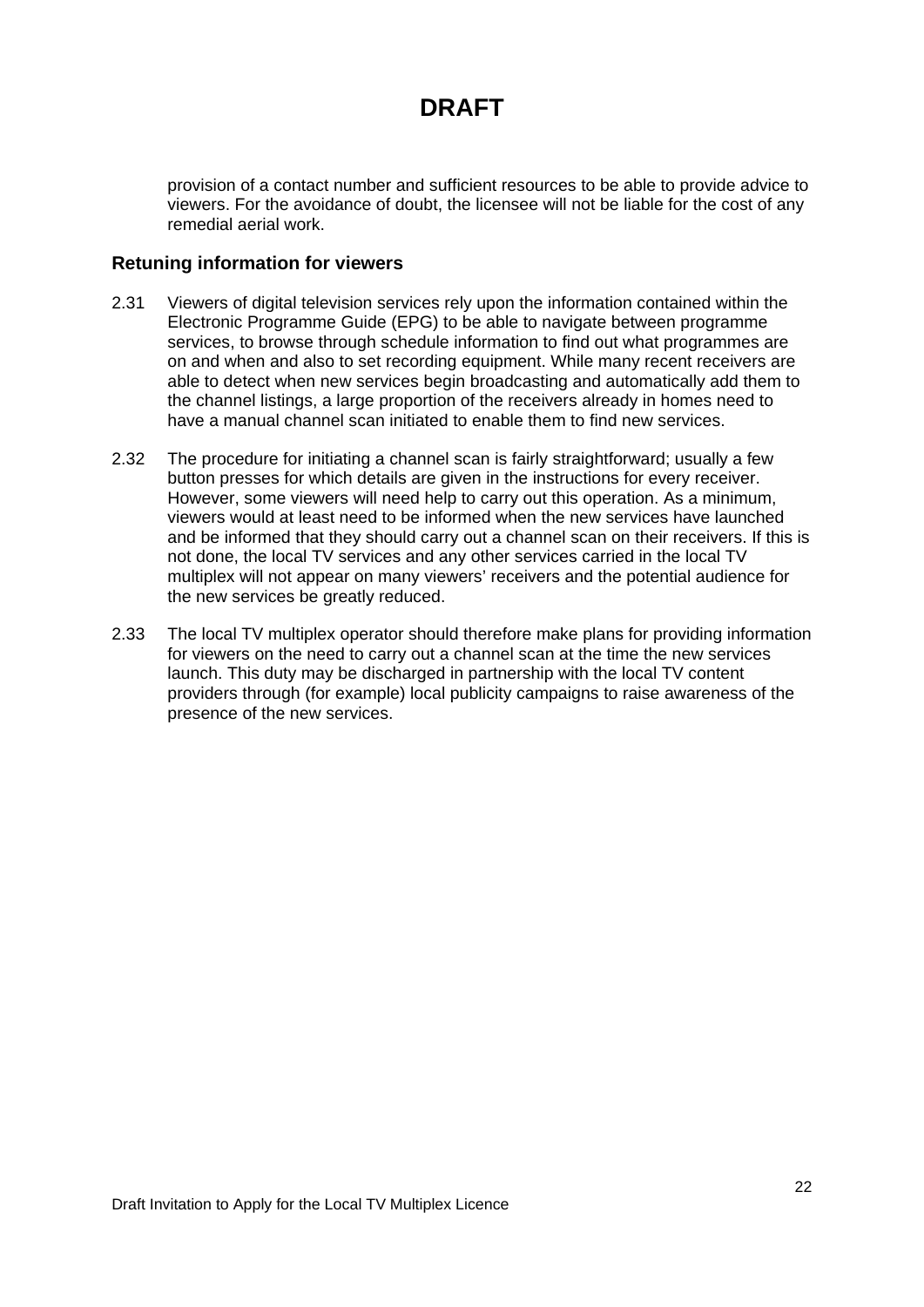provision of a contact number and sufficient resources to be able to provide advice to viewers. For the avoidance of doubt, the licensee will not be liable for the cost of any remedial aerial work.

#### **Retuning information for viewers**

- 2.31 Viewers of digital television services rely upon the information contained within the Electronic Programme Guide (EPG) to be able to navigate between programme services, to browse through schedule information to find out what programmes are on and when and also to set recording equipment. While many recent receivers are able to detect when new services begin broadcasting and automatically add them to the channel listings, a large proportion of the receivers already in homes need to have a manual channel scan initiated to enable them to find new services.
- 2.32 The procedure for initiating a channel scan is fairly straightforward; usually a few button presses for which details are given in the instructions for every receiver. However, some viewers will need help to carry out this operation. As a minimum, viewers would at least need to be informed when the new services have launched and be informed that they should carry out a channel scan on their receivers. If this is not done, the local TV services and any other services carried in the local TV multiplex will not appear on many viewers' receivers and the potential audience for the new services be greatly reduced.
- 2.33 The local TV multiplex operator should therefore make plans for providing information for viewers on the need to carry out a channel scan at the time the new services launch. This duty may be discharged in partnership with the local TV content providers through (for example) local publicity campaigns to raise awareness of the presence of the new services.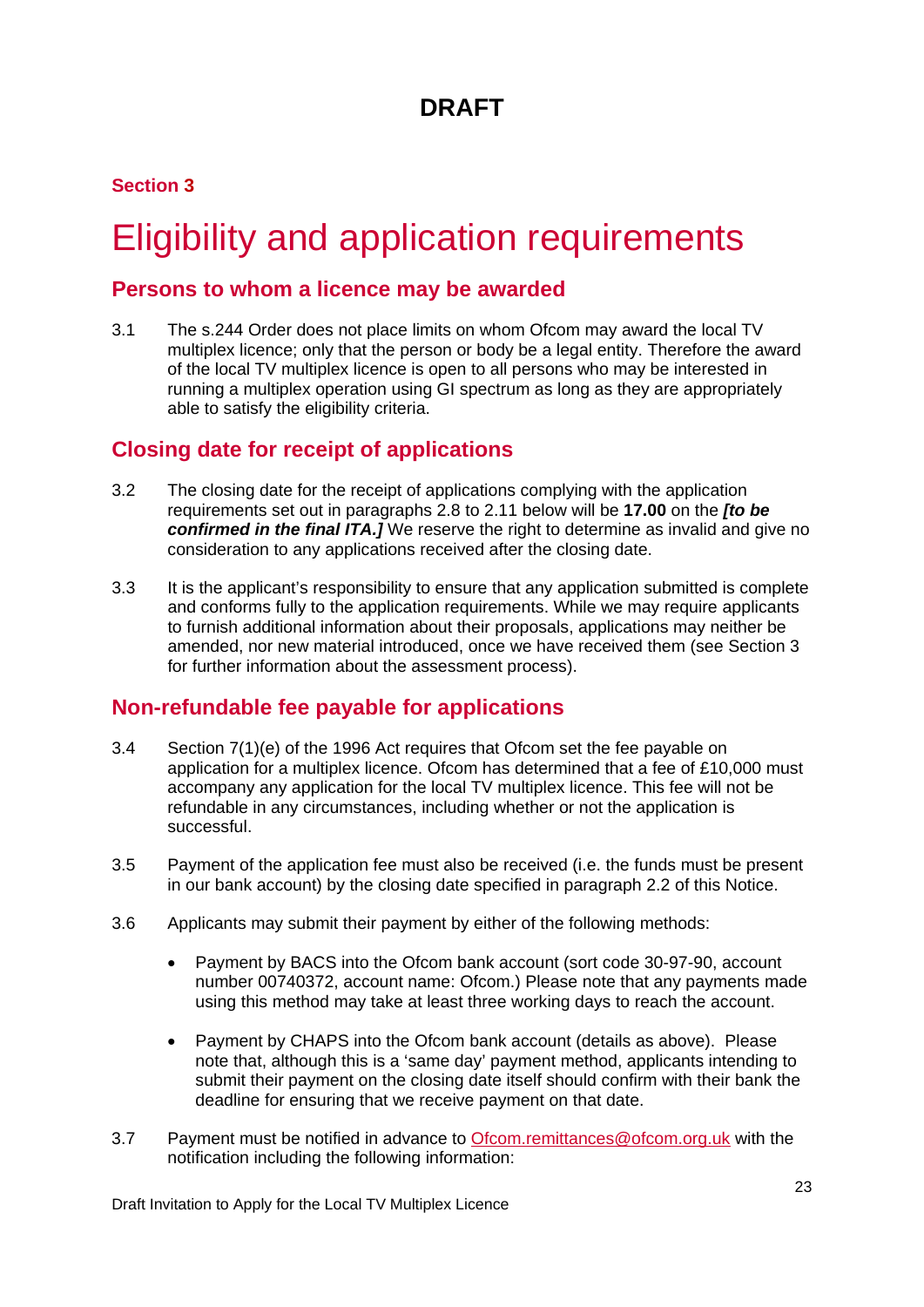### **Section 3**

# <span id="page-23-0"></span>**Eligibility and application requirements**

### **Persons to whom a licence may be awarded**

3.1 The s.244 Order does not place limits on whom Ofcom may award the local TV multiplex licence; only that the person or body be a legal entity. Therefore the award of the local TV multiplex licence is open to all persons who may be interested in running a multiplex operation using GI spectrum as long as they are appropriately able to satisfy the eligibility criteria.

### **Closing date for receipt of applications**

- 3.2 The closing date for the receipt of applications complying with the application requirements set out in paragraphs 2.8 to 2.11 below will be **17.00** on the *[to be confirmed in the final ITA.]* We reserve the right to determine as invalid and give no consideration to any applications received after the closing date.
- 3.3 It is the applicant's responsibility to ensure that any application submitted is complete and conforms fully to the application requirements. While we may require applicants to furnish additional information about their proposals, applications may neither be amended, nor new material introduced, once we have received them (see Section 3 for further information about the assessment process).

### **Non-refundable fee payable for applications**

- 3.4 Section 7(1)(e) of the 1996 Act requires that Ofcom set the fee payable on application for a multiplex licence. Ofcom has determined that a fee of £10,000 must accompany any application for the local TV multiplex licence. This fee will not be refundable in any circumstances, including whether or not the application is successful.
- 3.5 Payment of the application fee must also be received (i.e. the funds must be present in our bank account) by the closing date specified in paragraph 2.2 of this Notice.
- 3.6 Applicants may submit their payment by either of the following methods:
	- Payment by BACS into the Ofcom bank account (sort code 30-97-90, account number 00740372, account name: Ofcom.) Please note that any payments made using this method may take at least three working days to reach the account.
	- Payment by CHAPS into the Ofcom bank account (details as above). Please note that, although this is a 'same day' payment method, applicants intending to submit their payment on the closing date itself should confirm with their bank the deadline for ensuring that we receive payment on that date.
- 3.7 Payment must be notified in advance to [Ofcom.remittances@ofcom.org.uk](mailto:Ofcom.remittances@ofcom.org.uk) with the notification including the following information: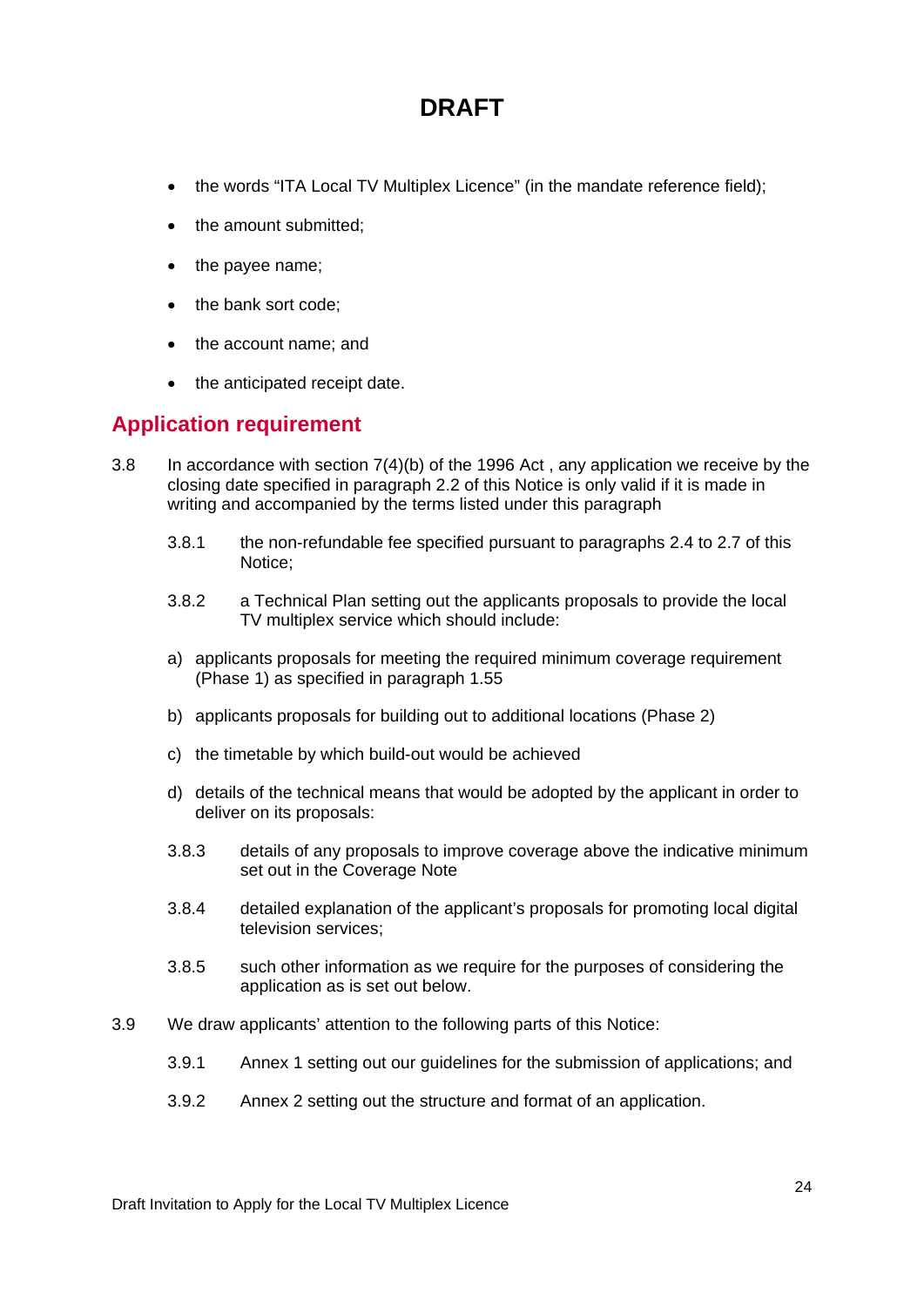- the words "ITA Local TV Multiplex Licence" (in the mandate reference field);
- the amount submitted;
- the payee name;
- the bank sort code;
- the account name; and
- the anticipated receipt date.

### **Application requirement**

- 3.8 In accordance with section 7(4)(b) of the 1996 Act , any application we receive by the closing date specified in paragraph 2.2 of this Notice is only valid if it is made in writing and accompanied by the terms listed under this paragraph
	- 3.8.1 the non-refundable fee specified pursuant to paragraphs 2.4 to 2.7 of this Notice;
	- 3.8.2 a Technical Plan setting out the applicants proposals to provide the local TV multiplex service which should include:
	- a) applicants proposals for meeting the required minimum coverage requirement (Phase 1) as specified in paragraph 1.55
	- b) applicants proposals for building out to additional locations (Phase 2)
	- c) the timetable by which build-out would be achieved
	- d) details of the technical means that would be adopted by the applicant in order to deliver on its proposals:
	- 3.8.3 details of any proposals to improve coverage above the indicative minimum set out in the Coverage Note
	- 3.8.4 detailed explanation of the applicant's proposals for promoting local digital television services;
	- 3.8.5 such other information as we require for the purposes of considering the application as is set out below.
- 3.9 We draw applicants' attention to the following parts of this Notice:
	- 3.9.1 Annex 1 setting out our guidelines for the submission of applications; and
	- 3.9.2 Annex 2 setting out the structure and format of an application.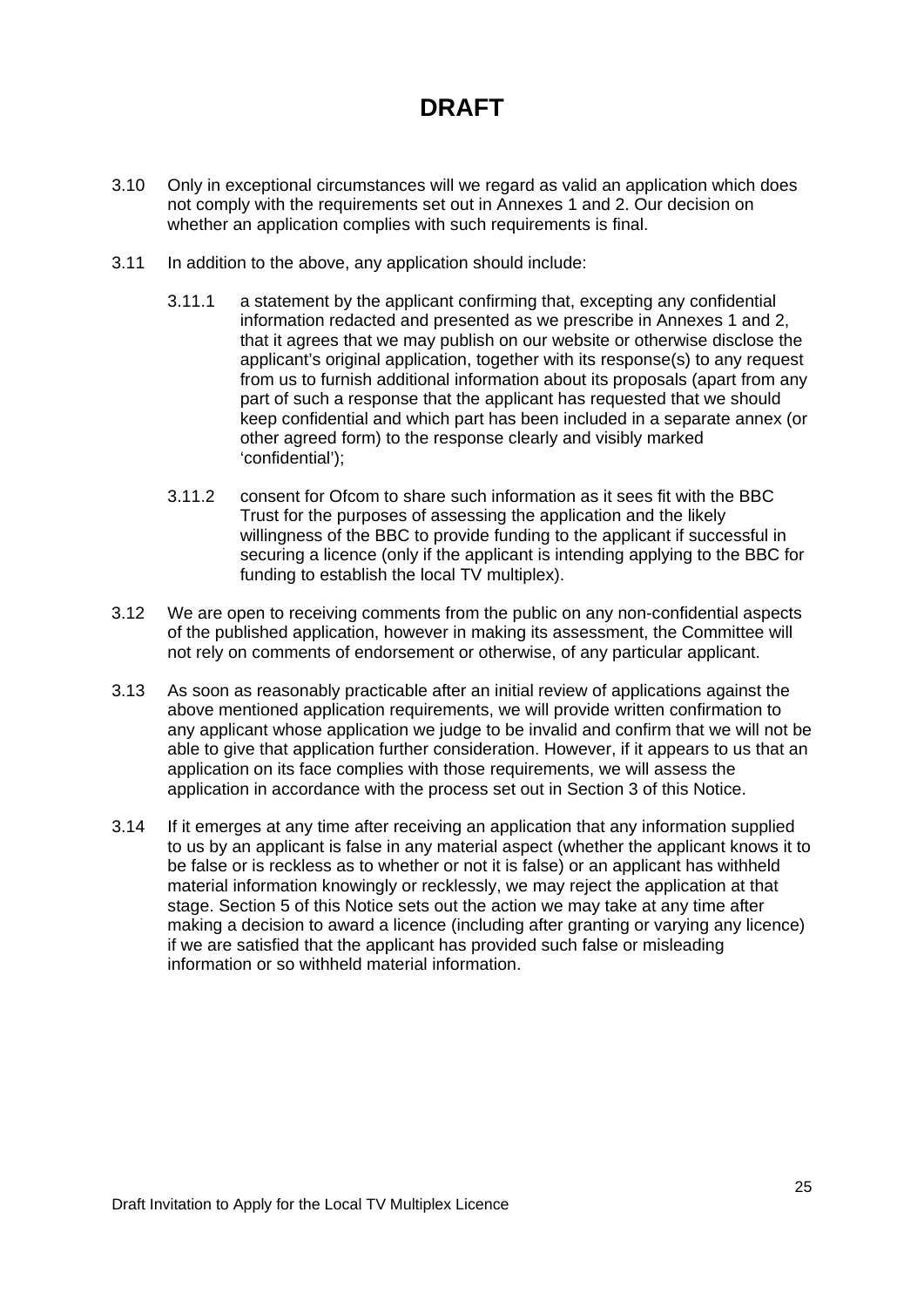- 3.10 Only in exceptional circumstances will we regard as valid an application which does not comply with the requirements set out in Annexes 1 and 2. Our decision on whether an application complies with such requirements is final.
- 3.11 In addition to the above, any application should include:
	- 3.11.1 a statement by the applicant confirming that, excepting any confidential information redacted and presented as we prescribe in Annexes 1 and 2, that it agrees that we may publish on our website or otherwise disclose the applicant's original application, together with its response(s) to any request from us to furnish additional information about its proposals (apart from any part of such a response that the applicant has requested that we should keep confidential and which part has been included in a separate annex (or other agreed form) to the response clearly and visibly marked 'confidential');
	- 3.11.2 consent for Ofcom to share such information as it sees fit with the BBC Trust for the purposes of assessing the application and the likely willingness of the BBC to provide funding to the applicant if successful in securing a licence (only if the applicant is intending applying to the BBC for funding to establish the local TV multiplex).
- 3.12 We are open to receiving comments from the public on any non-confidential aspects of the published application, however in making its assessment, the Committee will not rely on comments of endorsement or otherwise, of any particular applicant.
- 3.13 As soon as reasonably practicable after an initial review of applications against the above mentioned application requirements, we will provide written confirmation to any applicant whose application we judge to be invalid and confirm that we will not be able to give that application further consideration. However, if it appears to us that an application on its face complies with those requirements, we will assess the application in accordance with the process set out in Section 3 of this Notice.
- 3.14 If it emerges at any time after receiving an application that any information supplied to us by an applicant is false in any material aspect (whether the applicant knows it to be false or is reckless as to whether or not it is false) or an applicant has withheld material information knowingly or recklessly, we may reject the application at that stage. Section 5 of this Notice sets out the action we may take at any time after making a decision to award a licence (including after granting or varying any licence) if we are satisfied that the applicant has provided such false or misleading information or so withheld material information.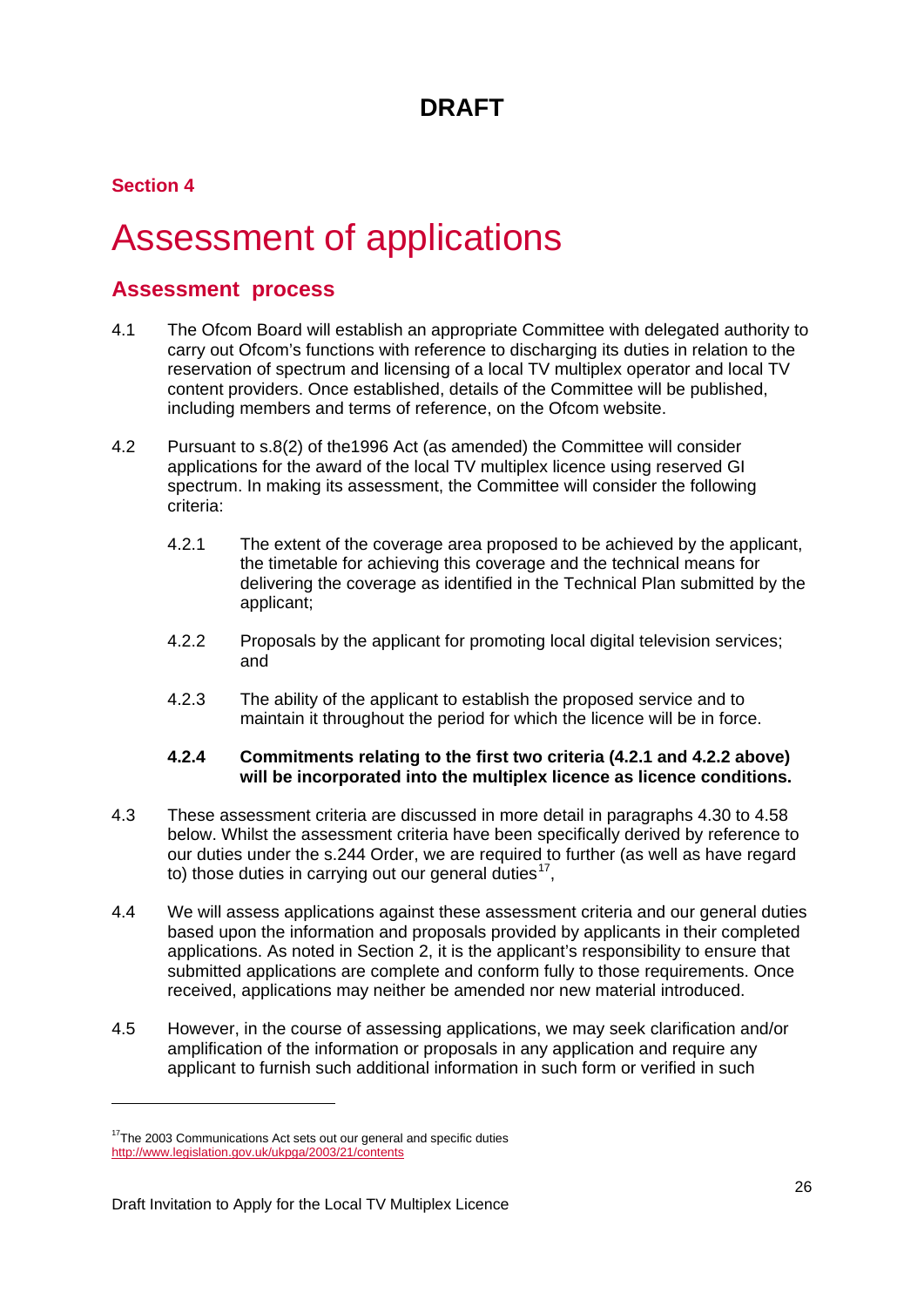### **Section 4**

# <span id="page-26-0"></span>4 Assessment of applications

### **Assessment process**

- 4.1 The Ofcom Board will establish an appropriate Committee with delegated authority to carry out Ofcom's functions with reference to discharging its duties in relation to the reservation of spectrum and licensing of a local TV multiplex operator and local TV content providers. Once established, details of the Committee will be published, including members and terms of reference, on the Ofcom website.
- 4.2 Pursuant to s.8(2) of the1996 Act (as amended) the Committee will consider applications for the award of the local TV multiplex licence using reserved GI spectrum. In making its assessment, the Committee will consider the following criteria:
	- 4.2.1 The extent of the coverage area proposed to be achieved by the applicant, the timetable for achieving this coverage and the technical means for delivering the coverage as identified in the Technical Plan submitted by the applicant;
	- 4.2.2 Proposals by the applicant for promoting local digital television services; and
	- 4.2.3 The ability of the applicant to establish the proposed service and to maintain it throughout the period for which the licence will be in force.

#### **4.2.4 Commitments relating to the first two criteria (4.2.1 and 4.2.2 above) will be incorporated into the multiplex licence as licence conditions.**

- 4.3 These assessment criteria are discussed in more detail in paragraphs 4.30 to 4.58 below. Whilst the assessment criteria have been specifically derived by reference to our duties under the s.244 Order, we are required to further (as well as have regard to) those duties in carrying out our general duties<sup>[17](#page-26-1)</sup>,
- 4.4 We will assess applications against these assessment criteria and our general duties based upon the information and proposals provided by applicants in their completed applications. As noted in Section 2, it is the applicant's responsibility to ensure that submitted applications are complete and conform fully to those requirements. Once received, applications may neither be amended nor new material introduced.
- 4.5 However, in the course of assessing applications, we may seek clarification and/or amplification of the information or proposals in any application and require any applicant to furnish such additional information in such form or verified in such

-

<span id="page-26-1"></span> $17$ The 2003 Communications Act sets out our general and specific duties <http://www.legislation.gov.uk/ukpga/2003/21/contents>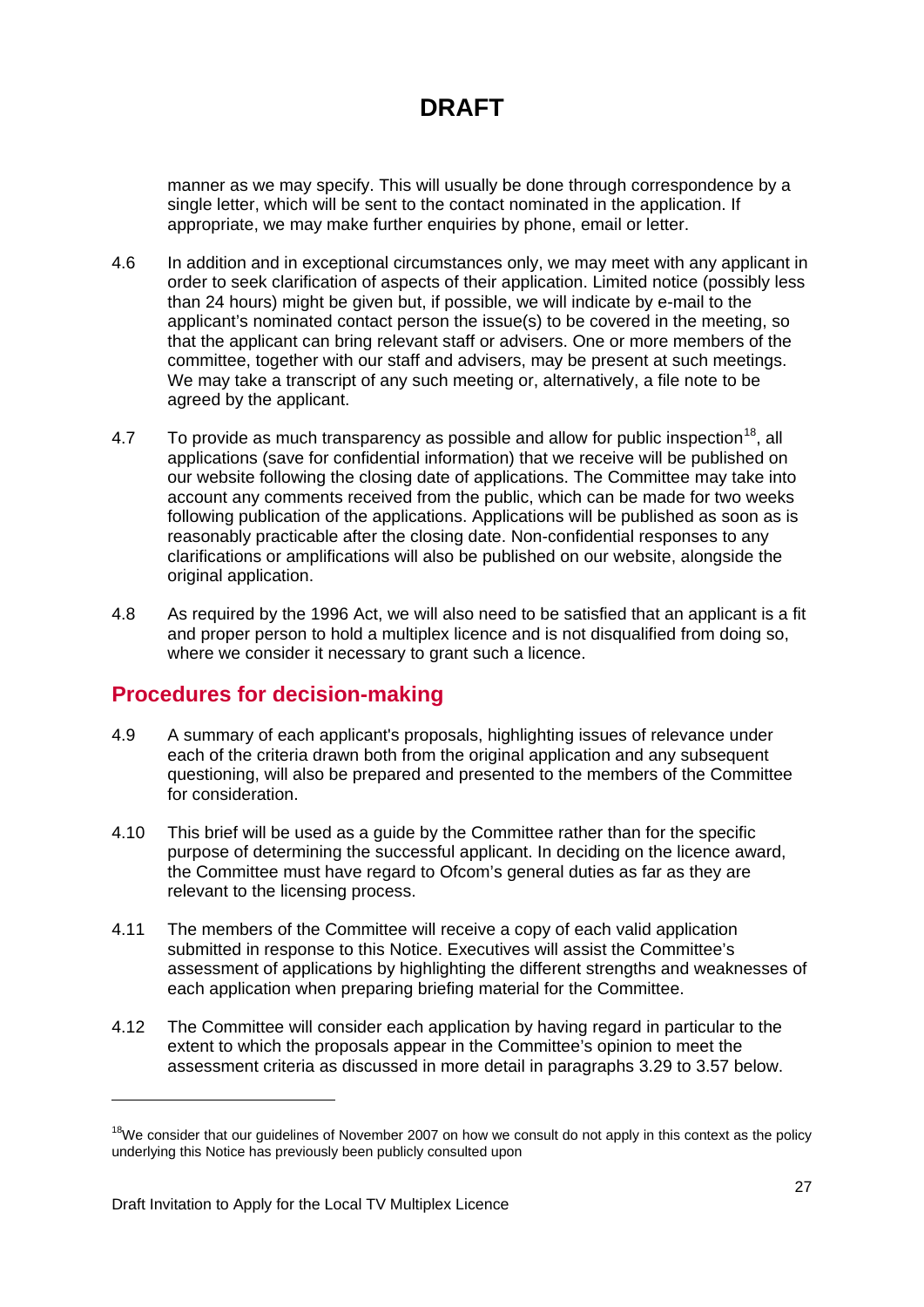manner as we may specify. This will usually be done through correspondence by a single letter, which will be sent to the contact nominated in the application. If appropriate, we may make further enquiries by phone, email or letter.

- 4.6 In addition and in exceptional circumstances only, we may meet with any applicant in order to seek clarification of aspects of their application. Limited notice (possibly less than 24 hours) might be given but, if possible, we will indicate by e-mail to the applicant's nominated contact person the issue(s) to be covered in the meeting, so that the applicant can bring relevant staff or advisers. One or more members of the committee, together with our staff and advisers, may be present at such meetings. We may take a transcript of any such meeting or, alternatively, a file note to be agreed by the applicant.
- 4.7 To provide as much transparency as possible and allow for public inspection<sup>[18](#page-27-0)</sup>, all applications (save for confidential information) that we receive will be published on our website following the closing date of applications. The Committee may take into account any comments received from the public, which can be made for two weeks following publication of the applications. Applications will be published as soon as is reasonably practicable after the closing date. Non-confidential responses to any clarifications or amplifications will also be published on our website, alongside the original application.
- 4.8 As required by the 1996 Act, we will also need to be satisfied that an applicant is a fit and proper person to hold a multiplex licence and is not disqualified from doing so, where we consider it necessary to grant such a licence.

### **Procedures for decision-making**

- 4.9 A summary of each applicant's proposals, highlighting issues of relevance under each of the criteria drawn both from the original application and any subsequent questioning, will also be prepared and presented to the members of the Committee for consideration.
- 4.10 This brief will be used as a guide by the Committee rather than for the specific purpose of determining the successful applicant. In deciding on the licence award, the Committee must have regard to Ofcom's general duties as far as they are relevant to the licensing process.
- 4.11 The members of the Committee will receive a copy of each valid application submitted in response to this Notice. Executives will assist the Committee's assessment of applications by highlighting the different strengths and weaknesses of each application when preparing briefing material for the Committee.
- 4.12 The Committee will consider each application by having regard in particular to the extent to which the proposals appear in the Committee's opinion to meet the assessment criteria as discussed in more detail in paragraphs 3.29 to 3.57 below.

-

<span id="page-27-0"></span> $18$ We consider that our guidelines of November 2007 on how we consult do not apply in this context as the policy underlying this Notice has previously been publicly consulted upon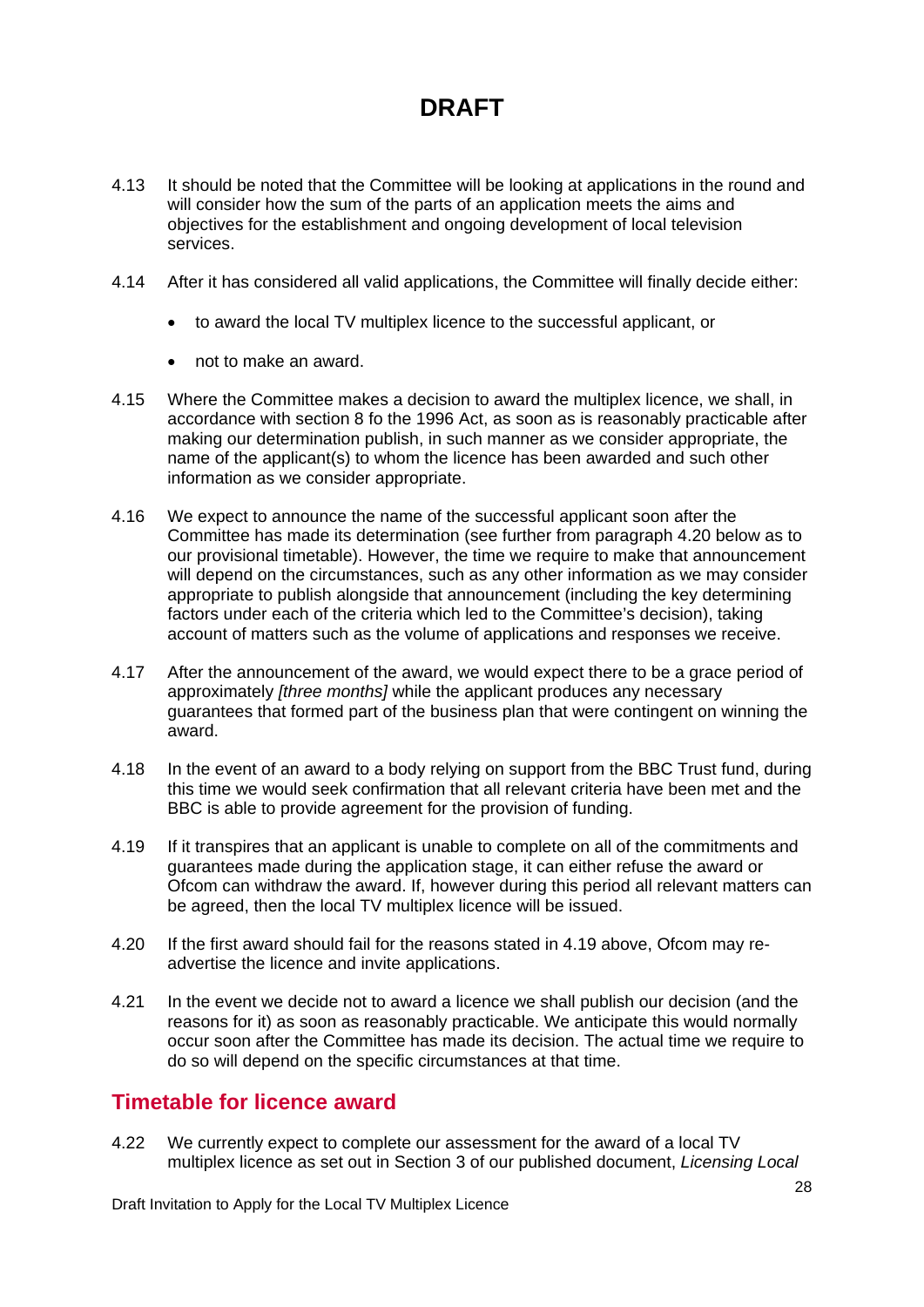- 4.13 It should be noted that the Committee will be looking at applications in the round and will consider how the sum of the parts of an application meets the aims and objectives for the establishment and ongoing development of local television services.
- 4.14 After it has considered all valid applications, the Committee will finally decide either:
	- to award the local TV multiplex licence to the successful applicant, or
	- not to make an award.
- 4.15 Where the Committee makes a decision to award the multiplex licence, we shall, in accordance with section 8 fo the 1996 Act, as soon as is reasonably practicable after making our determination publish, in such manner as we consider appropriate, the name of the applicant(s) to whom the licence has been awarded and such other information as we consider appropriate.
- 4.16 We expect to announce the name of the successful applicant soon after the Committee has made its determination (see further from paragraph 4.20 below as to our provisional timetable). However, the time we require to make that announcement will depend on the circumstances, such as any other information as we may consider appropriate to publish alongside that announcement (including the key determining factors under each of the criteria which led to the Committee's decision), taking account of matters such as the volume of applications and responses we receive.
- 4.17 After the announcement of the award, we would expect there to be a grace period of approximately *[three months]* while the applicant produces any necessary guarantees that formed part of the business plan that were contingent on winning the award.
- 4.18 In the event of an award to a body relying on support from the BBC Trust fund, during this time we would seek confirmation that all relevant criteria have been met and the BBC is able to provide agreement for the provision of funding.
- 4.19 If it transpires that an applicant is unable to complete on all of the commitments and guarantees made during the application stage, it can either refuse the award or Ofcom can withdraw the award. If, however during this period all relevant matters can be agreed, then the local TV multiplex licence will be issued.
- 4.20 If the first award should fail for the reasons stated in 4.19 above, Ofcom may readvertise the licence and invite applications.
- 4.21 In the event we decide not to award a licence we shall publish our decision (and the reasons for it) as soon as reasonably practicable. We anticipate this would normally occur soon after the Committee has made its decision. The actual time we require to do so will depend on the specific circumstances at that time.

### **Timetable for licence award**

4.22 We currently expect to complete our assessment for the award of a local TV multiplex licence as set out in Section 3 of our published document, *Licensing Local* 

Draft Invitation to Apply for the Local TV Multiplex Licence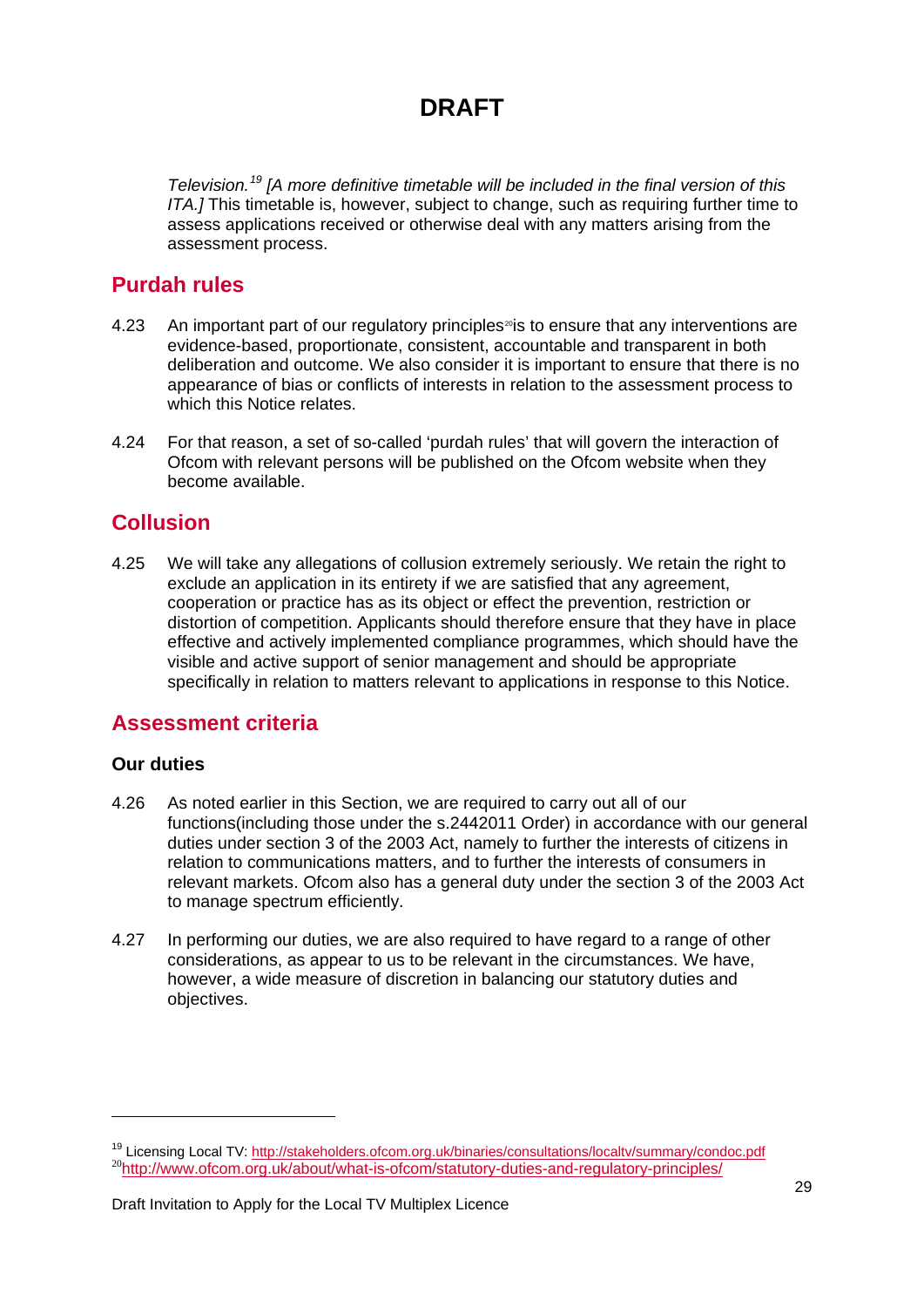*Television.[19](#page-29-0) [A more definitive timetable will be included in the final version of this ITA.]* This timetable is, however, subject to change, such as requiring further time to assess applications received or otherwise deal with any matters arising from the assessment process.

### **Purdah rules**

- 4.23 An important part of our regulatory principles<sup>[20](#page-29-1)</sup> is to ensure that any interventions are evidence-based, proportionate, consistent, accountable and transparent in both deliberation and outcome. We also consider it is important to ensure that there is no appearance of bias or conflicts of interests in relation to the assessment process to which this Notice relates.
- 4.24 For that reason, a set of so-called 'purdah rules' that will govern the interaction of Ofcom with relevant persons will be published on the Ofcom website when they become available.

### **Collusion**

4.25 We will take any allegations of collusion extremely seriously. We retain the right to exclude an application in its entirety if we are satisfied that any agreement, cooperation or practice has as its object or effect the prevention, restriction or distortion of competition. Applicants should therefore ensure that they have in place effective and actively implemented compliance programmes, which should have the visible and active support of senior management and should be appropriate specifically in relation to matters relevant to applications in response to this Notice.

### **Assessment criteria**

#### **Our duties**

-

- 4.26 As noted earlier in this Section, we are required to carry out all of our functions(including those under the s.2442011 Order) in accordance with our general duties under section 3 of the 2003 Act, namely to further the interests of citizens in relation to communications matters, and to further the interests of consumers in relevant markets. Ofcom also has a general duty under the section 3 of the 2003 Act to manage spectrum efficiently.
- 4.27 In performing our duties, we are also required to have regard to a range of other considerations, as appear to us to be relevant in the circumstances. We have, however, a wide measure of discretion in balancing our statutory duties and objectives.

<span id="page-29-1"></span><span id="page-29-0"></span><sup>&</sup>lt;sup>19</sup> Licensing Local TV:<http://stakeholders.ofcom.org.uk/binaries/consultations/localtv/summary/condoc.pdf> <sup>20</sup><http://www.ofcom.org.uk/about/what-is-ofcom/statutory-duties-and-regulatory-principles/>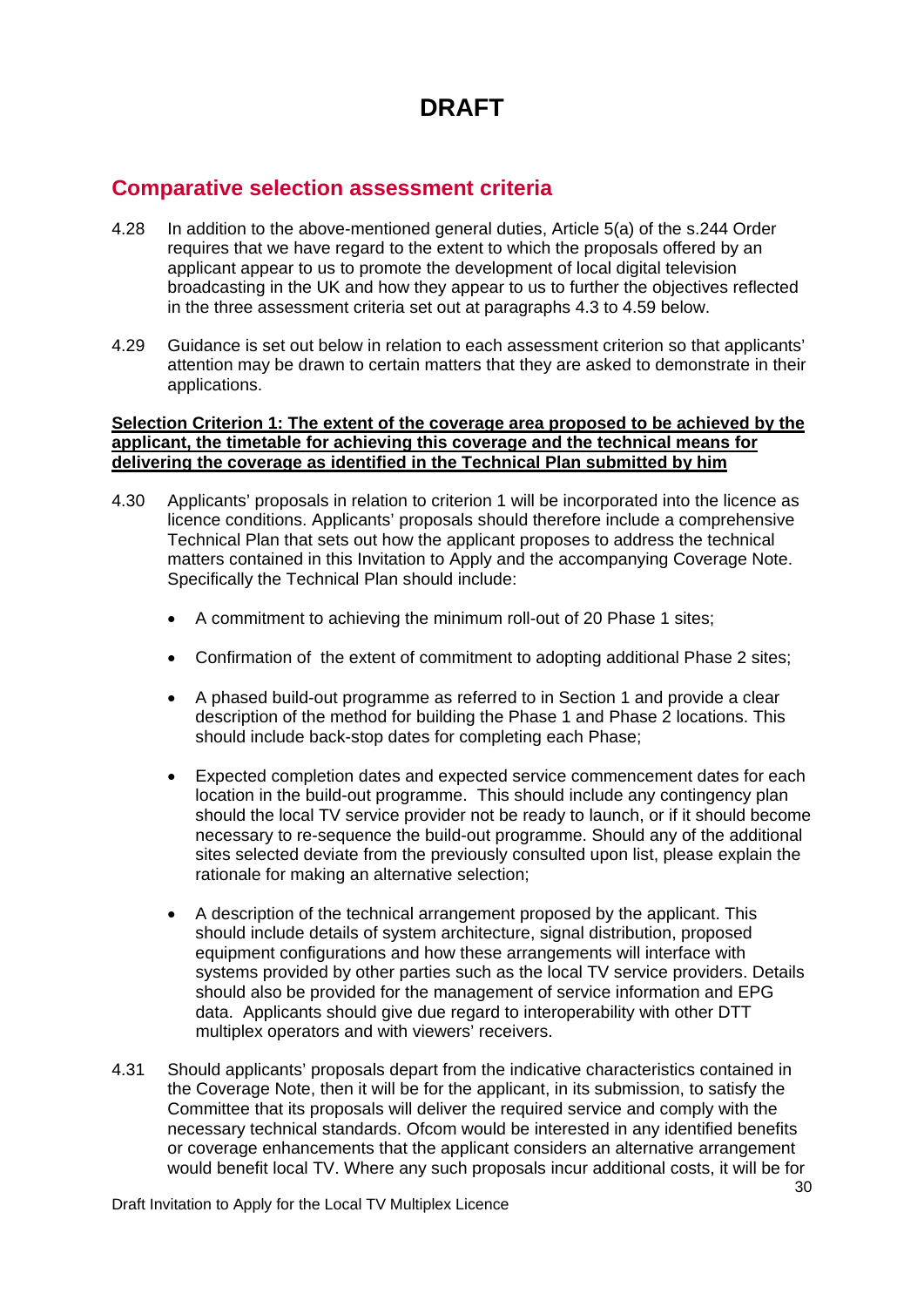### **Comparative selection assessment criteria**

- 4.28 In addition to the above-mentioned general duties, Article 5(a) of the s.244 Order requires that we have regard to the extent to which the proposals offered by an applicant appear to us to promote the development of local digital television broadcasting in the UK and how they appear to us to further the objectives reflected in the three assessment criteria set out at paragraphs 4.3 to 4.59 below.
- 4.29 Guidance is set out below in relation to each assessment criterion so that applicants' attention may be drawn to certain matters that they are asked to demonstrate in their applications.

#### **Selection Criterion 1: The extent of the coverage area proposed to be achieved by the applicant, the timetable for achieving this coverage and the technical means for delivering the coverage as identified in the Technical Plan submitted by him**

- 4.30 Applicants' proposals in relation to criterion 1 will be incorporated into the licence as licence conditions. Applicants' proposals should therefore include a comprehensive Technical Plan that sets out how the applicant proposes to address the technical matters contained in this Invitation to Apply and the accompanying Coverage Note. Specifically the Technical Plan should include:
	- A commitment to achieving the minimum roll-out of 20 Phase 1 sites;
	- Confirmation of the extent of commitment to adopting additional Phase 2 sites;
	- A phased build-out programme as referred to in Section 1 and provide a clear description of the method for building the Phase 1 and Phase 2 locations. This should include back-stop dates for completing each Phase;
	- Expected completion dates and expected service commencement dates for each location in the build-out programme. This should include any contingency plan should the local TV service provider not be ready to launch, or if it should become necessary to re-sequence the build-out programme. Should any of the additional sites selected deviate from the previously consulted upon list, please explain the rationale for making an alternative selection;
	- A description of the technical arrangement proposed by the applicant. This should include details of system architecture, signal distribution, proposed equipment configurations and how these arrangements will interface with systems provided by other parties such as the local TV service providers. Details should also be provided for the management of service information and EPG data. Applicants should give due regard to interoperability with other DTT multiplex operators and with viewers' receivers.
- 4.31 Should applicants' proposals depart from the indicative characteristics contained in the Coverage Note, then it will be for the applicant, in its submission, to satisfy the Committee that its proposals will deliver the required service and comply with the necessary technical standards. Ofcom would be interested in any identified benefits or coverage enhancements that the applicant considers an alternative arrangement would benefit local TV. Where any such proposals incur additional costs, it will be for

Draft Invitation to Apply for the Local TV Multiplex Licence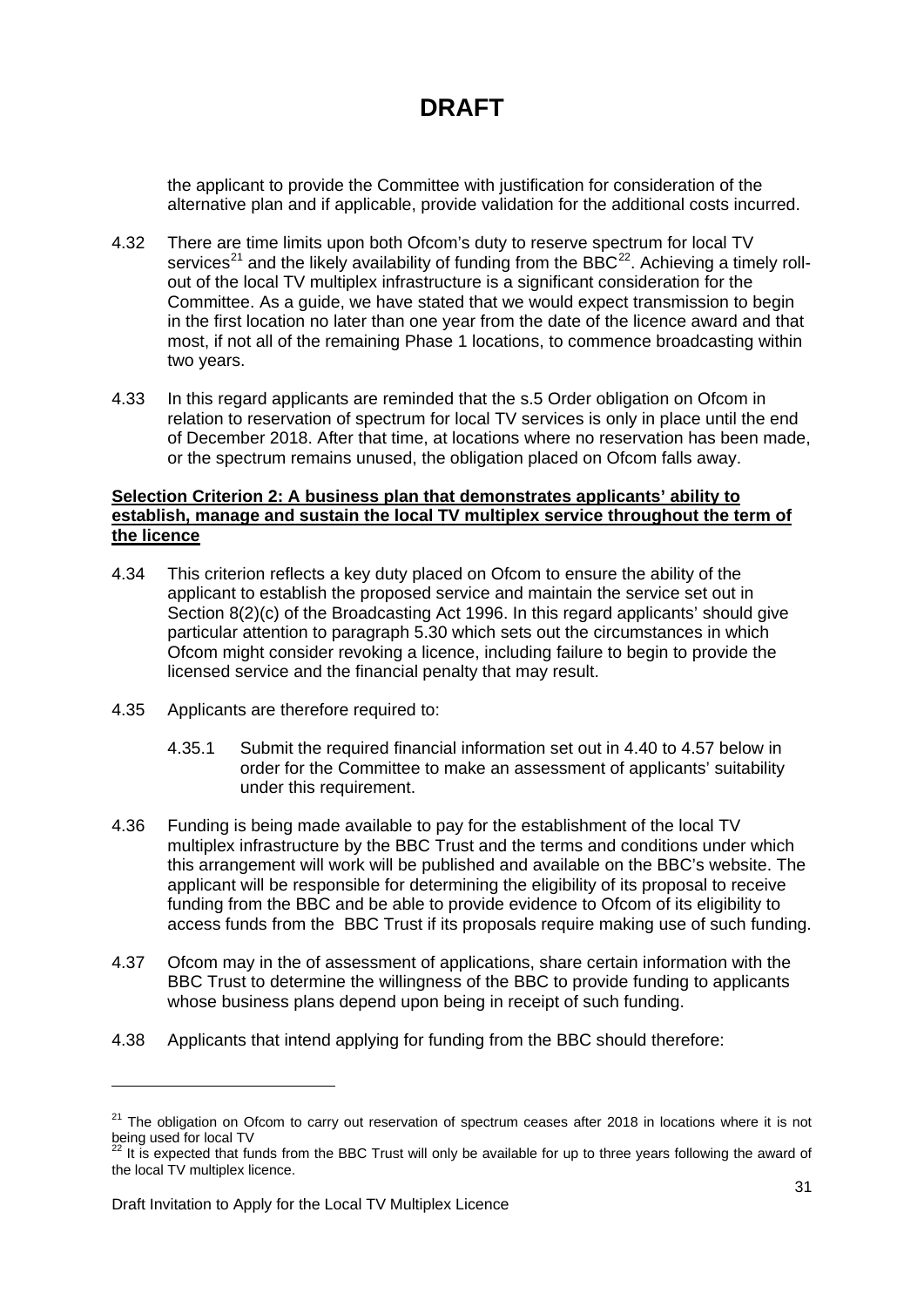the applicant to provide the Committee with justification for consideration of the alternative plan and if applicable, provide validation for the additional costs incurred.

- 4.32 There are time limits upon both Ofcom's duty to reserve spectrum for local TV services<sup>[21](#page-31-0)</sup> and the likely availability of funding from the BBC<sup>[22](#page-31-1)</sup>. Achieving a timely rollout of the local TV multiplex infrastructure is a significant consideration for the Committee. As a guide, we have stated that we would expect transmission to begin in the first location no later than one year from the date of the licence award and that most, if not all of the remaining Phase 1 locations, to commence broadcasting within two years.
- 4.33 In this regard applicants are reminded that the s.5 Order obligation on Ofcom in relation to reservation of spectrum for local TV services is only in place until the end of December 2018. After that time, at locations where no reservation has been made, or the spectrum remains unused, the obligation placed on Ofcom falls away.

#### **Selection Criterion 2: A business plan that demonstrates applicants' ability to establish, manage and sustain the local TV multiplex service throughout the term of the licence**

- 4.34 This criterion reflects a key duty placed on Ofcom to ensure the ability of the applicant to establish the proposed service and maintain the service set out in Section 8(2)(c) of the Broadcasting Act 1996. In this regard applicants' should give particular attention to paragraph 5.30 which sets out the circumstances in which Ofcom might consider revoking a licence, including failure to begin to provide the licensed service and the financial penalty that may result.
- 4.35 Applicants are therefore required to:
	- 4.35.1 Submit the required financial information set out in 4.40 to 4.57 below in order for the Committee to make an assessment of applicants' suitability under this requirement.
- 4.36 Funding is being made available to pay for the establishment of the local TV multiplex infrastructure by the BBC Trust and the terms and conditions under which this arrangement will work will be published and available on the BBC's website. The applicant will be responsible for determining the eligibility of its proposal to receive funding from the BBC and be able to provide evidence to Ofcom of its eligibility to access funds from the BBC Trust if its proposals require making use of such funding.
- 4.37 Ofcom may in the of assessment of applications, share certain information with the BBC Trust to determine the willingness of the BBC to provide funding to applicants whose business plans depend upon being in receipt of such funding.
- 4.38 Applicants that intend applying for funding from the BBC should therefore:

1

<span id="page-31-0"></span><sup>&</sup>lt;sup>21</sup> The obligation on Ofcom to carry out reservation of spectrum ceases after 2018 in locations where it is not being used for local TV

<span id="page-31-1"></span><sup>22</sup> It is expected that funds from the BBC Trust will only be available for up to three years following the award of the local TV multiplex licence.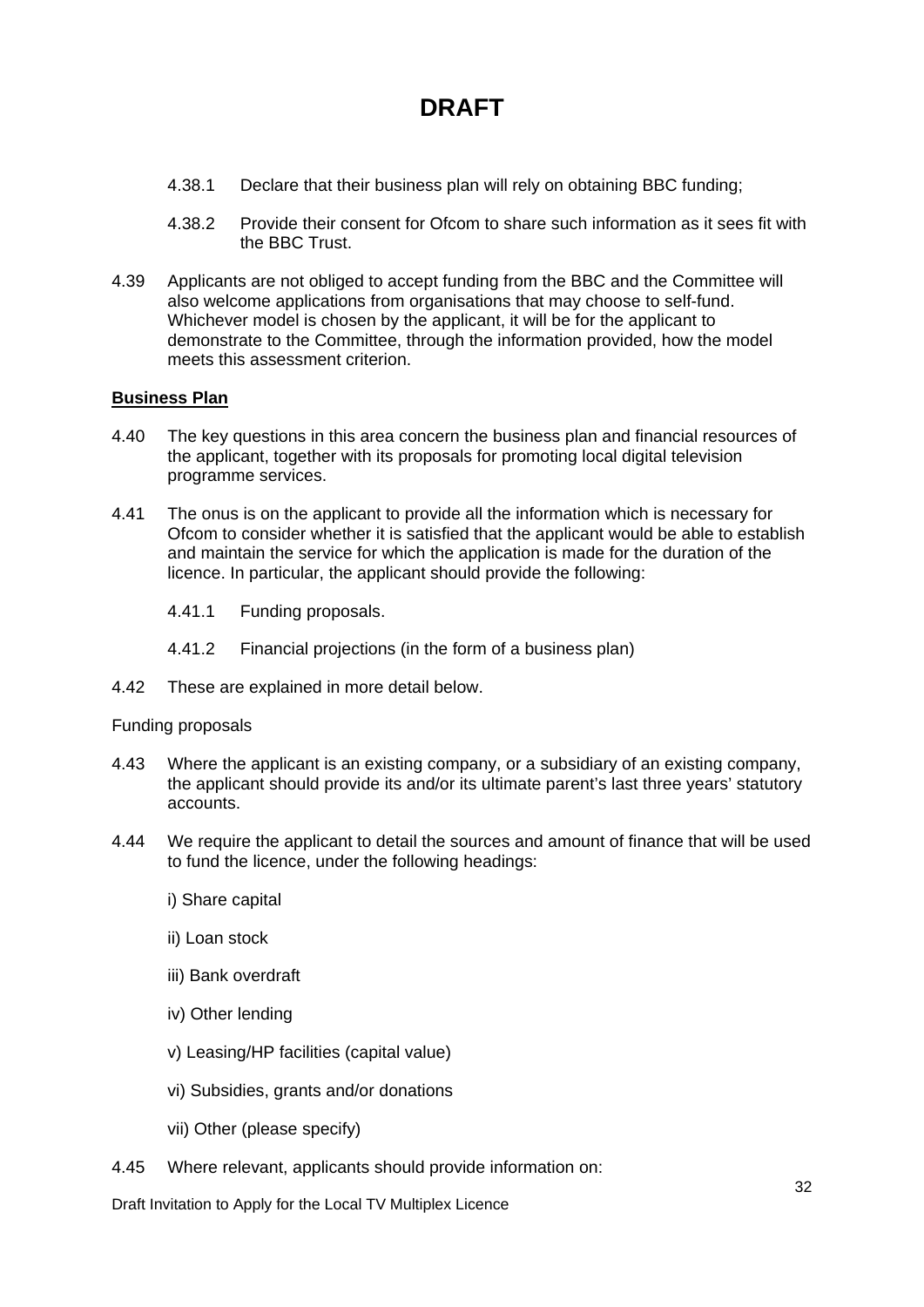- 4.38.1 Declare that their business plan will rely on obtaining BBC funding;
- 4.38.2 Provide their consent for Ofcom to share such information as it sees fit with the BBC Trust.
- 4.39 Applicants are not obliged to accept funding from the BBC and the Committee will also welcome applications from organisations that may choose to self-fund. Whichever model is chosen by the applicant, it will be for the applicant to demonstrate to the Committee, through the information provided, how the model meets this assessment criterion.

#### **Business Plan**

- 4.40 The key questions in this area concern the business plan and financial resources of the applicant, together with its proposals for promoting local digital television programme services.
- 4.41 The onus is on the applicant to provide all the information which is necessary for Ofcom to consider whether it is satisfied that the applicant would be able to establish and maintain the service for which the application is made for the duration of the licence. In particular, the applicant should provide the following:
	- 4.41.1 Funding proposals.
	- 4.41.2 Financial projections (in the form of a business plan)
- 4.42 These are explained in more detail below.

#### Funding proposals

- 4.43 Where the applicant is an existing company, or a subsidiary of an existing company, the applicant should provide its and/or its ultimate parent's last three years' statutory accounts.
- 4.44 We require the applicant to detail the sources and amount of finance that will be used to fund the licence, under the following headings:
	- i) Share capital
	- ii) Loan stock
	- iii) Bank overdraft
	- iv) Other lending
	- v) Leasing/HP facilities (capital value)
	- vi) Subsidies, grants and/or donations
	- vii) Other (please specify)
- 4.45 Where relevant, applicants should provide information on:

Draft Invitation to Apply for the Local TV Multiplex Licence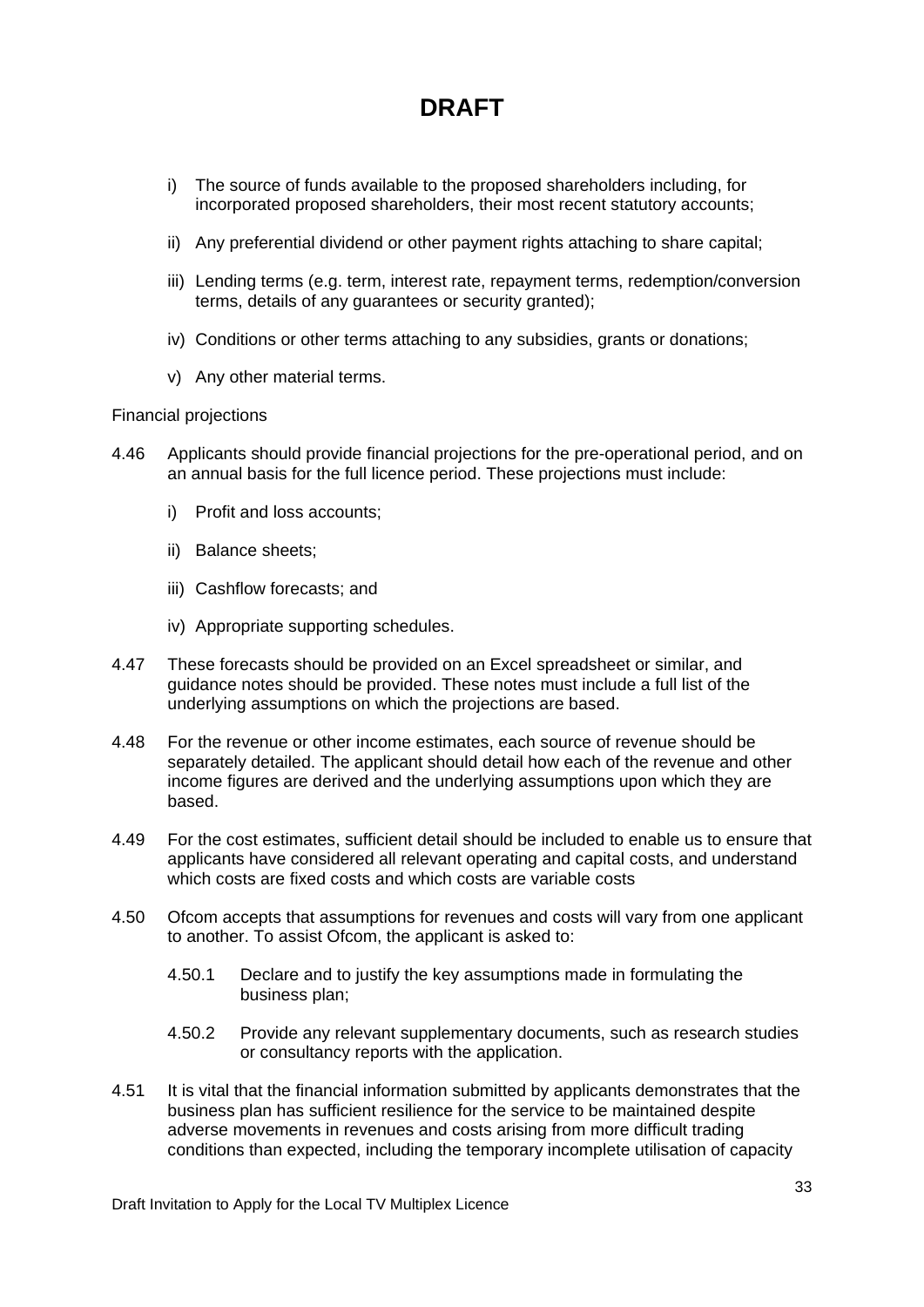- i) The source of funds available to the proposed shareholders including, for incorporated proposed shareholders, their most recent statutory accounts;
- ii) Any preferential dividend or other payment rights attaching to share capital;
- iii) Lending terms (e.g. term, interest rate, repayment terms, redemption/conversion terms, details of any guarantees or security granted);
- iv) Conditions or other terms attaching to any subsidies, grants or donations;
- v) Any other material terms.

Financial projections

- 4.46 Applicants should provide financial projections for the pre-operational period, and on an annual basis for the full licence period. These projections must include:
	- i) Profit and loss accounts;
	- ii) Balance sheets;
	- iii) Cashflow forecasts; and
	- iv) Appropriate supporting schedules.
- 4.47 These forecasts should be provided on an Excel spreadsheet or similar, and guidance notes should be provided. These notes must include a full list of the underlying assumptions on which the projections are based.
- 4.48 For the revenue or other income estimates, each source of revenue should be separately detailed. The applicant should detail how each of the revenue and other income figures are derived and the underlying assumptions upon which they are based.
- 4.49 For the cost estimates, sufficient detail should be included to enable us to ensure that applicants have considered all relevant operating and capital costs, and understand which costs are fixed costs and which costs are variable costs
- 4.50 Ofcom accepts that assumptions for revenues and costs will vary from one applicant to another. To assist Ofcom, the applicant is asked to:
	- 4.50.1 Declare and to justify the key assumptions made in formulating the business plan;
	- 4.50.2 Provide any relevant supplementary documents, such as research studies or consultancy reports with the application.
- 4.51 It is vital that the financial information submitted by applicants demonstrates that the business plan has sufficient resilience for the service to be maintained despite adverse movements in revenues and costs arising from more difficult trading conditions than expected, including the temporary incomplete utilisation of capacity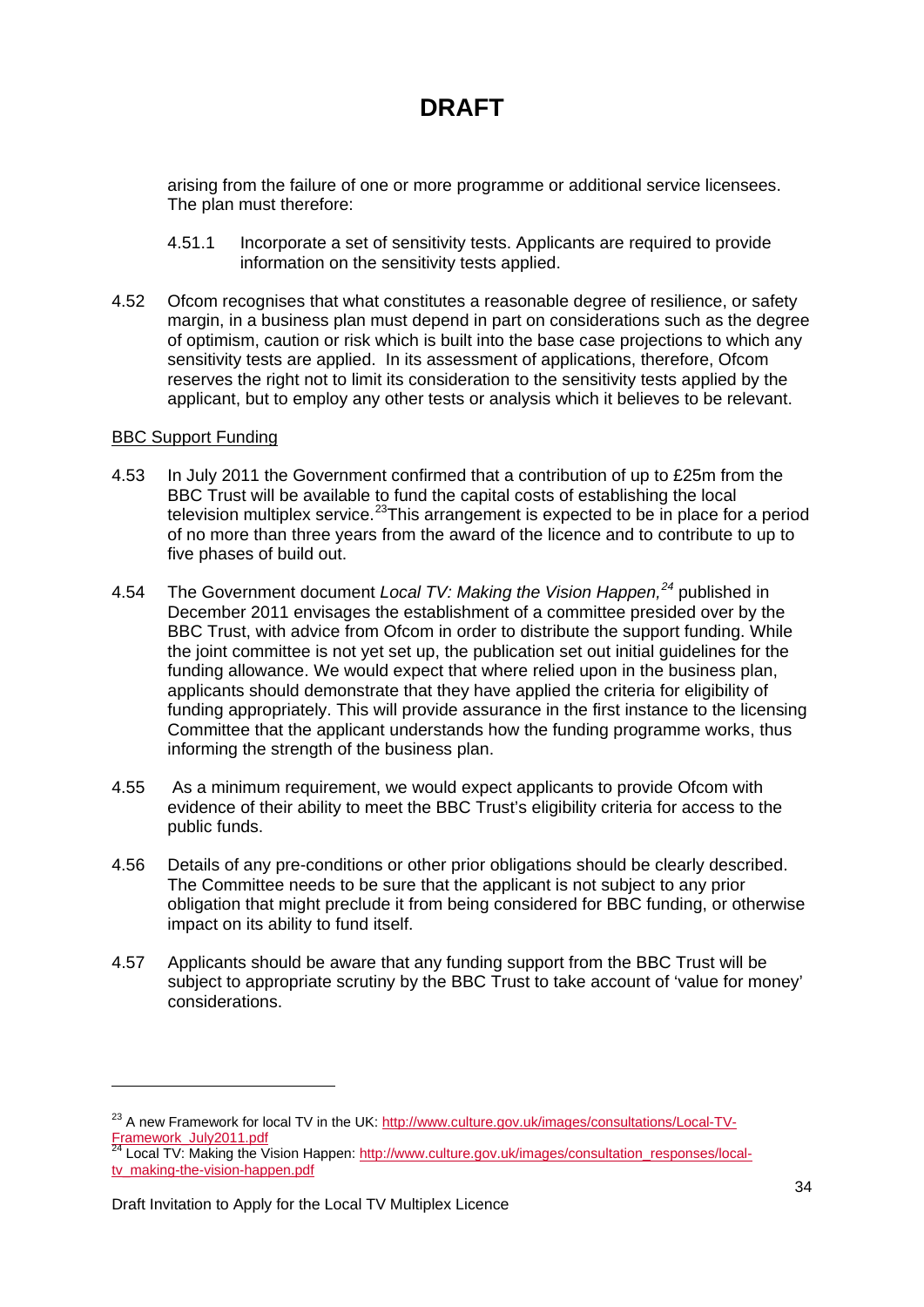arising from the failure of one or more programme or additional service licensees. The plan must therefore:

- 4.51.1 Incorporate a set of sensitivity tests. Applicants are required to provide information on the sensitivity tests applied.
- 4.52 Ofcom recognises that what constitutes a reasonable degree of resilience, or safety margin, in a business plan must depend in part on considerations such as the degree of optimism, caution or risk which is built into the base case projections to which any sensitivity tests are applied. In its assessment of applications, therefore, Ofcom reserves the right not to limit its consideration to the sensitivity tests applied by the applicant, but to employ any other tests or analysis which it believes to be relevant.

#### BBC Support Funding

1

- 4.53 In July 2011 the Government confirmed that a contribution of up to £25m from the BBC Trust will be available to fund the capital costs of establishing the local television multiplex service.<sup>[23](#page-34-0)</sup>This arrangement is expected to be in place for a period of no more than three years from the award of the licence and to contribute to up to five phases of build out.
- 4.54 The Government document Local TV: Making the Vision Happen,<sup>[24](#page-34-1)</sup> published in December 2011 envisages the establishment of a committee presided over by the BBC Trust, with advice from Ofcom in order to distribute the support funding. While the joint committee is not yet set up, the publication set out initial guidelines for the funding allowance. We would expect that where relied upon in the business plan, applicants should demonstrate that they have applied the criteria for eligibility of funding appropriately. This will provide assurance in the first instance to the licensing Committee that the applicant understands how the funding programme works, thus informing the strength of the business plan.
- 4.55 As a minimum requirement, we would expect applicants to provide Ofcom with evidence of their ability to meet the BBC Trust's eligibility criteria for access to the public funds.
- 4.56 Details of any pre-conditions or other prior obligations should be clearly described. The Committee needs to be sure that the applicant is not subject to any prior obligation that might preclude it from being considered for BBC funding, or otherwise impact on its ability to fund itself.
- 4.57 Applicants should be aware that any funding support from the BBC Trust will be subject to appropriate scrutiny by the BBC Trust to take account of 'value for money' considerations.

<span id="page-34-0"></span><sup>&</sup>lt;sup>23</sup> A new Framework for local TV in the UK: [http://www.culture.gov.uk/images/consultations/Local-TV-](http://www.culture.gov.uk/images/consultations/Local-TV-Framework_July2011.pdf)[Framework\\_July2011.pdf](http://www.culture.gov.uk/images/consultations/Local-TV-Framework_July2011.pdf)

<span id="page-34-1"></span><sup>&</sup>lt;sup>24</sup> Local TV: Making the Vision Happen: [http://www.culture.gov.uk/images/consultation\\_responses/local](http://www.culture.gov.uk/images/consultation_responses/local-tv_making-the-vision-happen.pdf)[tv\\_making-the-vision-happen.pdf](http://www.culture.gov.uk/images/consultation_responses/local-tv_making-the-vision-happen.pdf)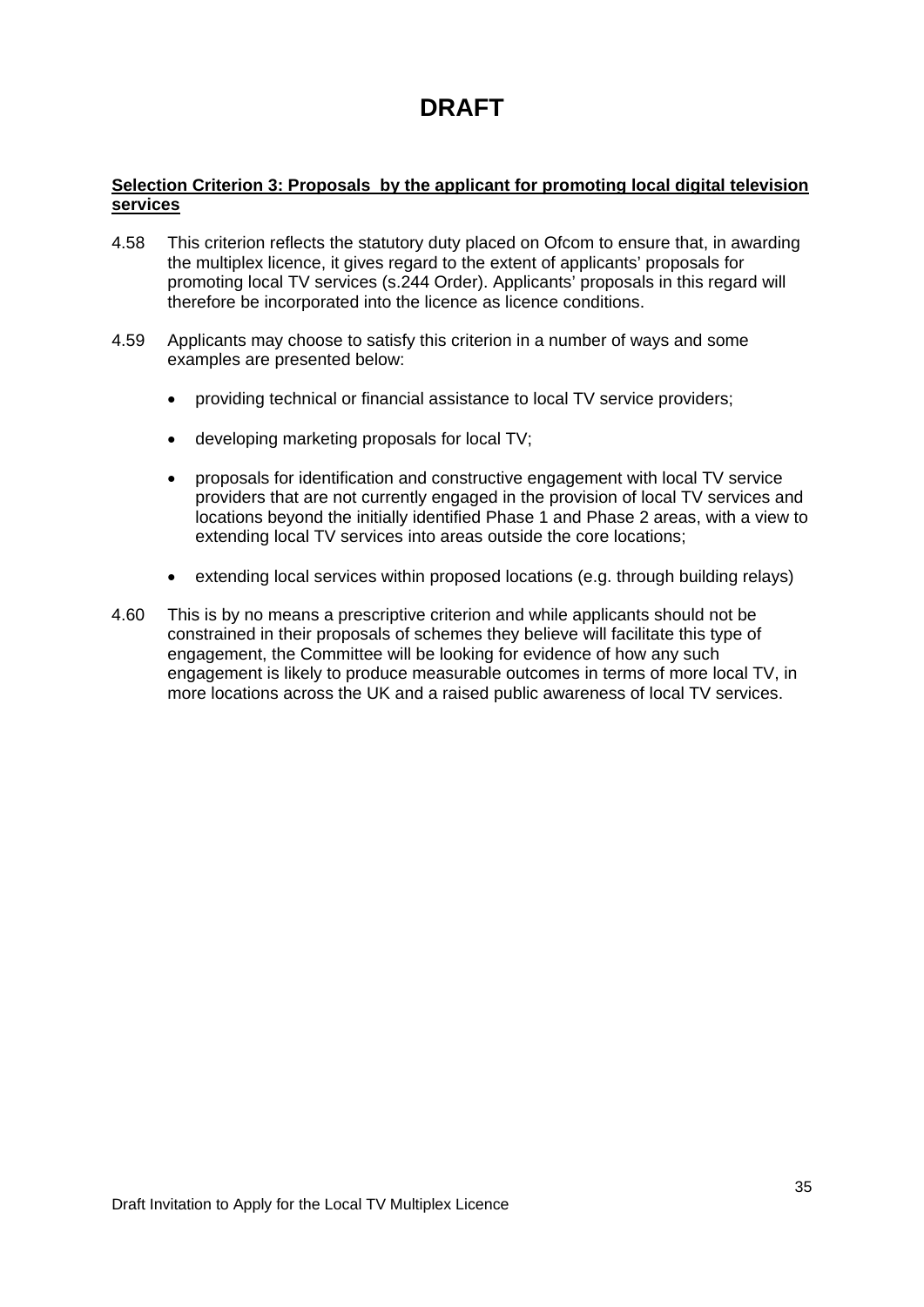#### **Selection Criterion 3: Proposals by the applicant for promoting local digital television services**

- 4.58 This criterion reflects the statutory duty placed on Ofcom to ensure that, in awarding the multiplex licence, it gives regard to the extent of applicants' proposals for promoting local TV services (s.244 Order). Applicants' proposals in this regard will therefore be incorporated into the licence as licence conditions.
- 4.59 Applicants may choose to satisfy this criterion in a number of ways and some examples are presented below:
	- providing technical or financial assistance to local TV service providers;
	- developing marketing proposals for local TV;
	- proposals for identification and constructive engagement with local TV service providers that are not currently engaged in the provision of local TV services and locations beyond the initially identified Phase 1 and Phase 2 areas, with a view to extending local TV services into areas outside the core locations;
	- extending local services within proposed locations (e.g. through building relays)
- 4.60 This is by no means a prescriptive criterion and while applicants should not be constrained in their proposals of schemes they believe will facilitate this type of engagement, the Committee will be looking for evidence of how any such engagement is likely to produce measurable outcomes in terms of more local TV, in more locations across the UK and a raised public awareness of local TV services.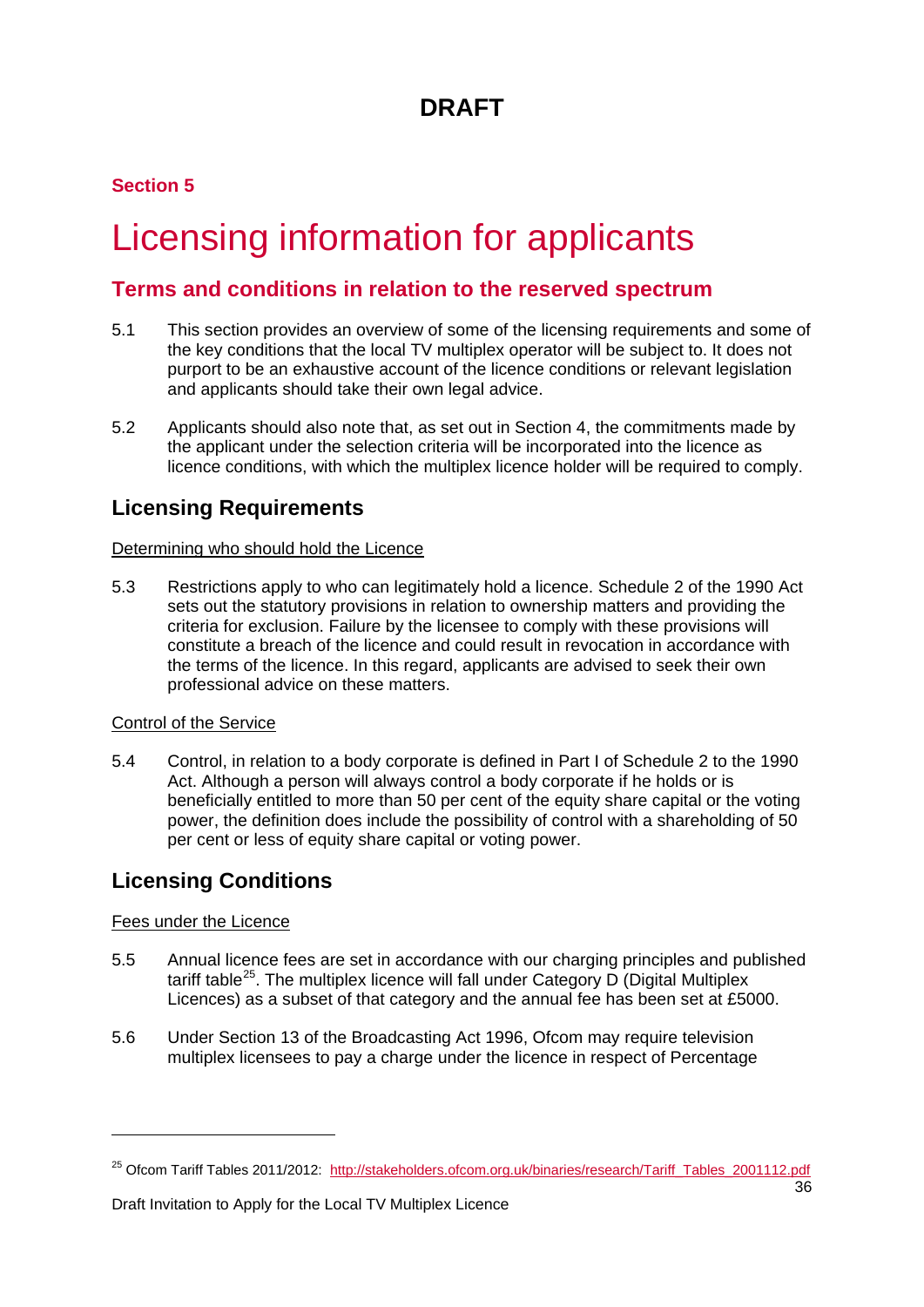### **Section 5**

# <span id="page-36-0"></span>Licensing information for applicants

### **Terms and conditions in relation to the reserved spectrum**

- 5.1 This section provides an overview of some of the licensing requirements and some of the key conditions that the local TV multiplex operator will be subject to. It does not purport to be an exhaustive account of the licence conditions or relevant legislation and applicants should take their own legal advice.
- 5.2 Applicants should also note that, as set out in Section 4, the commitments made by the applicant under the selection criteria will be incorporated into the licence as licence conditions, with which the multiplex licence holder will be required to comply.

### **Licensing Requirements**

#### Determining who should hold the Licence

5.3 Restrictions apply to who can legitimately hold a licence. Schedule 2 of the 1990 Act sets out the statutory provisions in relation to ownership matters and providing the criteria for exclusion. Failure by the licensee to comply with these provisions will constitute a breach of the licence and could result in revocation in accordance with the terms of the licence. In this regard, applicants are advised to seek their own professional advice on these matters.

#### Control of the Service

5.4 Control, in relation to a body corporate is defined in Part I of Schedule 2 to the 1990 Act. Although a person will always control a body corporate if he holds or is beneficially entitled to more than 50 per cent of the equity share capital or the voting power, the definition does include the possibility of control with a shareholding of 50 per cent or less of equity share capital or voting power.

### **Licensing Conditions**

#### Fees under the Licence

<u>.</u>

- 5.5 Annual licence fees are set in accordance with our charging principles and published tariff table<sup>[25](#page-36-1)</sup>. The multiplex licence will fall under Category D (Digital Multiplex Licences) as a subset of that category and the annual fee has been set at £5000.
- 5.6 Under Section 13 of the Broadcasting Act 1996, Ofcom may require television multiplex licensees to pay a charge under the licence in respect of Percentage

Draft Invitation to Apply for the Local TV Multiplex Licence

<span id="page-36-1"></span><sup>&</sup>lt;sup>25</sup> Ofcom Tariff Tables 2011/2012: [http://stakeholders.ofcom.org.uk/binaries/research/Tariff\\_Tables\\_2001112.pdf](http://stakeholders.ofcom.org.uk/binaries/research/Tariff_Tables_2001112.pdf)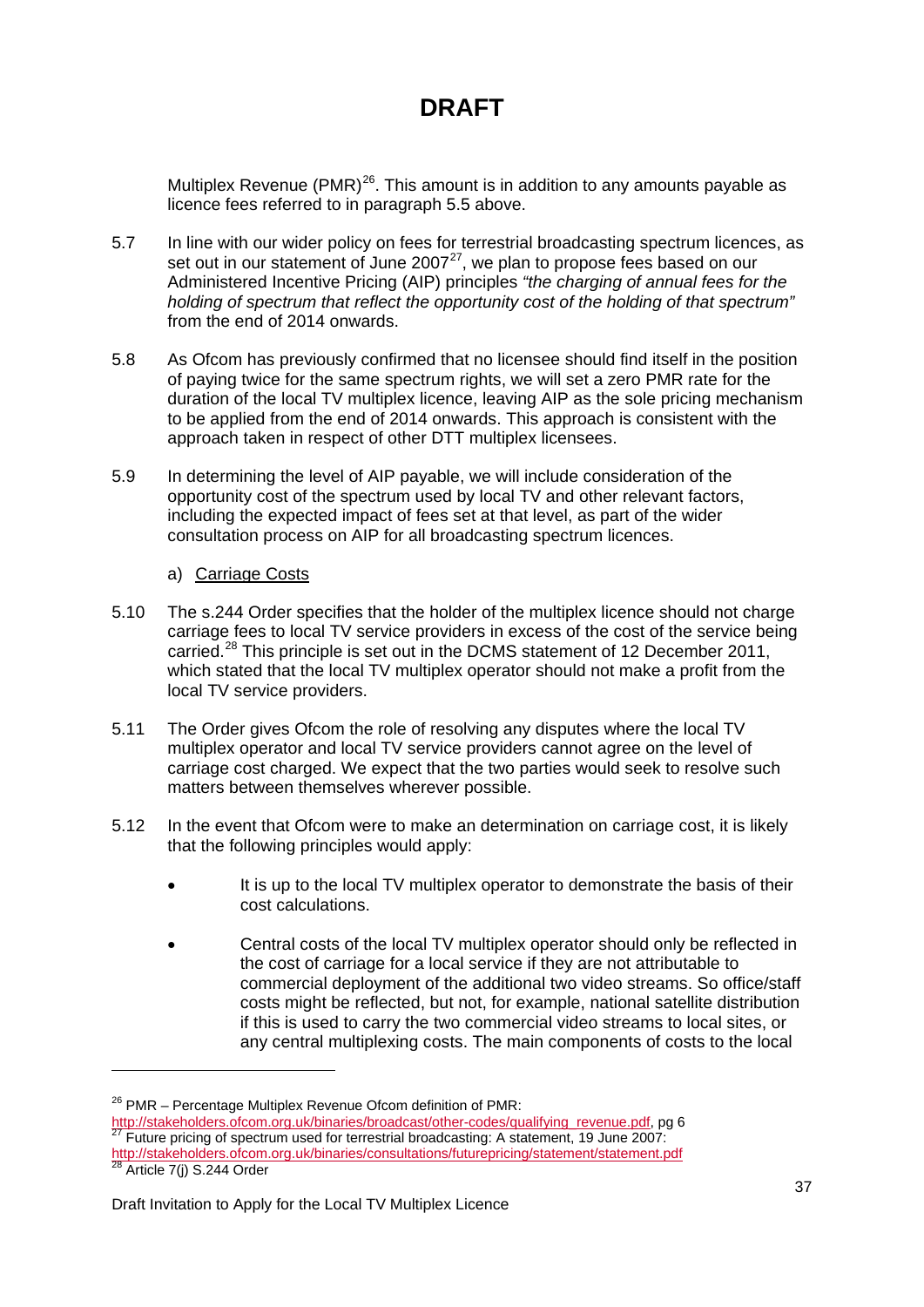Multiplex Revenue (PMR) $^{26}$  $^{26}$  $^{26}$ . This amount is in addition to any amounts payable as licence fees referred to in paragraph 5.5 above.

- 5.7 In line with our wider policy on fees for terrestrial broadcasting spectrum licences, as set out in our statement of June  $2007<sup>27</sup>$  $2007<sup>27</sup>$  $2007<sup>27</sup>$ , we plan to propose fees based on our Administered Incentive Pricing (AIP) principles *"the charging of annual fees for the holding of spectrum that reflect the opportunity cost of the holding of that spectrum"*  from the end of 2014 onwards.
- 5.8 As Ofcom has previously confirmed that no licensee should find itself in the position of paying twice for the same spectrum rights, we will set a zero PMR rate for the duration of the local TV multiplex licence, leaving AIP as the sole pricing mechanism to be applied from the end of 2014 onwards. This approach is consistent with the approach taken in respect of other DTT multiplex licensees.
- 5.9 In determining the level of AIP payable, we will include consideration of the opportunity cost of the spectrum used by local TV and other relevant factors, including the expected impact of fees set at that level, as part of the wider consultation process on AIP for all broadcasting spectrum licences.

#### a) Carriage Costs

- 5.10 The s.244 Order specifies that the holder of the multiplex licence should not charge carriage fees to local TV service providers in excess of the cost of the service being carried.<sup>[28](#page-37-2)</sup> This principle is set out in the DCMS statement of 12 December 2011, which stated that the local TV multiplex operator should not make a profit from the local TV service providers.
- 5.11 The Order gives Ofcom the role of resolving any disputes where the local TV multiplex operator and local TV service providers cannot agree on the level of carriage cost charged. We expect that the two parties would seek to resolve such matters between themselves wherever possible.
- 5.12 In the event that Ofcom were to make an determination on carriage cost, it is likely that the following principles would apply:
	- It is up to the local TV multiplex operator to demonstrate the basis of their cost calculations.
	- Central costs of the local TV multiplex operator should only be reflected in the cost of carriage for a local service if they are not attributable to commercial deployment of the additional two video streams. So office/staff costs might be reflected, but not, for example, national satellite distribution if this is used to carry the two commercial video streams to local sites, or any central multiplexing costs. The main components of costs to the local

-

<span id="page-37-0"></span><sup>&</sup>lt;sup>26</sup> PMR – Percentage Multiplex Revenue Ofcom definition of PMR:

<span id="page-37-1"></span>[http://stakeholders.ofcom.org.uk/binaries/broadcast/other-codes/qualifying\\_revenue.pdf,](http://stakeholders.ofcom.org.uk/binaries/broadcast/other-codes/qualifying_revenue.pdf) pg 6<br><sup>27</sup> Future pricing of spectrum used for terrestrial broadcasting: A statement, 19 June 2007: <http://stakeholders.ofcom.org.uk/binaries/consultations/futurepricing/statement/statement.pdf>

<span id="page-37-2"></span> $28$  Article 7(j) S.244 Order

Draft Invitation to Apply for the Local TV Multiplex Licence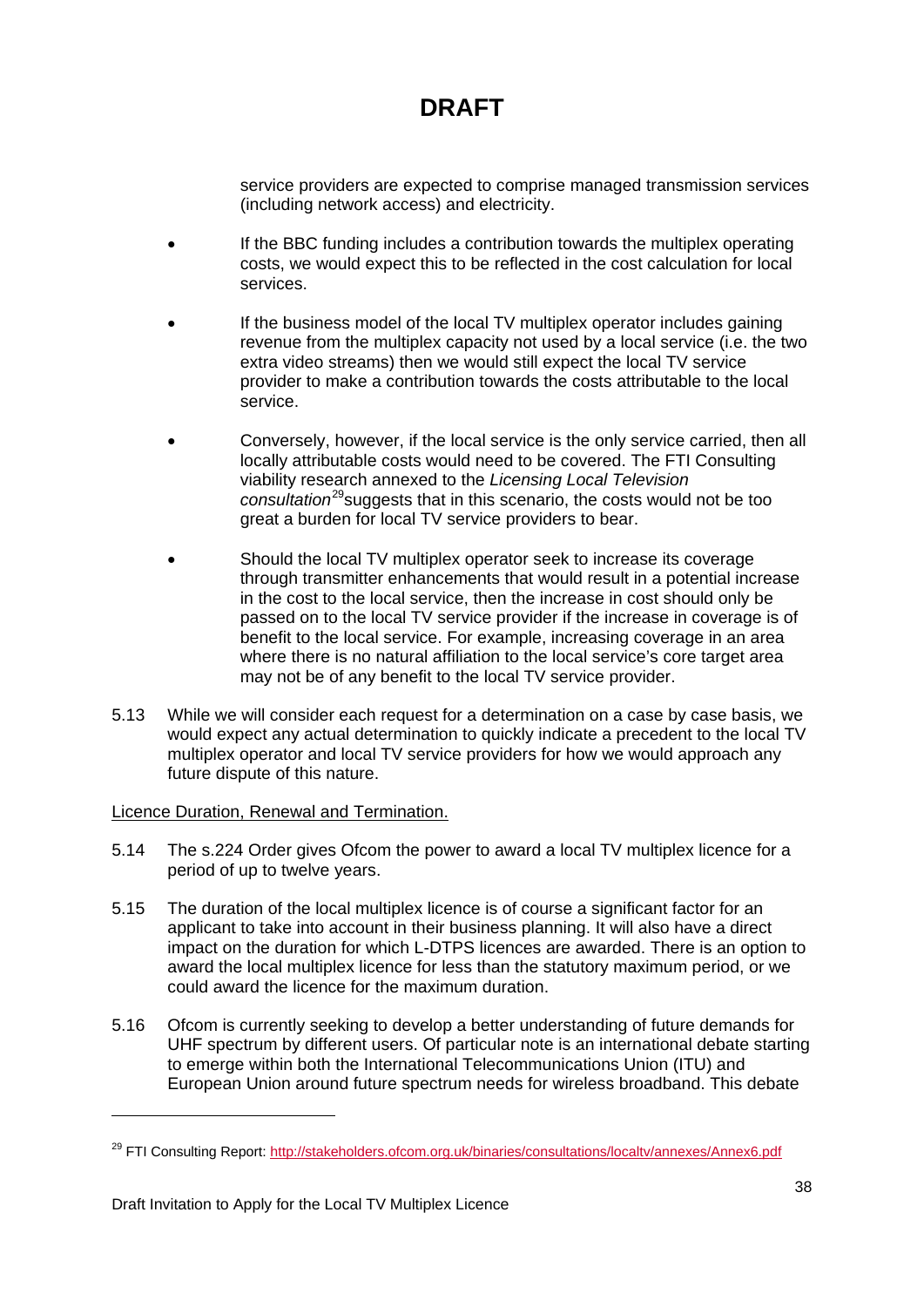service providers are expected to comprise managed transmission services (including network access) and electricity.

- If the BBC funding includes a contribution towards the multiplex operating costs, we would expect this to be reflected in the cost calculation for local services.
- If the business model of the local TV multiplex operator includes gaining revenue from the multiplex capacity not used by a local service (i.e. the two extra video streams) then we would still expect the local TV service provider to make a contribution towards the costs attributable to the local service.
- Conversely, however, if the local service is the only service carried, then all locally attributable costs would need to be covered. The FTI Consulting viability research annexed to the *Licensing Local Television*  consultation<sup>[29](#page-38-0)</sup> suggests that in this scenario, the costs would not be too great a burden for local TV service providers to bear.
- Should the local TV multiplex operator seek to increase its coverage through transmitter enhancements that would result in a potential increase in the cost to the local service, then the increase in cost should only be passed on to the local TV service provider if the increase in coverage is of benefit to the local service. For example, increasing coverage in an area where there is no natural affiliation to the local service's core target area may not be of any benefit to the local TV service provider.
- 5.13 While we will consider each request for a determination on a case by case basis, we would expect any actual determination to quickly indicate a precedent to the local TV multiplex operator and local TV service providers for how we would approach any future dispute of this nature.

#### Licence Duration, Renewal and Termination.

- 5.14 The s.224 Order gives Ofcom the power to award a local TV multiplex licence for a period of up to twelve years.
- 5.15 The duration of the local multiplex licence is of course a significant factor for an applicant to take into account in their business planning. It will also have a direct impact on the duration for which L-DTPS licences are awarded. There is an option to award the local multiplex licence for less than the statutory maximum period, or we could award the licence for the maximum duration.
- 5.16 Ofcom is currently seeking to develop a better understanding of future demands for UHF spectrum by different users. Of particular note is an international debate starting to emerge within both the International Telecommunications Union (ITU) and European Union around future spectrum needs for wireless broadband. This debate

<u>.</u>

<span id="page-38-0"></span><sup>&</sup>lt;sup>29</sup> FTI Consulting Report:<http://stakeholders.ofcom.org.uk/binaries/consultations/localtv/annexes/Annex6.pdf>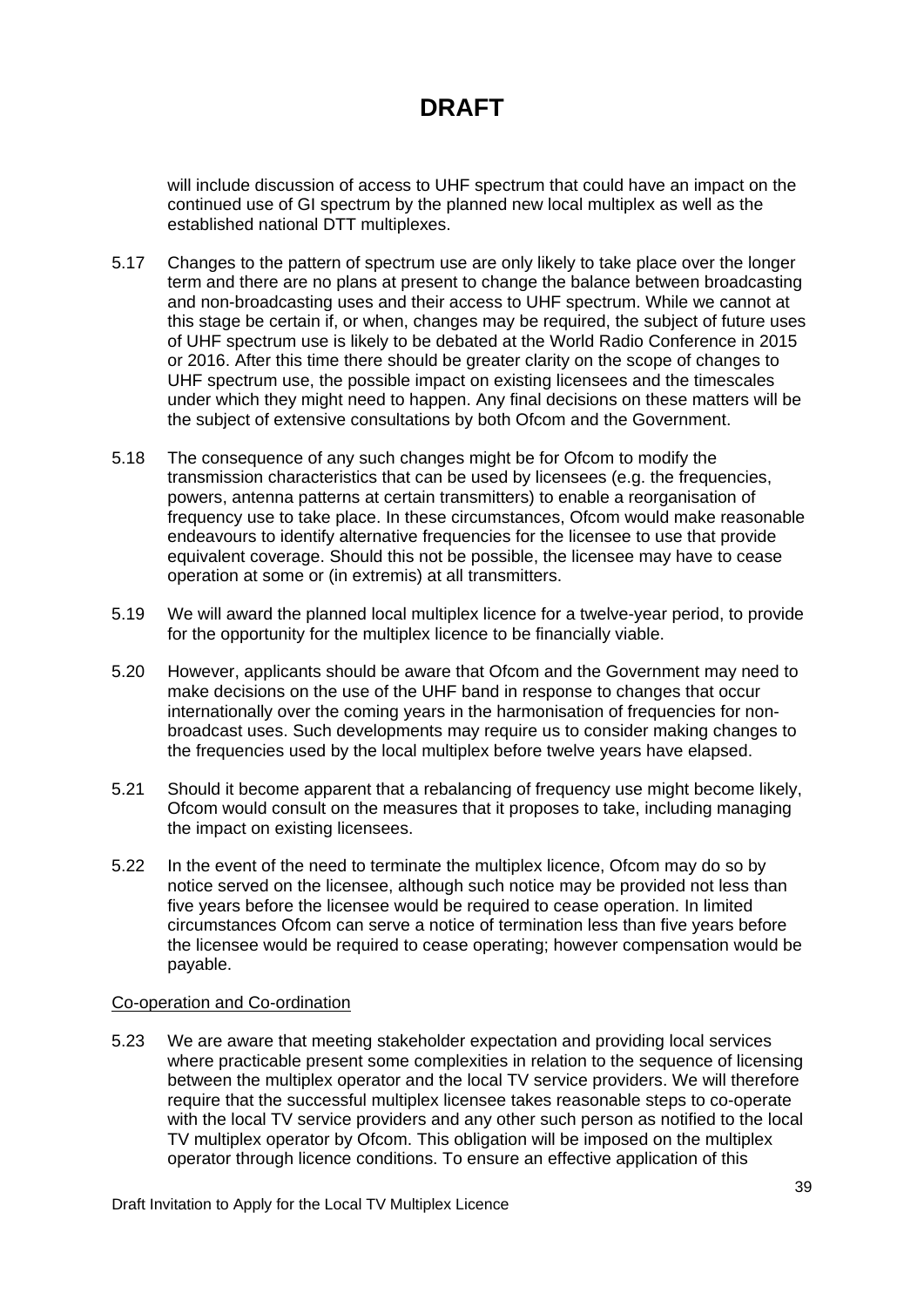will include discussion of access to UHF spectrum that could have an impact on the continued use of GI spectrum by the planned new local multiplex as well as the established national DTT multiplexes.

- 5.17 Changes to the pattern of spectrum use are only likely to take place over the longer term and there are no plans at present to change the balance between broadcasting and non-broadcasting uses and their access to UHF spectrum. While we cannot at this stage be certain if, or when, changes may be required, the subject of future uses of UHF spectrum use is likely to be debated at the World Radio Conference in 2015 or 2016. After this time there should be greater clarity on the scope of changes to UHF spectrum use, the possible impact on existing licensees and the timescales under which they might need to happen. Any final decisions on these matters will be the subject of extensive consultations by both Ofcom and the Government.
- 5.18 The consequence of any such changes might be for Ofcom to modify the transmission characteristics that can be used by licensees (e.g. the frequencies, powers, antenna patterns at certain transmitters) to enable a reorganisation of frequency use to take place. In these circumstances, Ofcom would make reasonable endeavours to identify alternative frequencies for the licensee to use that provide equivalent coverage. Should this not be possible, the licensee may have to cease operation at some or (in extremis) at all transmitters.
- 5.19 We will award the planned local multiplex licence for a twelve-year period, to provide for the opportunity for the multiplex licence to be financially viable.
- 5.20 However, applicants should be aware that Ofcom and the Government may need to make decisions on the use of the UHF band in response to changes that occur internationally over the coming years in the harmonisation of frequencies for nonbroadcast uses. Such developments may require us to consider making changes to the frequencies used by the local multiplex before twelve years have elapsed.
- 5.21 Should it become apparent that a rebalancing of frequency use might become likely, Ofcom would consult on the measures that it proposes to take, including managing the impact on existing licensees.
- 5.22 In the event of the need to terminate the multiplex licence, Ofcom may do so by notice served on the licensee, although such notice may be provided not less than five years before the licensee would be required to cease operation. In limited circumstances Ofcom can serve a notice of termination less than five years before the licensee would be required to cease operating; however compensation would be payable.

#### Co-operation and Co-ordination

5.23 We are aware that meeting stakeholder expectation and providing local services where practicable present some complexities in relation to the sequence of licensing between the multiplex operator and the local TV service providers. We will therefore require that the successful multiplex licensee takes reasonable steps to co-operate with the local TV service providers and any other such person as notified to the local TV multiplex operator by Ofcom. This obligation will be imposed on the multiplex operator through licence conditions. To ensure an effective application of this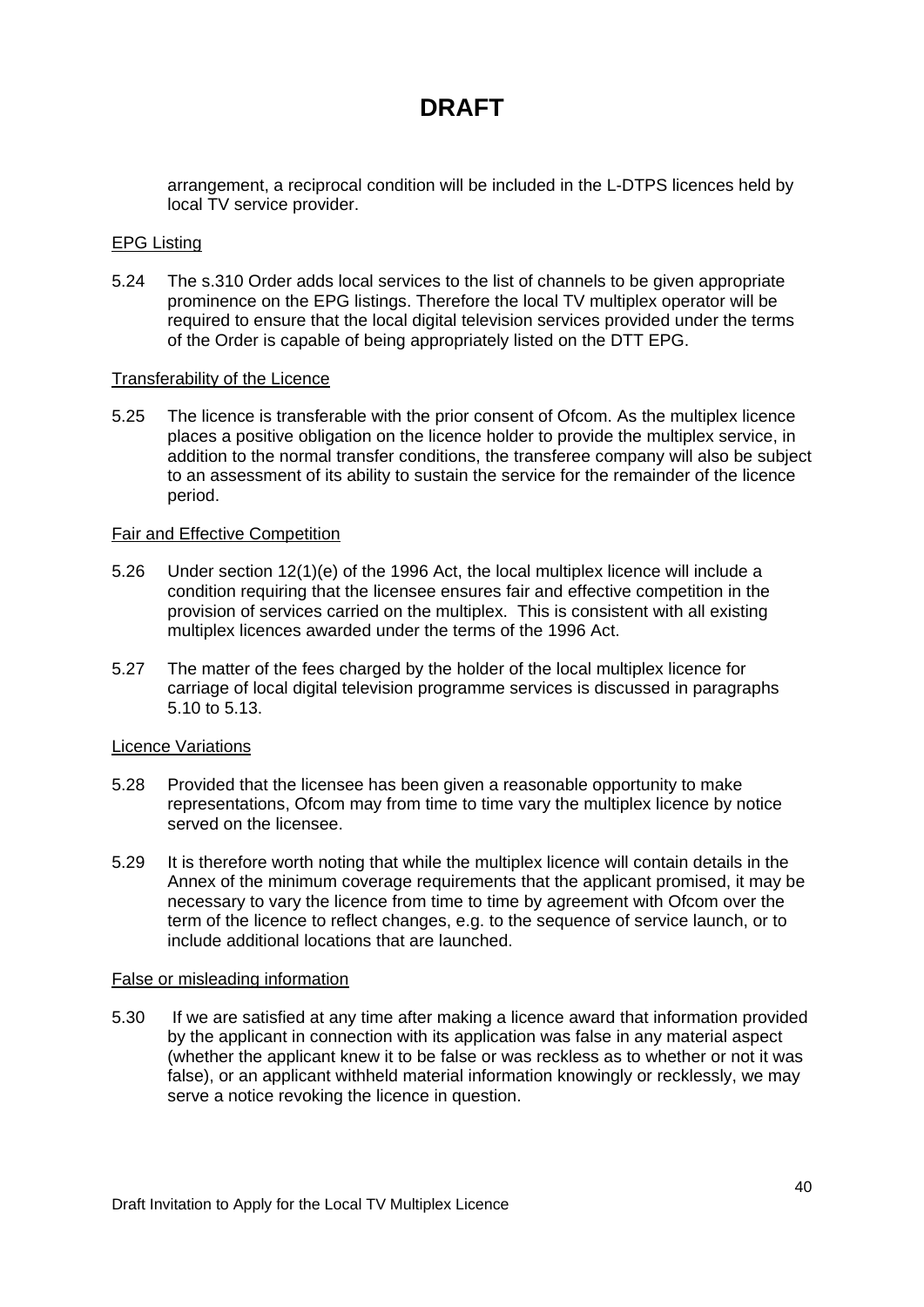arrangement, a reciprocal condition will be included in the L-DTPS licences held by local TV service provider.

#### EPG Listing

5.24 The s.310 Order adds local services to the list of channels to be given appropriate prominence on the EPG listings. Therefore the local TV multiplex operator will be required to ensure that the local digital television services provided under the terms of the Order is capable of being appropriately listed on the DTT EPG.

#### Transferability of the Licence

5.25 The licence is transferable with the prior consent of Ofcom. As the multiplex licence places a positive obligation on the licence holder to provide the multiplex service, in addition to the normal transfer conditions, the transferee company will also be subject to an assessment of its ability to sustain the service for the remainder of the licence period.

#### Fair and Effective Competition

- 5.26 Under section 12(1)(e) of the 1996 Act, the local multiplex licence will include a condition requiring that the licensee ensures fair and effective competition in the provision of services carried on the multiplex. This is consistent with all existing multiplex licences awarded under the terms of the 1996 Act.
- 5.27 The matter of the fees charged by the holder of the local multiplex licence for carriage of local digital television programme services is discussed in paragraphs 5.10 to 5.13.

#### Licence Variations

- 5.28 Provided that the licensee has been given a reasonable opportunity to make representations, Ofcom may from time to time vary the multiplex licence by notice served on the licensee.
- 5.29 It is therefore worth noting that while the multiplex licence will contain details in the Annex of the minimum coverage requirements that the applicant promised, it may be necessary to vary the licence from time to time by agreement with Ofcom over the term of the licence to reflect changes, e.g. to the sequence of service launch, or to include additional locations that are launched.

#### False or misleading information

5.30 If we are satisfied at any time after making a licence award that information provided by the applicant in connection with its application was false in any material aspect (whether the applicant knew it to be false or was reckless as to whether or not it was false), or an applicant withheld material information knowingly or recklessly, we may serve a notice revoking the licence in question.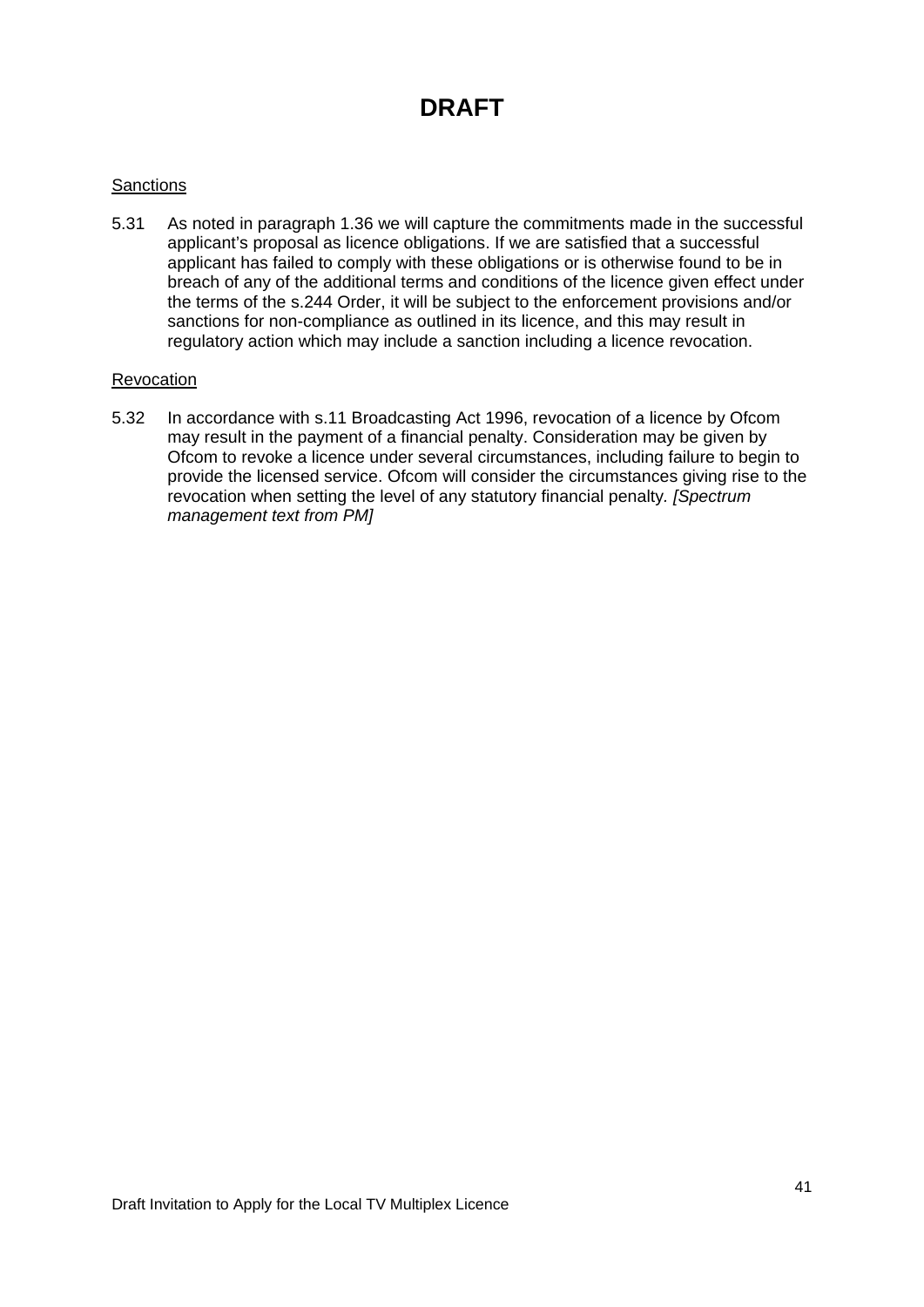#### **Sanctions**

5.31 As noted in paragraph 1.36 we will capture the commitments made in the successful applicant's proposal as licence obligations. If we are satisfied that a successful applicant has failed to comply with these obligations or is otherwise found to be in breach of any of the additional terms and conditions of the licence given effect under the terms of the s.244 Order, it will be subject to the enforcement provisions and/or sanctions for non-compliance as outlined in its licence, and this may result in regulatory action which may include a sanction including a licence revocation.

#### **Revocation**

5.32 In accordance with s.11 Broadcasting Act 1996, revocation of a licence by Ofcom may result in the payment of a financial penalty. Consideration may be given by Ofcom to revoke a licence under several circumstances, including failure to begin to provide the licensed service. Ofcom will consider the circumstances giving rise to the revocation when setting the level of any statutory financial penalty*. [Spectrum management text from PM]*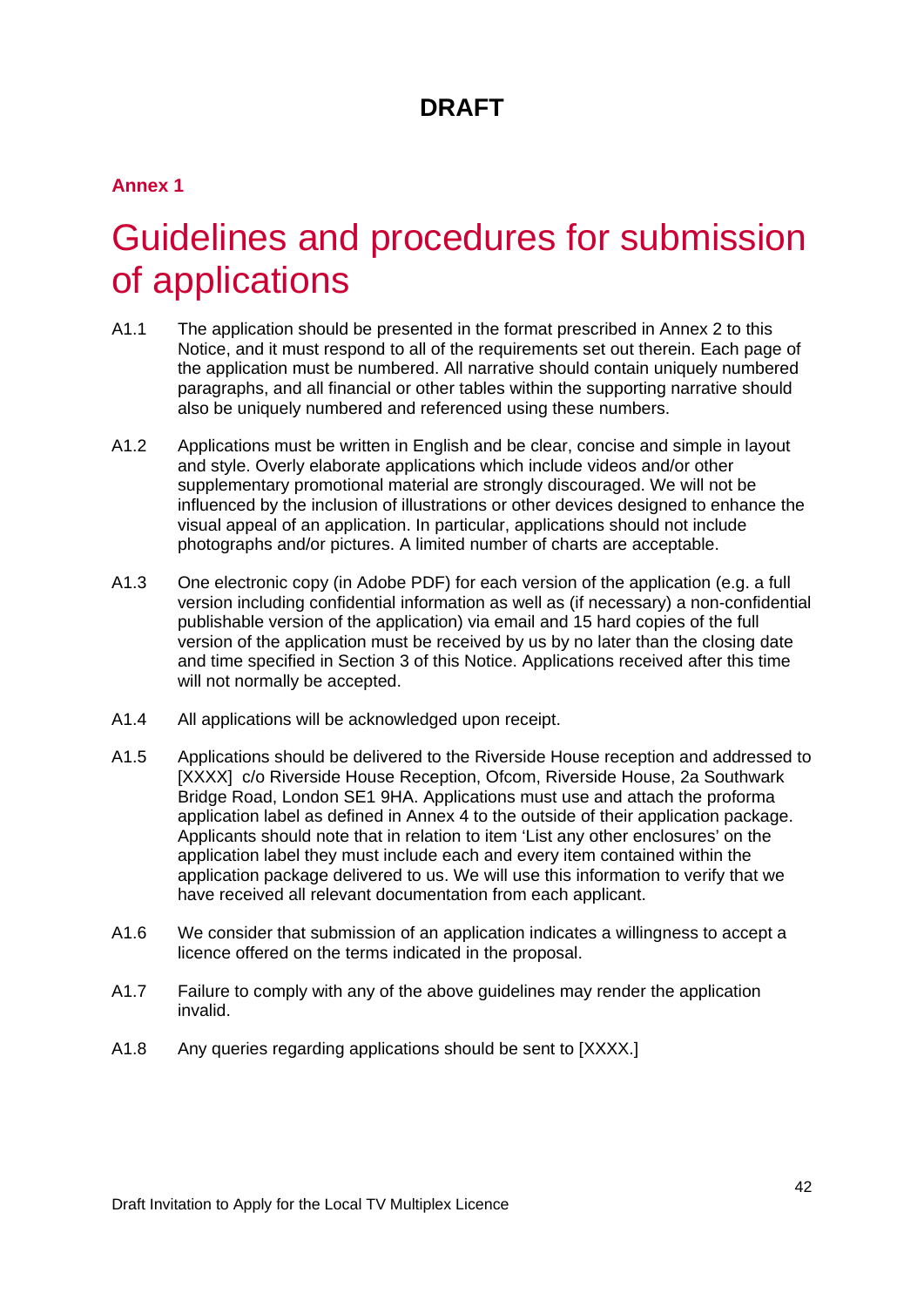### **Annex 1**

# <span id="page-42-0"></span>Guidelines and procedures for submission of applications

- A1.1 The application should be presented in the format prescribed in Annex 2 to this Notice, and it must respond to all of the requirements set out therein. Each page of the application must be numbered. All narrative should contain uniquely numbered paragraphs, and all financial or other tables within the supporting narrative should also be uniquely numbered and referenced using these numbers.
- A1.2 Applications must be written in English and be clear, concise and simple in layout and style. Overly elaborate applications which include videos and/or other supplementary promotional material are strongly discouraged. We will not be influenced by the inclusion of illustrations or other devices designed to enhance the visual appeal of an application. In particular, applications should not include photographs and/or pictures. A limited number of charts are acceptable.
- A1.3 One electronic copy (in Adobe PDF) for each version of the application (e.g. a full version including confidential information as well as (if necessary) a non-confidential publishable version of the application) via email and 15 hard copies of the full version of the application must be received by us by no later than the closing date and time specified in Section 3 of this Notice. Applications received after this time will not normally be accepted.
- A1.4 All applications will be acknowledged upon receipt.
- A1.5 Applications should be delivered to the Riverside House reception and addressed to [XXXX] c/o Riverside House Reception, Ofcom, Riverside House, 2a Southwark Bridge Road, London SE1 9HA. Applications must use and attach the proforma application label as defined in Annex 4 to the outside of their application package. Applicants should note that in relation to item 'List any other enclosures' on the application label they must include each and every item contained within the application package delivered to us. We will use this information to verify that we have received all relevant documentation from each applicant.
- A1.6 We consider that submission of an application indicates a willingness to accept a licence offered on the terms indicated in the proposal.
- A1.7 Failure to comply with any of the above guidelines may render the application invalid.
- A1.8 Any queries regarding applications should be sent to [XXXX.]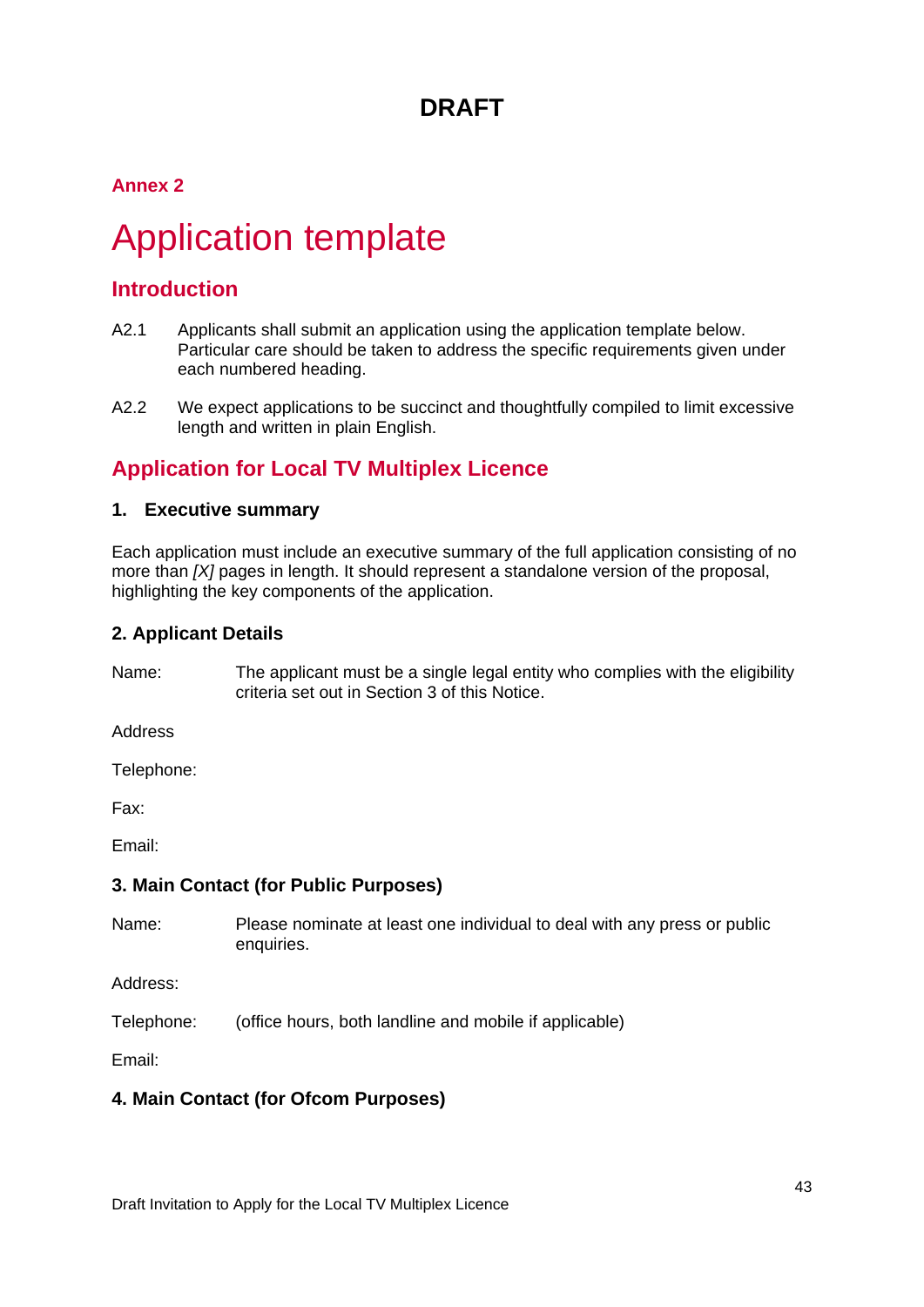### **Annex 2**

# <span id="page-43-0"></span>2 Application template

### **Introduction**

- A2.1 Applicants shall submit an application using the application template below. Particular care should be taken to address the specific requirements given under each numbered heading.
- A2.2 We expect applications to be succinct and thoughtfully compiled to limit excessive length and written in plain English.

### **Application for Local TV Multiplex Licence**

#### **1. Executive summary**

Each application must include an executive summary of the full application consisting of no more than *[X]* pages in length. It should represent a standalone version of the proposal, highlighting the key components of the application.

#### **2. Applicant Details**

Name: The applicant must be a single legal entity who complies with the eligibility criteria set out in Section 3 of this Notice.

Address

Telephone:

Fax:

Email:

#### **3. Main Contact (for Public Purposes)**

Name: Please nominate at least one individual to deal with any press or public enquiries.

Address:

Telephone: (office hours, both landline and mobile if applicable)

Email:

#### **4. Main Contact (for Ofcom Purposes)**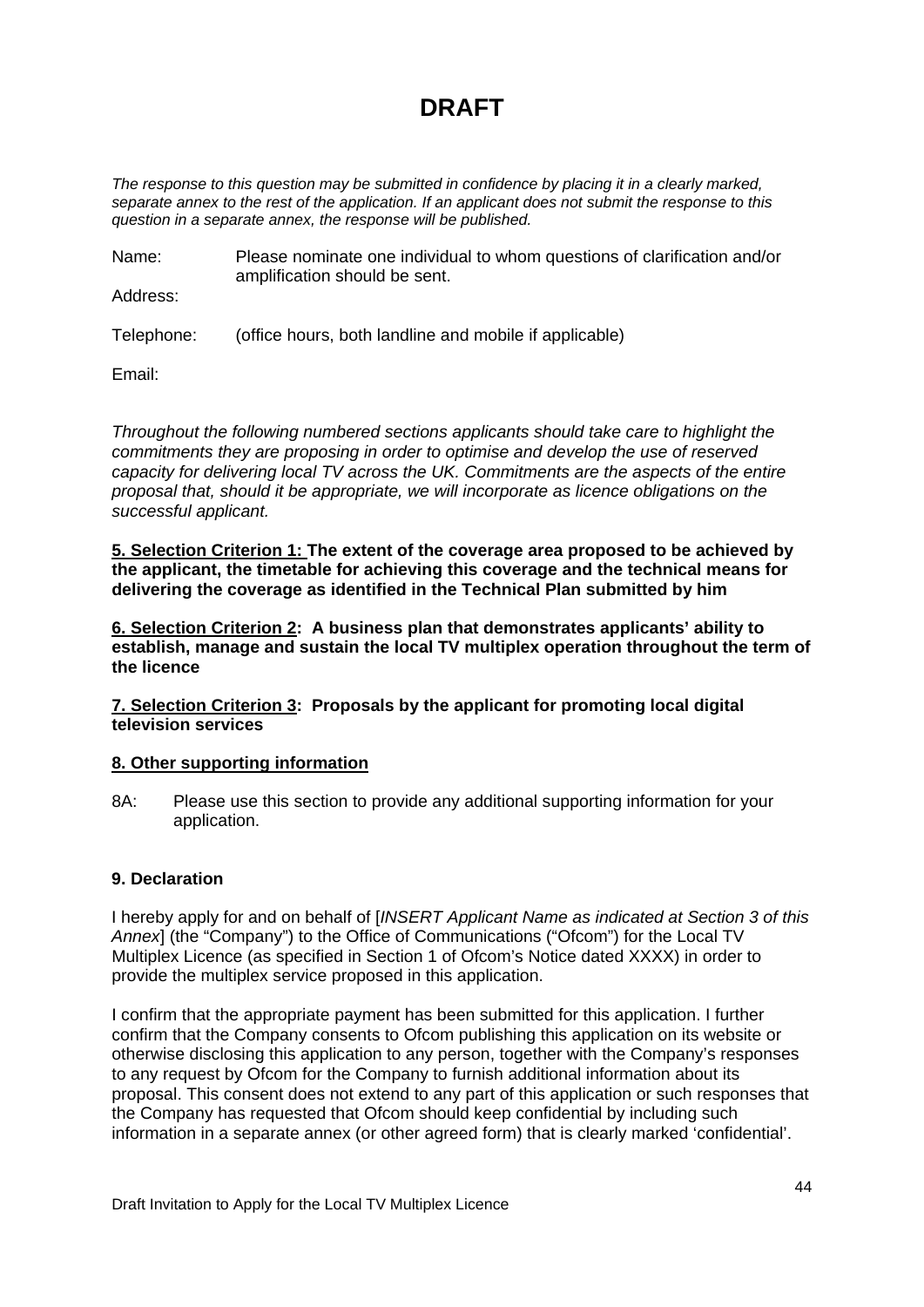*The response to this question may be submitted in confidence by placing it in a clearly marked, separate annex to the rest of the application. If an applicant does not submit the response to this question in a separate annex, the response will be published.*

Name: Please nominate one individual to whom questions of clarification and/or amplification should be sent.

Address:

Telephone: (office hours, both landline and mobile if applicable)

Email:

*Throughout the following numbered sections applicants should take care to highlight the commitments they are proposing in order to optimise and develop the use of reserved capacity for delivering local TV across the UK. Commitments are the aspects of the entire proposal that, should it be appropriate, we will incorporate as licence obligations on the successful applicant.* 

**5. Selection Criterion 1: The extent of the coverage area proposed to be achieved by the applicant, the timetable for achieving this coverage and the technical means for delivering the coverage as identified in the Technical Plan submitted by him**

**6. Selection Criterion 2: A business plan that demonstrates applicants' ability to establish, manage and sustain the local TV multiplex operation throughout the term of the licence**

**7. Selection Criterion 3: Proposals by the applicant for promoting local digital television services**

#### **8. Other supporting information**

8A: Please use this section to provide any additional supporting information for your application.

#### **9. Declaration**

I hereby apply for and on behalf of [*INSERT Applicant Name as indicated at Section 3 of this Annex*] (the "Company") to the Office of Communications ("Ofcom") for the Local TV Multiplex Licence (as specified in Section 1 of Ofcom's Notice dated XXXX) in order to provide the multiplex service proposed in this application.

I confirm that the appropriate payment has been submitted for this application. I further confirm that the Company consents to Ofcom publishing this application on its website or otherwise disclosing this application to any person, together with the Company's responses to any request by Ofcom for the Company to furnish additional information about its proposal. This consent does not extend to any part of this application or such responses that the Company has requested that Ofcom should keep confidential by including such information in a separate annex (or other agreed form) that is clearly marked 'confidential'.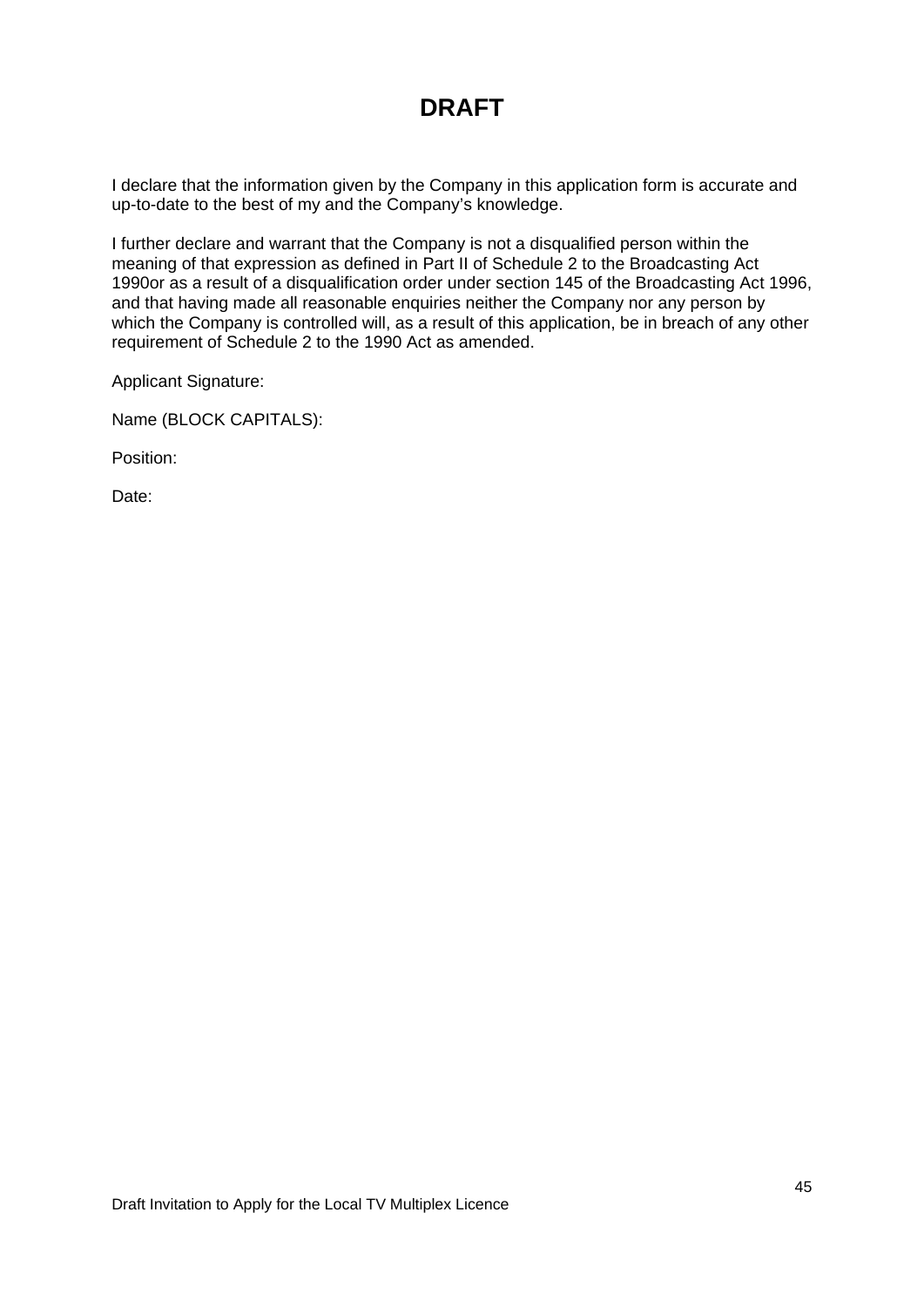I declare that the information given by the Company in this application form is accurate and up-to-date to the best of my and the Company's knowledge.

I further declare and warrant that the Company is not a disqualified person within the meaning of that expression as defined in Part II of Schedule 2 to the Broadcasting Act 1990or as a result of a disqualification order under section 145 of the Broadcasting Act 1996, and that having made all reasonable enquiries neither the Company nor any person by which the Company is controlled will, as a result of this application, be in breach of any other requirement of Schedule 2 to the 1990 Act as amended.

Applicant Signature:

Name (BLOCK CAPITALS):

Position:

Date: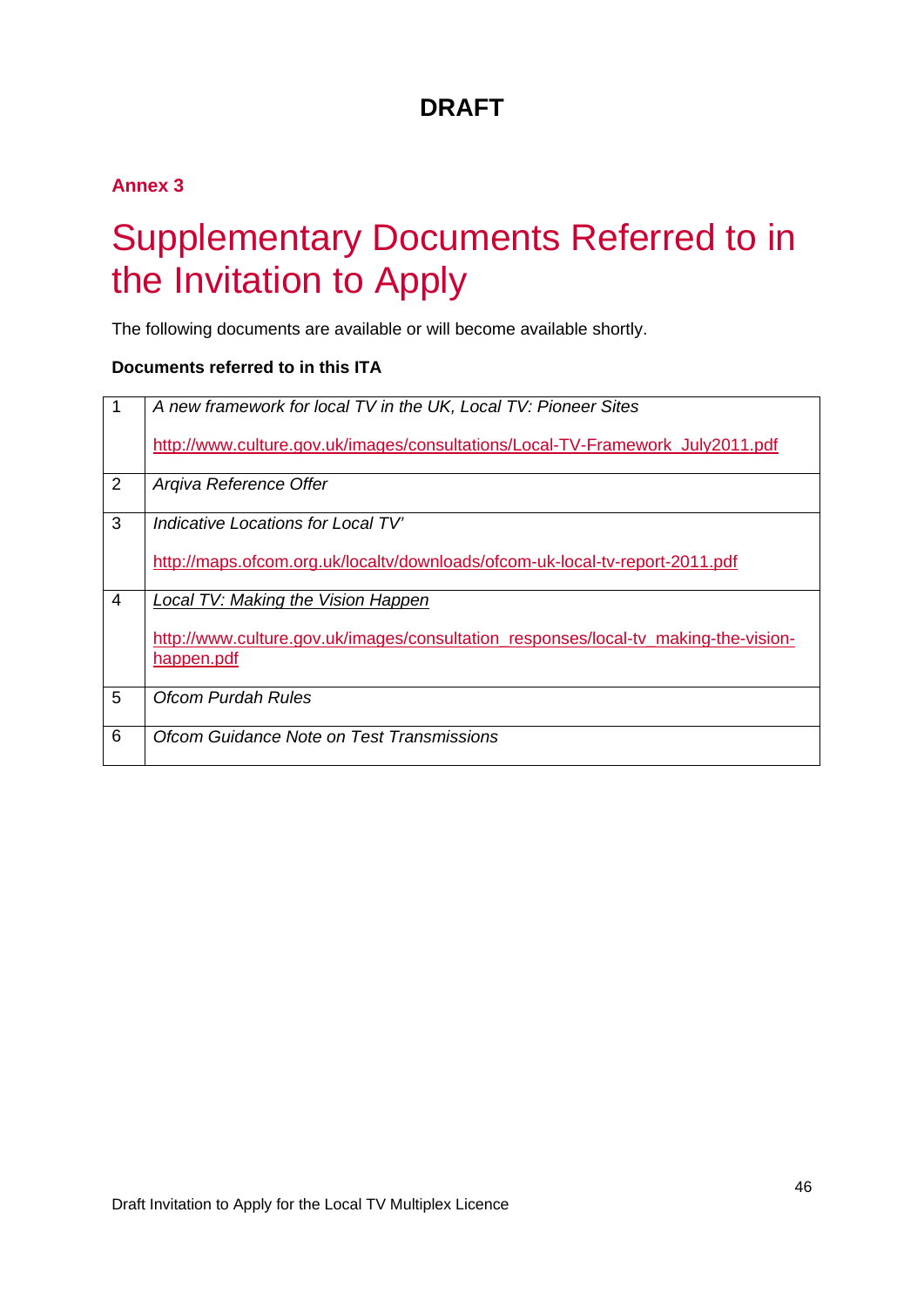### **Annex 3**

# <span id="page-46-0"></span>3 Supplementary Documents Referred to in the Invitation to Apply

The following documents are available or will become available shortly.

#### **Documents referred to in this ITA**

| 1              | A new framework for local TV in the UK, Local TV: Pioneer Sites<br>http://www.culture.gov.uk/images/consultations/Local-TV-Framework_July2011.pdf |
|----------------|---------------------------------------------------------------------------------------------------------------------------------------------------|
| $\overline{2}$ | Argiva Reference Offer                                                                                                                            |
| 3              | Indicative Locations for Local TV'<br>http://maps.ofcom.org.uk/localtv/downloads/ofcom-uk-local-tv-report-2011.pdf                                |
| $\overline{4}$ | Local TV: Making the Vision Happen<br>http://www.culture.gov.uk/images/consultation_responses/local-tv_making-the-vision-<br>happen.pdf           |
| 5              | Ofcom Purdah Rules                                                                                                                                |
| 6              | Ofcom Guidance Note on Test Transmissions                                                                                                         |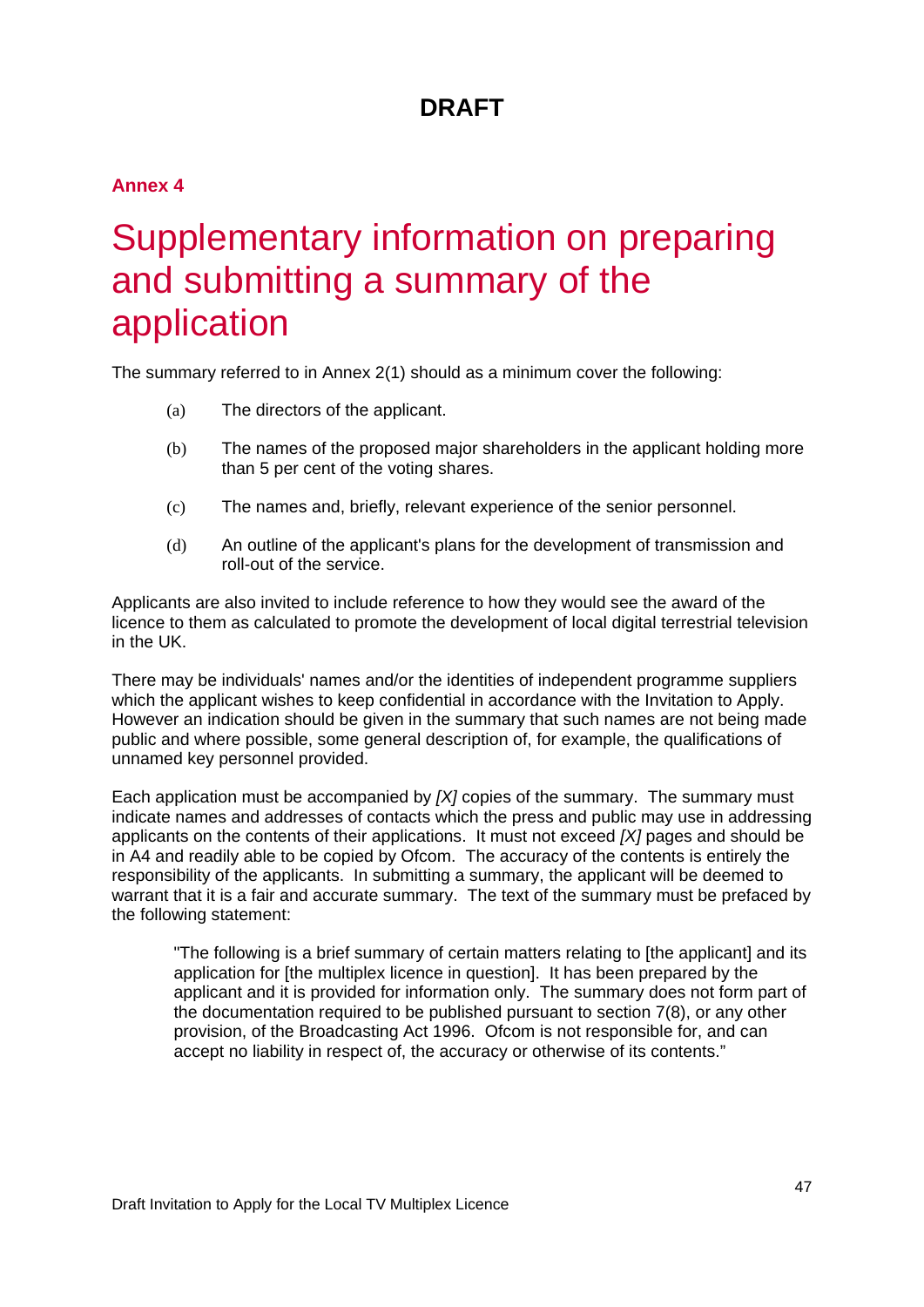### **Annex 4**

# <span id="page-47-0"></span>Supplementary information on preparing and submitting a summary of the application

The summary referred to in Annex 2(1) should as a minimum cover the following:

- (a) The directors of the applicant.
- (b) The names of the proposed major shareholders in the applicant holding more than 5 per cent of the voting shares.
- (c) The names and, briefly, relevant experience of the senior personnel.
- (d) An outline of the applicant's plans for the development of transmission and roll-out of the service.

Applicants are also invited to include reference to how they would see the award of the licence to them as calculated to promote the development of local digital terrestrial television in the UK.

There may be individuals' names and/or the identities of independent programme suppliers which the applicant wishes to keep confidential in accordance with the Invitation to Apply. However an indication should be given in the summary that such names are not being made public and where possible, some general description of, for example, the qualifications of unnamed key personnel provided.

Each application must be accompanied by *[X]* copies of the summary. The summary must indicate names and addresses of contacts which the press and public may use in addressing applicants on the contents of their applications. It must not exceed *[X]* pages and should be in A4 and readily able to be copied by Ofcom. The accuracy of the contents is entirely the responsibility of the applicants. In submitting a summary, the applicant will be deemed to warrant that it is a fair and accurate summary. The text of the summary must be prefaced by the following statement:

"The following is a brief summary of certain matters relating to [the applicant] and its application for [the multiplex licence in question]. It has been prepared by the applicant and it is provided for information only. The summary does not form part of the documentation required to be published pursuant to section 7(8), or any other provision, of the Broadcasting Act 1996. Ofcom is not responsible for, and can accept no liability in respect of, the accuracy or otherwise of its contents."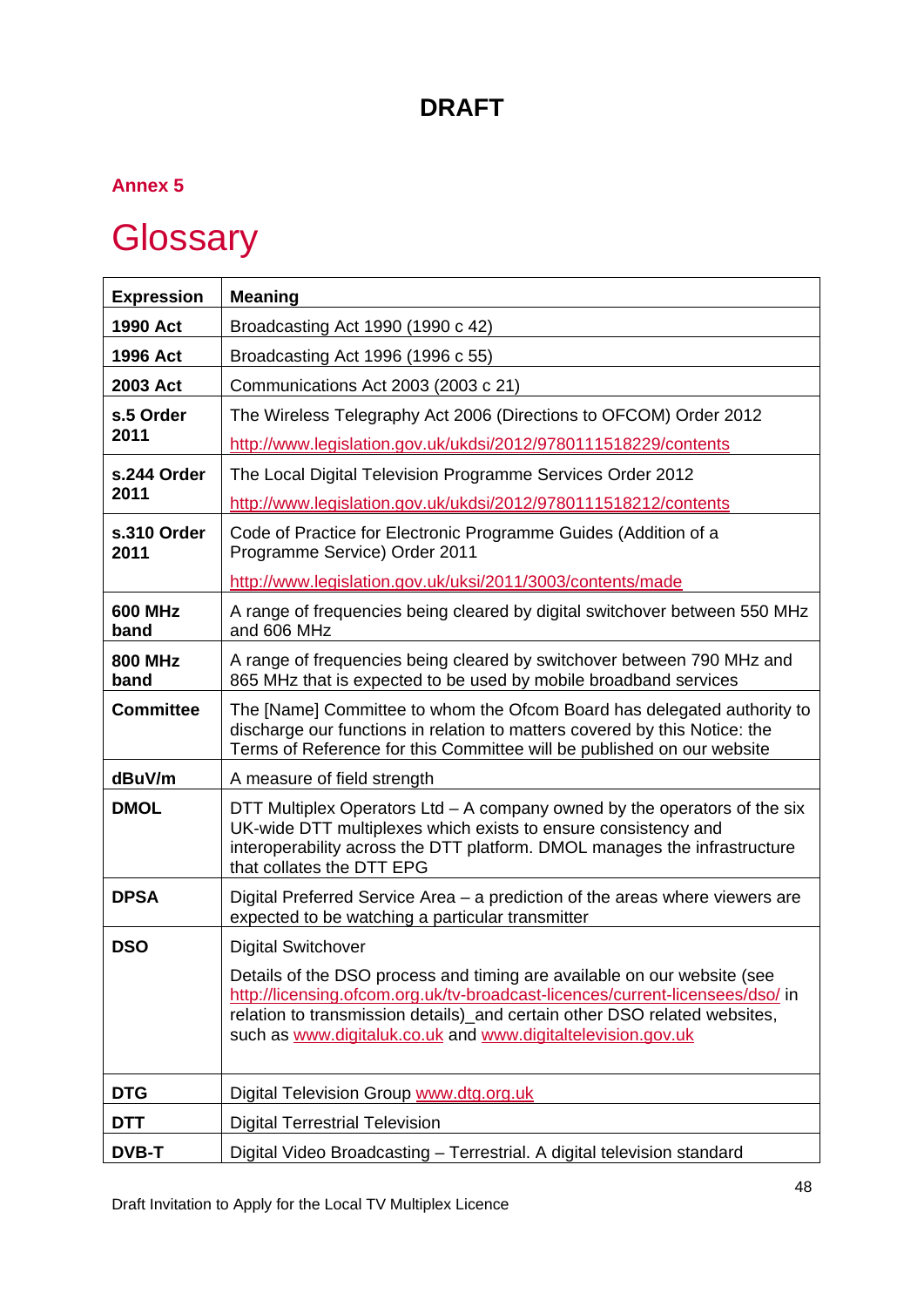### **Annex 5**

# <span id="page-48-0"></span>**Glossary**

| <b>Expression</b>      | <b>Meaning</b>                                                                                                                                                                                                                                                                                        |
|------------------------|-------------------------------------------------------------------------------------------------------------------------------------------------------------------------------------------------------------------------------------------------------------------------------------------------------|
| 1990 Act               | Broadcasting Act 1990 (1990 c 42)                                                                                                                                                                                                                                                                     |
| 1996 Act               | Broadcasting Act 1996 (1996 c 55)                                                                                                                                                                                                                                                                     |
| 2003 Act               | Communications Act 2003 (2003 c 21)                                                                                                                                                                                                                                                                   |
| s.5 Order              | The Wireless Telegraphy Act 2006 (Directions to OFCOM) Order 2012                                                                                                                                                                                                                                     |
| 2011                   | http://www.legislation.gov.uk/ukdsi/2012/9780111518229/contents                                                                                                                                                                                                                                       |
| s.244 Order            | The Local Digital Television Programme Services Order 2012                                                                                                                                                                                                                                            |
| 2011                   | http://www.legislation.gov.uk/ukdsi/2012/9780111518212/contents                                                                                                                                                                                                                                       |
| s.310 Order<br>2011    | Code of Practice for Electronic Programme Guides (Addition of a<br>Programme Service) Order 2011                                                                                                                                                                                                      |
|                        | http://www.legislation.gov.uk/uksi/2011/3003/contents/made                                                                                                                                                                                                                                            |
| <b>600 MHz</b><br>band | A range of frequencies being cleared by digital switchover between 550 MHz<br>and 606 MHz                                                                                                                                                                                                             |
| <b>800 MHz</b><br>band | A range of frequencies being cleared by switchover between 790 MHz and<br>865 MHz that is expected to be used by mobile broadband services                                                                                                                                                            |
| <b>Committee</b>       | The [Name] Committee to whom the Ofcom Board has delegated authority to<br>discharge our functions in relation to matters covered by this Notice: the<br>Terms of Reference for this Committee will be published on our website                                                                       |
| dBuV/m                 | A measure of field strength                                                                                                                                                                                                                                                                           |
| <b>DMOL</b>            | DTT Multiplex Operators Ltd - A company owned by the operators of the six<br>UK-wide DTT multiplexes which exists to ensure consistency and<br>interoperability across the DTT platform. DMOL manages the infrastructure<br>that collates the DTT EPG                                                 |
| <b>DPSA</b>            | Digital Preferred Service Area – a prediction of the areas where viewers are<br>expected to be watching a particular transmitter                                                                                                                                                                      |
| <b>DSO</b>             | <b>Digital Switchover</b>                                                                                                                                                                                                                                                                             |
|                        | Details of the DSO process and timing are available on our website (see<br>http://licensing.ofcom.org.uk/tv-broadcast-licences/current-licensees/dso/ in<br>relation to transmission details)_and certain other DSO related websites,<br>such as www.digitaluk.co.uk and www.digitaltelevision.gov.uk |
| <b>DTG</b>             | Digital Television Group www.dtg.org.uk                                                                                                                                                                                                                                                               |
| <b>DTT</b>             | <b>Digital Terrestrial Television</b>                                                                                                                                                                                                                                                                 |
| <b>DVB-T</b>           | Digital Video Broadcasting - Terrestrial. A digital television standard                                                                                                                                                                                                                               |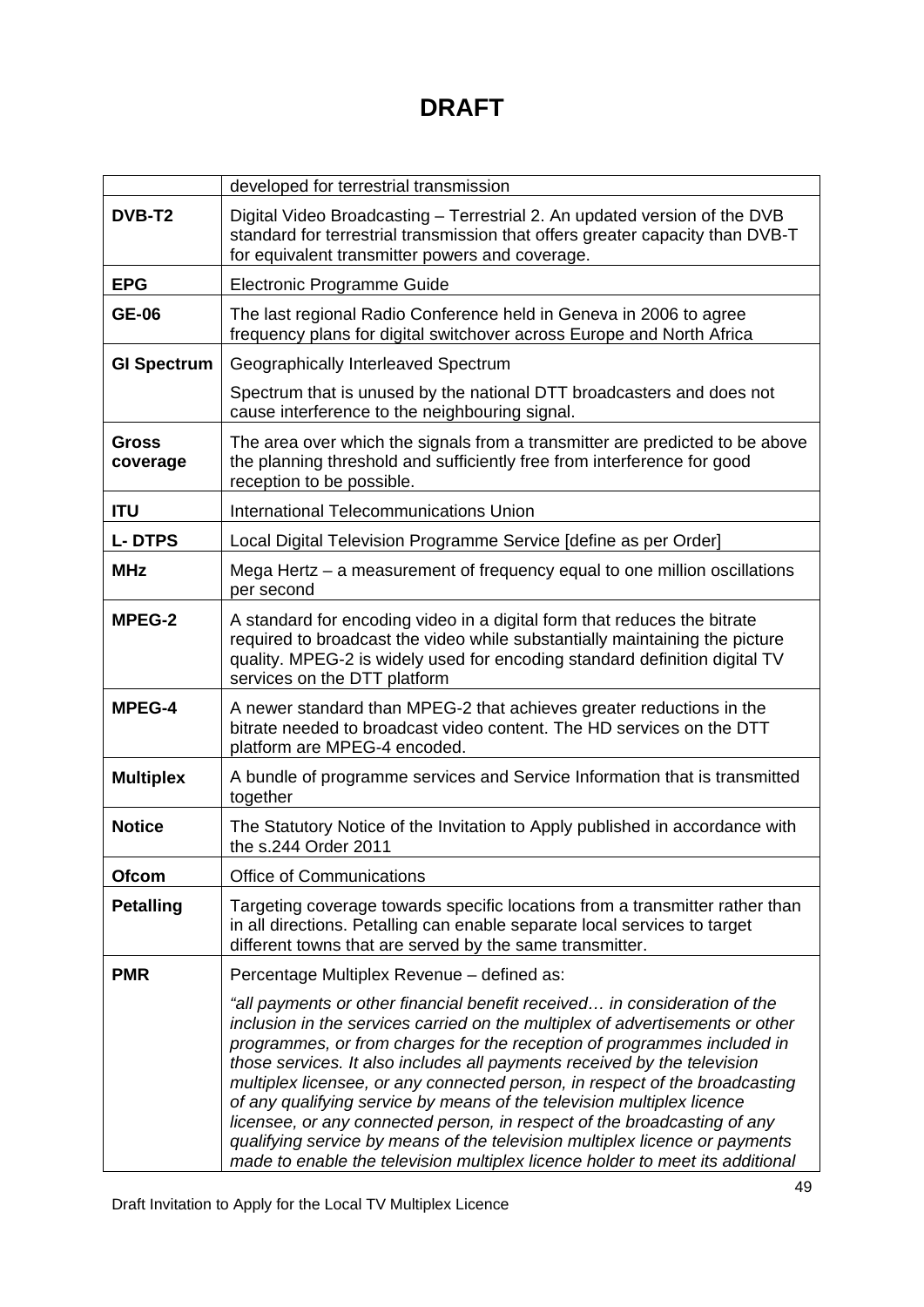|                    | developed for terrestrial transmission                                                                                                                                                                                                                                                                                                                                                                                                                                                                                                                                                                                                                                                                                 |
|--------------------|------------------------------------------------------------------------------------------------------------------------------------------------------------------------------------------------------------------------------------------------------------------------------------------------------------------------------------------------------------------------------------------------------------------------------------------------------------------------------------------------------------------------------------------------------------------------------------------------------------------------------------------------------------------------------------------------------------------------|
| <b>DVB-T2</b>      | Digital Video Broadcasting - Terrestrial 2. An updated version of the DVB<br>standard for terrestrial transmission that offers greater capacity than DVB-T<br>for equivalent transmitter powers and coverage.                                                                                                                                                                                                                                                                                                                                                                                                                                                                                                          |
| <b>EPG</b>         | Electronic Programme Guide                                                                                                                                                                                                                                                                                                                                                                                                                                                                                                                                                                                                                                                                                             |
| <b>GE-06</b>       | The last regional Radio Conference held in Geneva in 2006 to agree<br>frequency plans for digital switchover across Europe and North Africa                                                                                                                                                                                                                                                                                                                                                                                                                                                                                                                                                                            |
| <b>GI Spectrum</b> | Geographically Interleaved Spectrum                                                                                                                                                                                                                                                                                                                                                                                                                                                                                                                                                                                                                                                                                    |
|                    | Spectrum that is unused by the national DTT broadcasters and does not<br>cause interference to the neighbouring signal.                                                                                                                                                                                                                                                                                                                                                                                                                                                                                                                                                                                                |
| Gross<br>coverage  | The area over which the signals from a transmitter are predicted to be above<br>the planning threshold and sufficiently free from interference for good<br>reception to be possible.                                                                                                                                                                                                                                                                                                                                                                                                                                                                                                                                   |
| <b>ITU</b>         | International Telecommunications Union                                                                                                                                                                                                                                                                                                                                                                                                                                                                                                                                                                                                                                                                                 |
| <b>L-DTPS</b>      | Local Digital Television Programme Service [define as per Order]                                                                                                                                                                                                                                                                                                                                                                                                                                                                                                                                                                                                                                                       |
| <b>MHz</b>         | Mega Hertz - a measurement of frequency equal to one million oscillations<br>per second                                                                                                                                                                                                                                                                                                                                                                                                                                                                                                                                                                                                                                |
| <b>MPEG-2</b>      | A standard for encoding video in a digital form that reduces the bitrate<br>required to broadcast the video while substantially maintaining the picture<br>quality. MPEG-2 is widely used for encoding standard definition digital TV<br>services on the DTT platform                                                                                                                                                                                                                                                                                                                                                                                                                                                  |
| <b>MPEG-4</b>      | A newer standard than MPEG-2 that achieves greater reductions in the<br>bitrate needed to broadcast video content. The HD services on the DTT<br>platform are MPEG-4 encoded.                                                                                                                                                                                                                                                                                                                                                                                                                                                                                                                                          |
| <b>Multiplex</b>   | A bundle of programme services and Service Information that is transmitted<br>together                                                                                                                                                                                                                                                                                                                                                                                                                                                                                                                                                                                                                                 |
| <b>Notice</b>      | The Statutory Notice of the Invitation to Apply published in accordance with<br>the s.244 Order 2011                                                                                                                                                                                                                                                                                                                                                                                                                                                                                                                                                                                                                   |
| Ofcom              | <b>Office of Communications</b>                                                                                                                                                                                                                                                                                                                                                                                                                                                                                                                                                                                                                                                                                        |
| <b>Petalling</b>   | Targeting coverage towards specific locations from a transmitter rather than<br>in all directions. Petalling can enable separate local services to target<br>different towns that are served by the same transmitter.                                                                                                                                                                                                                                                                                                                                                                                                                                                                                                  |
| <b>PMR</b>         | Percentage Multiplex Revenue - defined as:                                                                                                                                                                                                                                                                                                                                                                                                                                                                                                                                                                                                                                                                             |
|                    | "all payments or other financial benefit received in consideration of the<br>inclusion in the services carried on the multiplex of advertisements or other<br>programmes, or from charges for the reception of programmes included in<br>those services. It also includes all payments received by the television<br>multiplex licensee, or any connected person, in respect of the broadcasting<br>of any qualifying service by means of the television multiplex licence<br>licensee, or any connected person, in respect of the broadcasting of any<br>qualifying service by means of the television multiplex licence or payments<br>made to enable the television multiplex licence holder to meet its additional |